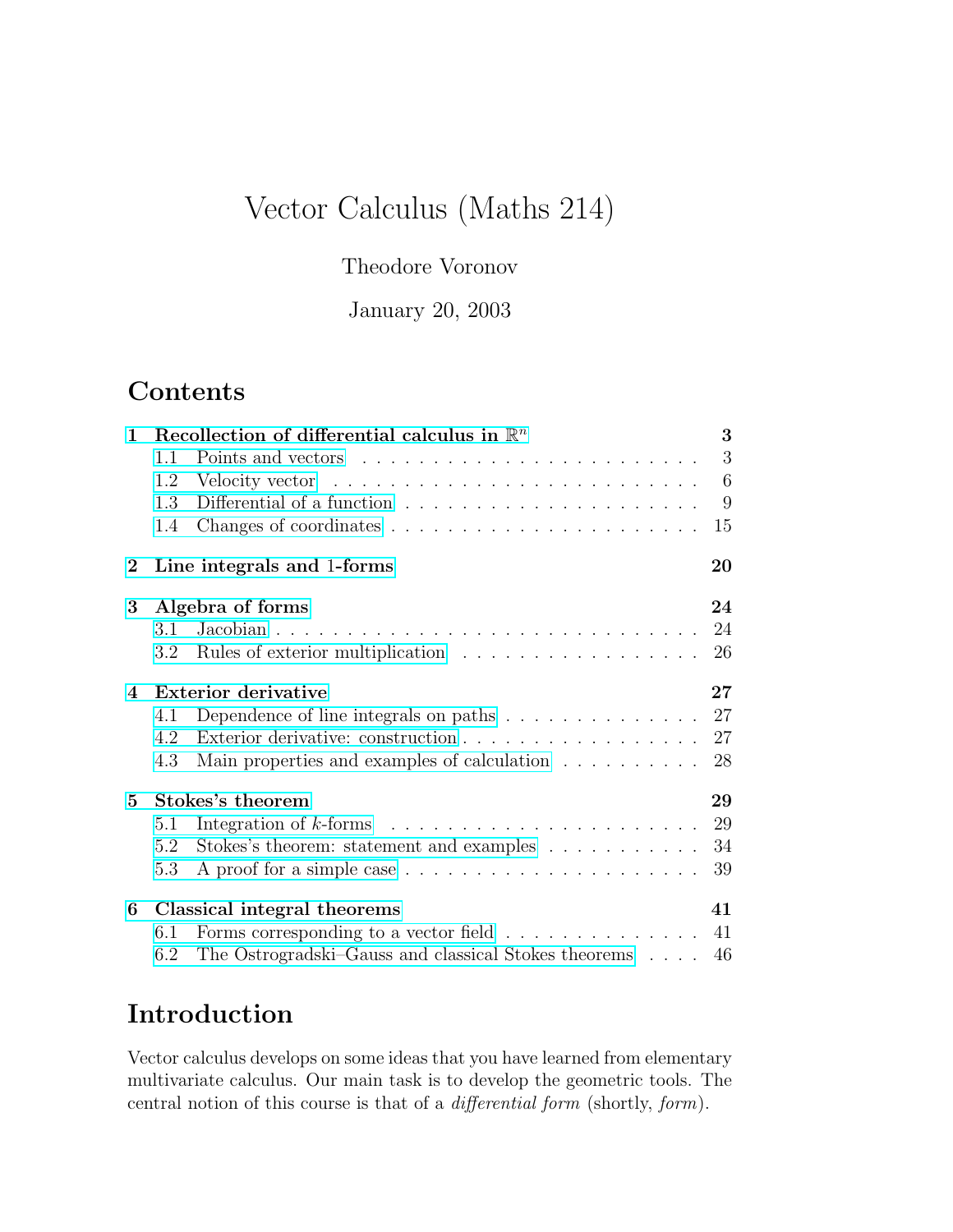# Vector Calculus (Maths 214)

## Theodore Voronov

January 20, 2003

# **Contents**

| $\mathbf{1}$    |                             | Recollection of differential calculus in $\mathbb{R}^n$                       | 3   |
|-----------------|-----------------------------|-------------------------------------------------------------------------------|-----|
|                 | 1.1                         |                                                                               | 3   |
|                 | 1.2                         |                                                                               | - 6 |
|                 | 1.3                         | Differential of a function $\ldots \ldots \ldots \ldots \ldots \ldots \ldots$ | - 9 |
|                 | 1.4                         |                                                                               | 15  |
| $\bf{2}$        |                             | Line integrals and 1-forms                                                    | 20  |
| 3               |                             | Algebra of forms                                                              | 24  |
|                 | 3.1                         |                                                                               | 24  |
|                 | 3.2                         |                                                                               | 26  |
| $\overline{4}$  |                             | <b>Exterior derivative</b>                                                    | 27  |
|                 | 4.1                         | Dependence of line integrals on paths $\ldots \ldots \ldots \ldots \ldots 27$ |     |
|                 | 4.2                         |                                                                               | 27  |
|                 | 4.3                         | Main properties and examples of calculation $\ldots \ldots \ldots$            | 28  |
| $5\overline{)}$ | Stokes's theorem            |                                                                               | 29  |
|                 | 5.1                         |                                                                               | 29  |
|                 | 5.2                         | Stokes's theorem: statement and examples                                      | 34  |
|                 | 5.3                         |                                                                               | 39  |
| 6               | Classical integral theorems |                                                                               | 41  |
|                 | 6.1                         | Forms corresponding to a vector field $\ldots \ldots \ldots \ldots$           | 41  |
|                 | 6.2                         | The Ostrogradski–Gauss and classical Stokes theorems 46                       |     |

# Introduction

Vector calculus develops on some ideas that you have learned from elementary multivariate calculus. Our main task is to develop the geometric tools. The central notion of this course is that of a differential form (shortly, form).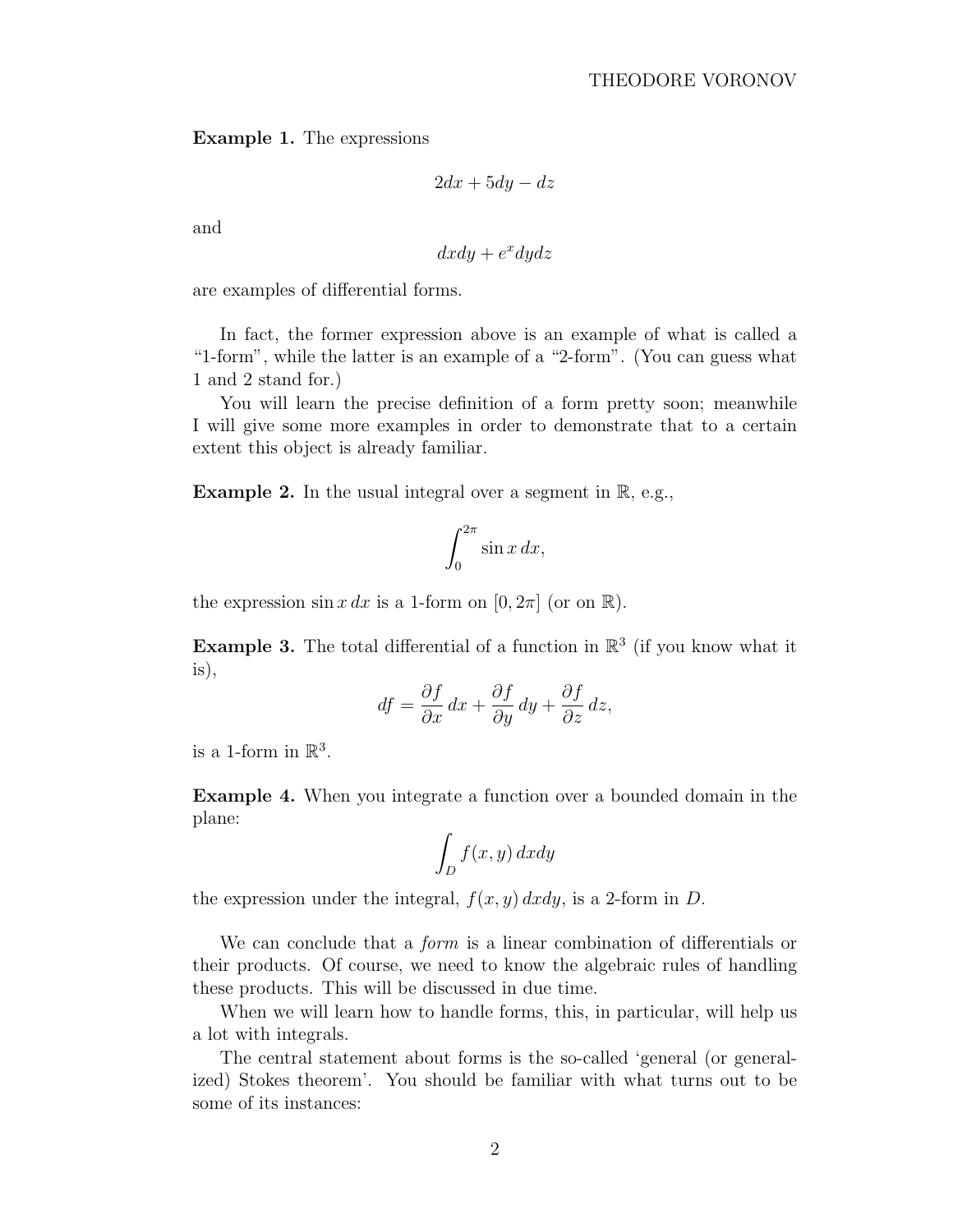#### Example 1. The expressions

$$
2dx + 5dy - dz
$$

and

$$
dxdy + e^x dy dz
$$

are examples of differential forms.

In fact, the former expression above is an example of what is called a "1-form", while the latter is an example of a "2-form". (You can guess what 1 and 2 stand for.)

You will learn the precise definition of a form pretty soon; meanwhile I will give some more examples in order to demonstrate that to a certain extent this object is already familiar.

**Example 2.** In the usual integral over a segment in  $\mathbb{R}$ , e.g.,

$$
\int_0^{2\pi} \sin x \, dx,
$$

the expression  $\sin x \, dx$  is a 1-form on  $[0, 2\pi]$  (or on  $\mathbb{R}$ ).

**Example 3.** The total differential of a function in  $\mathbb{R}^3$  (if you know what it is),

$$
df = \frac{\partial f}{\partial x} dx + \frac{\partial f}{\partial y} dy + \frac{\partial f}{\partial z} dz,
$$

is a 1-form in  $\mathbb{R}^3$ .

Example 4. When you integrate a function over a bounded domain in the plane:

$$
\int_D f(x,y) \, dx dy
$$

the expression under the integral,  $f(x, y) dx dy$ , is a 2-form in D.

We can conclude that a *form* is a linear combination of differentials or their products. Of course, we need to know the algebraic rules of handling these products. This will be discussed in due time.

When we will learn how to handle forms, this, in particular, will help us a lot with integrals.

The central statement about forms is the so-called 'general (or generalized) Stokes theorem'. You should be familiar with what turns out to be some of its instances: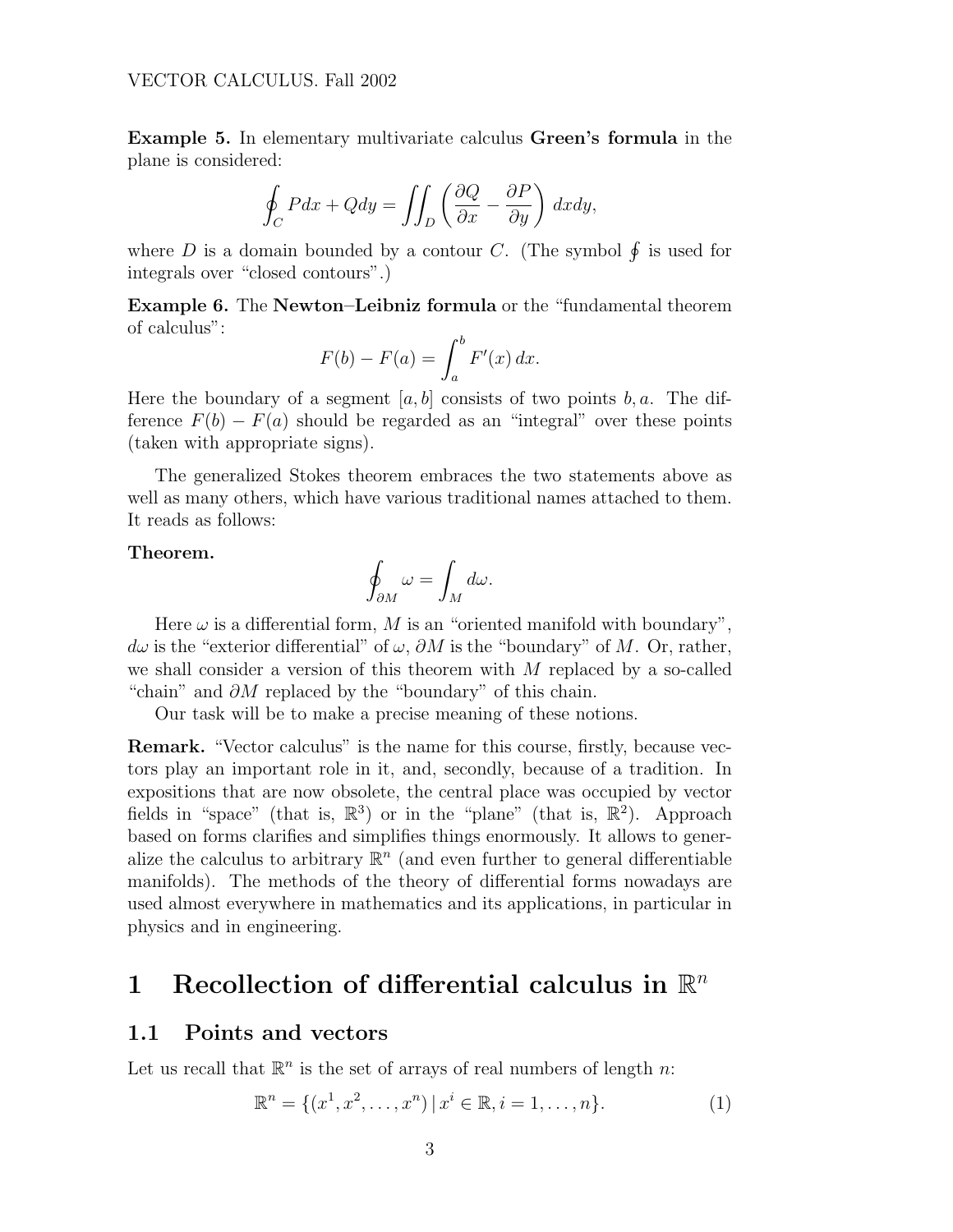<span id="page-2-0"></span>Example 5. In elementary multivariate calculus Green's formula in the plane is considered:

$$
\oint_C Pdx + Qdy = \iint_D \left(\frac{\partial Q}{\partial x} - \frac{\partial P}{\partial y}\right) dxdy,
$$

where D is a domain bounded by a contour C. (The symbol  $\oint$  is used for integrals over "closed contours".)

Example 6. The Newton–Leibniz formula or the "fundamental theorem of calculus":

$$
F(b) - F(a) = \int_a^b F'(x) \, dx.
$$

Here the boundary of a segment  $[a, b]$  consists of two points b, a. The difference  $F(b) - F(a)$  should be regarded as an "integral" over these points (taken with appropriate signs).

The generalized Stokes theorem embraces the two statements above as well as many others, which have various traditional names attached to them. It reads as follows:

#### Theorem.

$$
\oint_{\partial M} \omega = \int_M d\omega.
$$

Here  $\omega$  is a differential form, M is an "oriented manifold with boundary",  $d\omega$  is the "exterior differential" of  $\omega$ ,  $\partial M$  is the "boundary" of M. Or, rather, we shall consider a version of this theorem with M replaced by a so-called "chain" and  $\partial M$  replaced by the "boundary" of this chain.

Our task will be to make a precise meaning of these notions.

Remark. "Vector calculus" is the name for this course, firstly, because vectors play an important role in it, and, secondly, because of a tradition. In expositions that are now obsolete, the central place was occupied by vector fields in "space" (that is,  $\mathbb{R}^3$ ) or in the "plane" (that is,  $\mathbb{R}^2$ ). Approach based on forms clarifies and simplifies things enormously. It allows to generalize the calculus to arbitrary  $\mathbb{R}^n$  (and even further to general differentiable manifolds). The methods of the theory of differential forms nowadays are used almost everywhere in mathematics and its applications, in particular in physics and in engineering.

# 1 Recollection of differential calculus in  $\mathbb{R}^n$

### 1.1 Points and vectors

Let us recall that  $\mathbb{R}^n$  is the set of arrays of real numbers of length n:

$$
\mathbb{R}^{n} = \{ (x^{1}, x^{2}, \dots, x^{n}) \, | \, x^{i} \in \mathbb{R}, i = 1, \dots, n \}.
$$
 (1)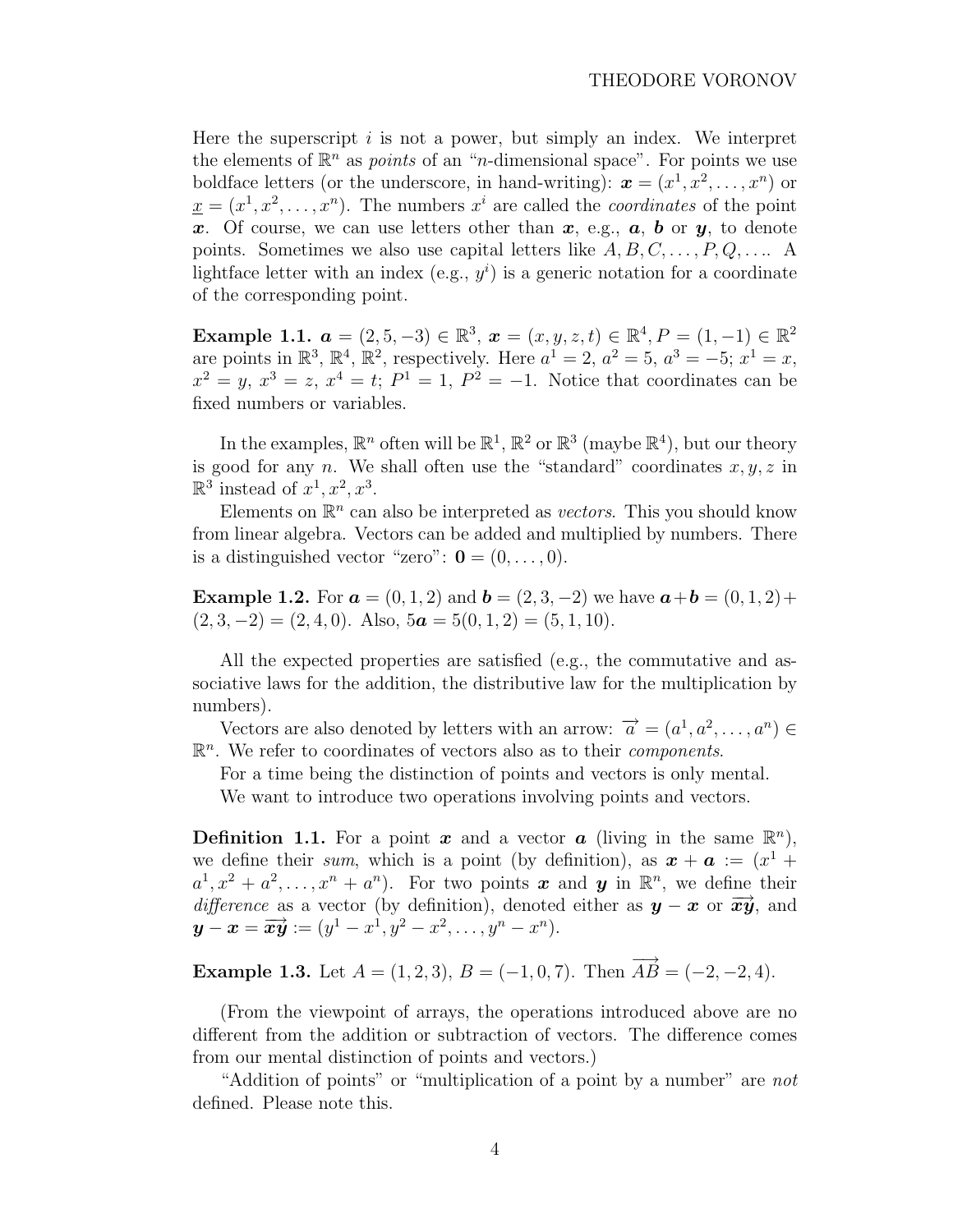Here the superscript  $i$  is not a power, but simply an index. We interpret the elements of  $\mathbb{R}^n$  as *points* of an "*n*-dimensional space". For points we use boldface letters (or the underscore, in hand-writing):  $\boldsymbol{x} = (x^1, x^2, \dots, x^n)$  or  $\underline{x} = (x^1, x^2, \dots, x^n)$ . The numbers  $x^i$  are called the *coordinates* of the point x. Of course, we can use letters other than  $x$ , e.g.,  $a$ ,  $b$  or  $y$ , to denote points. Sometimes we also use capital letters like  $A, B, C, \ldots, P, Q, \ldots$ . A lightface letter with an index (e.g.,  $y^i$ ) is a generic notation for a coordinate of the corresponding point.

Example 1.1.  $a = (2, 5, -3) \in \mathbb{R}^3$ ,  $x = (x, y, z, t) \in \mathbb{R}^4$ ,  $P = (1, -1) \in \mathbb{R}^2$ are points in  $\mathbb{R}^3$ ,  $\mathbb{R}^4$ ,  $\mathbb{R}^2$ , respectively. Here  $a^1 = 2$ ,  $a^2 = 5$ ,  $a^3 = -5$ ;  $x^1 = x$ ,  $x^2 = y, x^3 = z, x^4 = t; P^1 = 1, P^2 = -1.$  Notice that coordinates can be fixed numbers or variables.

In the examples,  $\mathbb{R}^n$  often will be  $\mathbb{R}^1$ ,  $\mathbb{R}^2$  or  $\mathbb{R}^3$  (maybe  $\mathbb{R}^4$ ), but our theory is good for any n. We shall often use the "standard" coordinates  $x, y, z$  in  $\mathbb{R}^3$  instead of  $x^1, x^2, x^3$ .

Elements on  $\mathbb{R}^n$  can also be interpreted as *vectors*. This you should know from linear algebra. Vectors can be added and multiplied by numbers. There is a distinguished vector "zero":  $\mathbf{0} = (0, \ldots, 0)$ .

**Example 1.2.** For  $a = (0, 1, 2)$  and  $b = (2, 3, -2)$  we have  $a+b = (0, 1, 2)+$  $(2, 3, -2) = (2, 4, 0)$ . Also,  $5\mathbf{a} = 5(0, 1, 2) = (5, 1, 10)$ .

All the expected properties are satisfied (e.g., the commutative and associative laws for the addition, the distributive law for the multiplication by numbers).

Vectors are also denoted by letters with an arrow:  $\vec{a} = (a^1, a^2, \dots, a^n) \in$  $\mathbb{R}^n$ . We refer to coordinates of vectors also as to their *components*.

For a time being the distinction of points and vectors is only mental. We want to introduce two operations involving points and vectors.

**Definition 1.1.** For a point x and a vector a (living in the same  $\mathbb{R}^n$ ), we define their sum, which is a point (by definition), as  $\mathbf{x} + \mathbf{a} := (x^1 +$  $a^1, x^2 + a^2, \ldots, x^n + a^n$ ). For two points x and y in  $\mathbb{R}^n$ , we define their difference as a vector (by definition), denoted either as  $y - x$  or  $\overrightarrow{xy}$ , and  $y - x = \overrightarrow{xy} := (y^1 - x^1, y^2 - x^2, \ldots, y^n - x^n).$ 

Example 1.3. Let  $A = (1, 2, 3), B = (-1, 0, 7).$  Then  $\overrightarrow{AB} = (-2, -2, 4).$ 

(From the viewpoint of arrays, the operations introduced above are no different from the addition or subtraction of vectors. The difference comes from our mental distinction of points and vectors.)

"Addition of points" or "multiplication of a point by a number" are not defined. Please note this.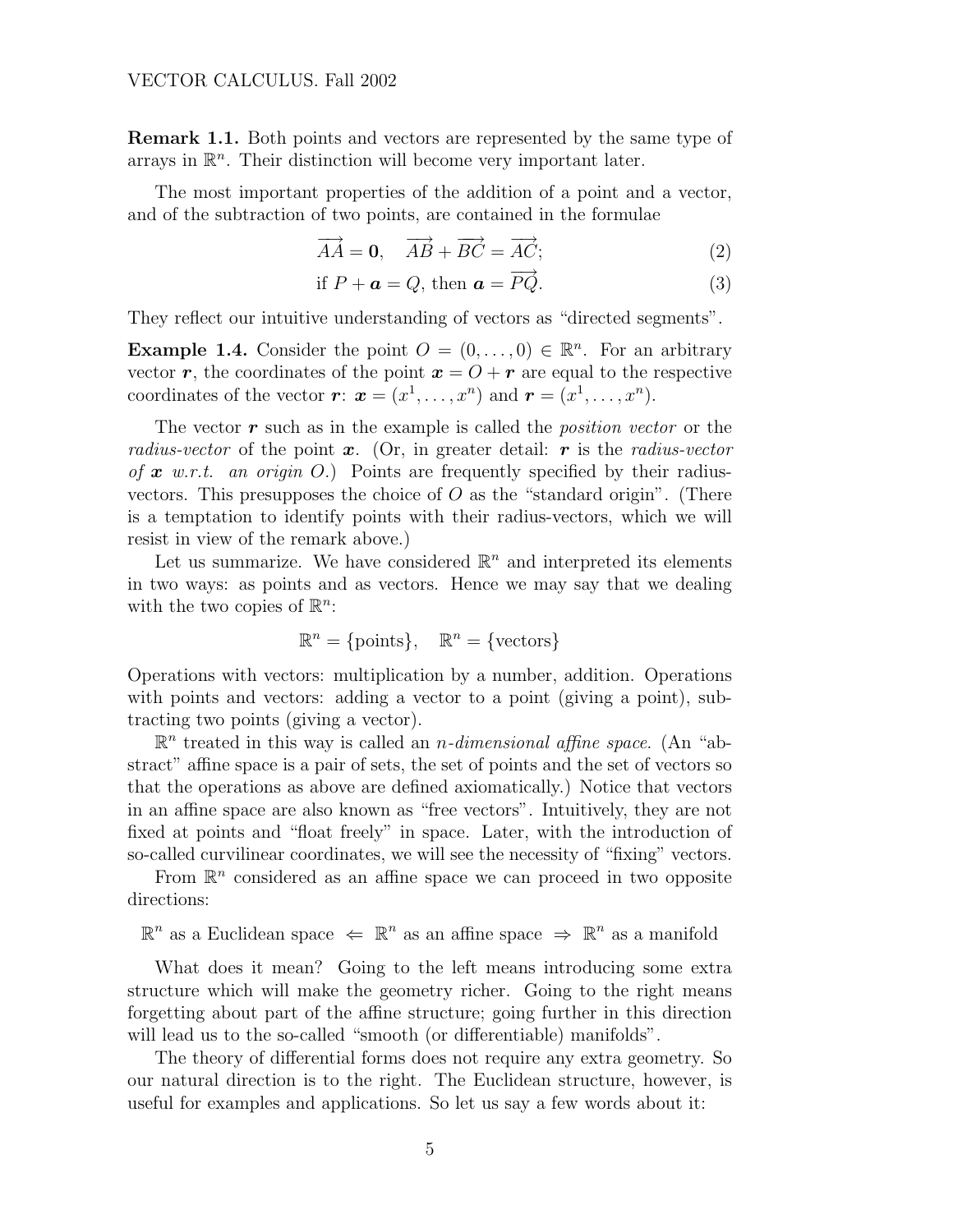#### <span id="page-4-0"></span>VECTOR CALCULUS. Fall 2002

Remark 1.1. Both points and vectors are represented by the same type of arrays in  $\mathbb{R}^n$ . Their distinction will become very important later.

The most important properties of the addition of a point and a vector, and of the subtraction of two points, are contained in the formulae

$$
\overrightarrow{AA} = \mathbf{0}, \quad \overrightarrow{AB} + \overrightarrow{BC} = \overrightarrow{AC}; \tag{2}
$$

if 
$$
P + \mathbf{a} = Q
$$
, then  $\mathbf{a} = \overrightarrow{PQ}$ . (3)

They reflect our intuitive understanding of vectors as "directed segments".

**Example 1.4.** Consider the point  $O = (0, \ldots, 0) \in \mathbb{R}^n$ . For an arbitrary vector r, the coordinates of the point  $x = O + r$  are equal to the respective coordinates of the vector  $\boldsymbol{r}: \boldsymbol{x} = (x^1, \ldots, x^n)$  and  $\boldsymbol{r} = (x^1, \ldots, x^n)$ .

The vector  $r$  such as in the example is called the *position vector* or the radius-vector of the point  $x$ . (Or, in greater detail: r is the radius-vector of  $x$  w.r.t. an origin O.) Points are frequently specified by their radiusvectors. This presupposes the choice of  $O$  as the "standard origin". (There is a temptation to identify points with their radius-vectors, which we will resist in view of the remark above.)

Let us summarize. We have considered  $\mathbb{R}^n$  and interpreted its elements in two ways: as points and as vectors. Hence we may say that we dealing with the two copies of  $\mathbb{R}^n$ :

$$
\mathbb{R}^n = \{\text{points}\}, \quad \mathbb{R}^n = \{\text{vectors}\}
$$

Operations with vectors: multiplication by a number, addition. Operations with points and vectors: adding a vector to a point (giving a point), subtracting two points (giving a vector).

 $\mathbb{R}^n$  treated in this way is called an *n*-dimensional affine space. (An "abstract" affine space is a pair of sets, the set of points and the set of vectors so that the operations as above are defined axiomatically.) Notice that vectors in an affine space are also known as "free vectors". Intuitively, they are not fixed at points and "float freely" in space. Later, with the introduction of so-called curvilinear coordinates, we will see the necessity of "fixing" vectors.

From  $\mathbb{R}^n$  considered as an affine space we can proceed in two opposite directions:

 $\mathbb{R}^n$  as a Euclidean space  $\Leftarrow$   $\mathbb{R}^n$  as an affine space  $\Rightarrow$   $\mathbb{R}^n$  as a manifold

What does it mean? Going to the left means introducing some extra structure which will make the geometry richer. Going to the right means forgetting about part of the affine structure; going further in this direction will lead us to the so-called "smooth (or differentiable) manifolds".

The theory of differential forms does not require any extra geometry. So our natural direction is to the right. The Euclidean structure, however, is useful for examples and applications. So let us say a few words about it: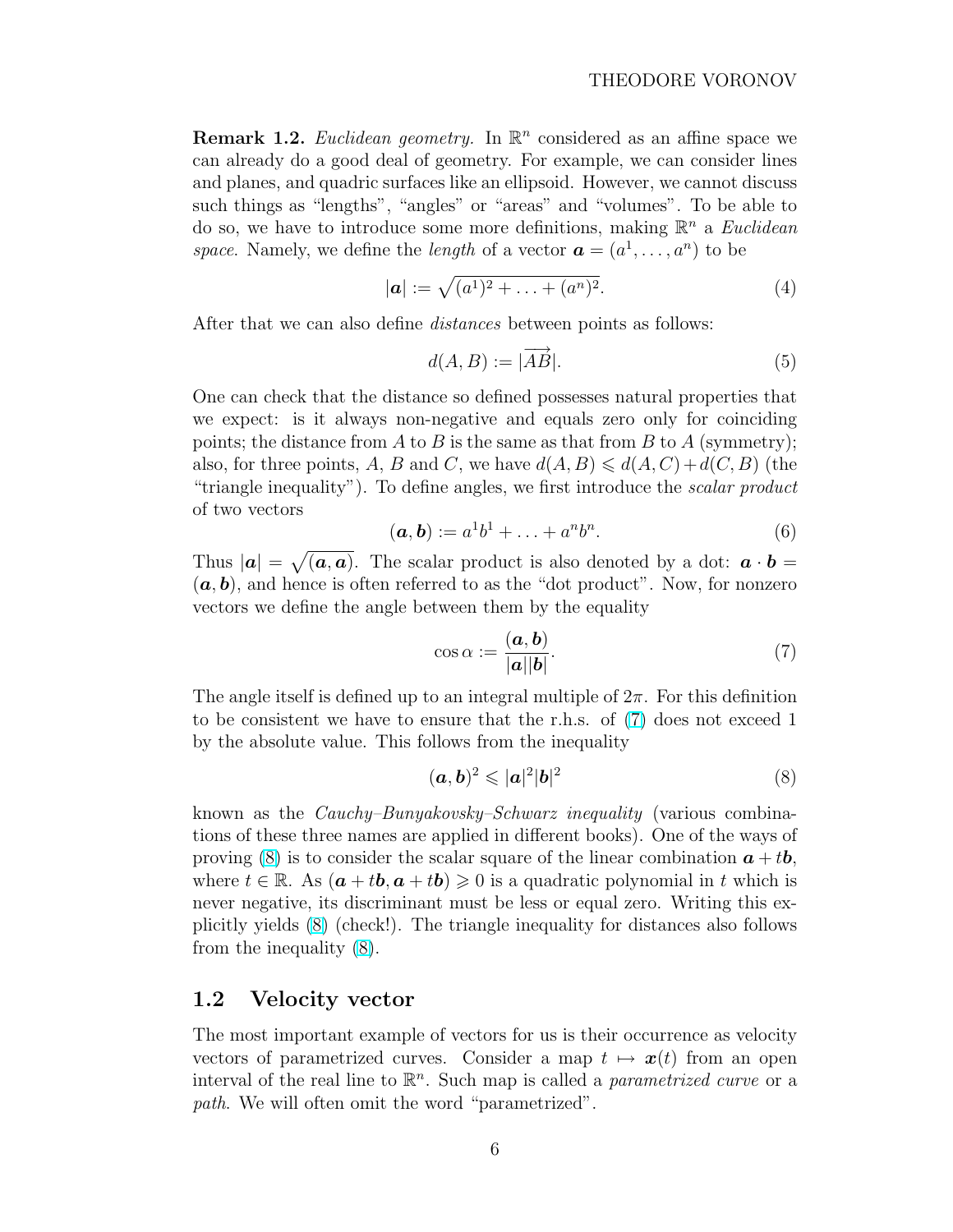<span id="page-5-0"></span>**Remark 1.2.** Euclidean geometry. In  $\mathbb{R}^n$  considered as an affine space we can already do a good deal of geometry. For example, we can consider lines and planes, and quadric surfaces like an ellipsoid. However, we cannot discuss such things as "lengths", "angles" or "areas" and "volumes". To be able to do so, we have to introduce some more definitions, making  $\mathbb{R}^n$  a *Euclidean* space. Namely, we define the *length* of a vector  $\mathbf{a} = (a^1, \dots, a^n)$  to be

$$
|\mathbf{a}| := \sqrt{(a^1)^2 + \ldots + (a^n)^2}.
$$
 (4)

After that we can also define distances between points as follows:

$$
d(A, B) := |\overrightarrow{AB}|. \tag{5}
$$

One can check that the distance so defined possesses natural properties that we expect: is it always non-negative and equals zero only for coinciding points; the distance from A to B is the same as that from B to A (symmetry); also, for three points, A, B and C, we have  $d(A, B) \leq d(A, C) + d(C, B)$  (the "triangle inequality"). To define angles, we first introduce the scalar product of two vectors

$$
(\mathbf{a}, \mathbf{b}) := a^1 b^1 + \ldots + a^n b^n. \tag{6}
$$

Thus  $|\boldsymbol{a}| =$ p  $(a, a)$ . The scalar product is also denoted by a dot:  $a \cdot b =$  $(a, b)$ , and hence is often referred to as the "dot product". Now, for nonzero vectors we define the angle between them by the equality

$$
\cos \alpha := \frac{(\mathbf{a}, \mathbf{b})}{|\mathbf{a}||\mathbf{b}|}.\tag{7}
$$

The angle itself is defined up to an integral multiple of  $2\pi$ . For this definition to be consistent we have to ensure that the r.h.s. of (7) does not exceed 1 by the absolute value. This follows from the inequality

$$
(\mathbf{a},\mathbf{b})^2 \leqslant |\mathbf{a}|^2 |\mathbf{b}|^2 \tag{8}
$$

known as the Cauchy–Bunyakovsky–Schwarz inequality (various combinations of these three names are applied in different books). One of the ways of proving (8) is to consider the scalar square of the linear combination  $a + tb$ , where  $t \in \mathbb{R}$ . As  $(a + tb, a + tb) \geq 0$  is a quadratic polynomial in t which is never negative, its discriminant must be less or equal zero. Writing this explicitly yields (8) (check!). The triangle inequality for distances also follows from the inequality (8).

### 1.2 Velocity vector

The most important example of vectors for us is their occurrence as velocity vectors of parametrized curves. Consider a map  $t \mapsto x(t)$  from an open interval of the real line to  $\mathbb{R}^n$ . Such map is called a *parametrized curve* or a path. We will often omit the word "parametrized".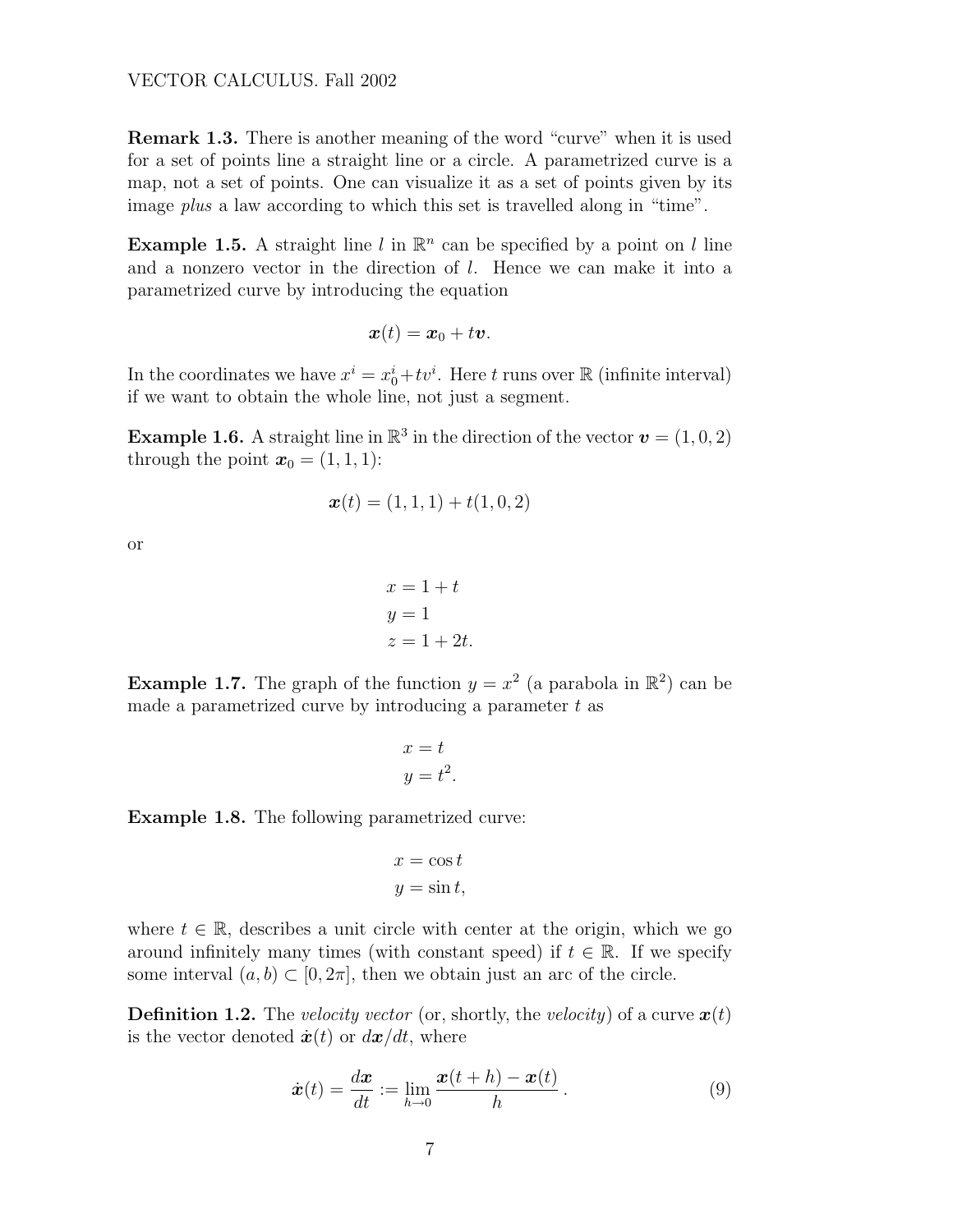<span id="page-6-0"></span>Remark 1.3. There is another meaning of the word "curve" when it is used for a set of points line a straight line or a circle. A parametrized curve is a map, not a set of points. One can visualize it as a set of points given by its image *plus* a law according to which this set is travelled along in "time".

**Example 1.5.** A straight line l in  $\mathbb{R}^n$  can be specified by a point on l line and a nonzero vector in the direction of  $l$ . Hence we can make it into a parametrized curve by introducing the equation

$$
\boldsymbol{x}(t) = \boldsymbol{x}_0 + t\boldsymbol{v}.
$$

In the coordinates we have  $x^i = x_0^i + tv^i$ . Here t runs over  $\mathbb R$  (infinite interval) if we want to obtain the whole line, not just a segment.

**Example 1.6.** A straight line in  $\mathbb{R}^3$  in the direction of the vector  $\mathbf{v} = (1,0,2)$ through the point  $\mathbf{x}_0 = (1, 1, 1)$ :

$$
\bm{x}(t) = (1, 1, 1) + t(1, 0, 2)
$$

or

$$
x = 1 + t
$$
  

$$
y = 1
$$
  

$$
z = 1 + 2t.
$$

**Example 1.7.** The graph of the function  $y = x^2$  (a parabola in  $\mathbb{R}^2$ ) can be made a parametrized curve by introducing a parameter  $t$  as

$$
x = t
$$
  

$$
y = t^2.
$$

Example 1.8. The following parametrized curve:

$$
x = \cos t
$$
  

$$
y = \sin t,
$$

where  $t \in \mathbb{R}$ , describes a unit circle with center at the origin, which we go around infinitely many times (with constant speed) if  $t \in \mathbb{R}$ . If we specify some interval  $(a, b) \subset [0, 2\pi]$ , then we obtain just an arc of the circle.

**Definition 1.2.** The velocity vector (or, shortly, the velocity) of a curve  $\mathbf{x}(t)$ is the vector denoted  $\dot{x}(t)$  or  $dx/dt$ , where

$$
\dot{\boldsymbol{x}}(t) = \frac{d\boldsymbol{x}}{dt} := \lim_{h \to 0} \frac{\boldsymbol{x}(t+h) - \boldsymbol{x}(t)}{h} \,. \tag{9}
$$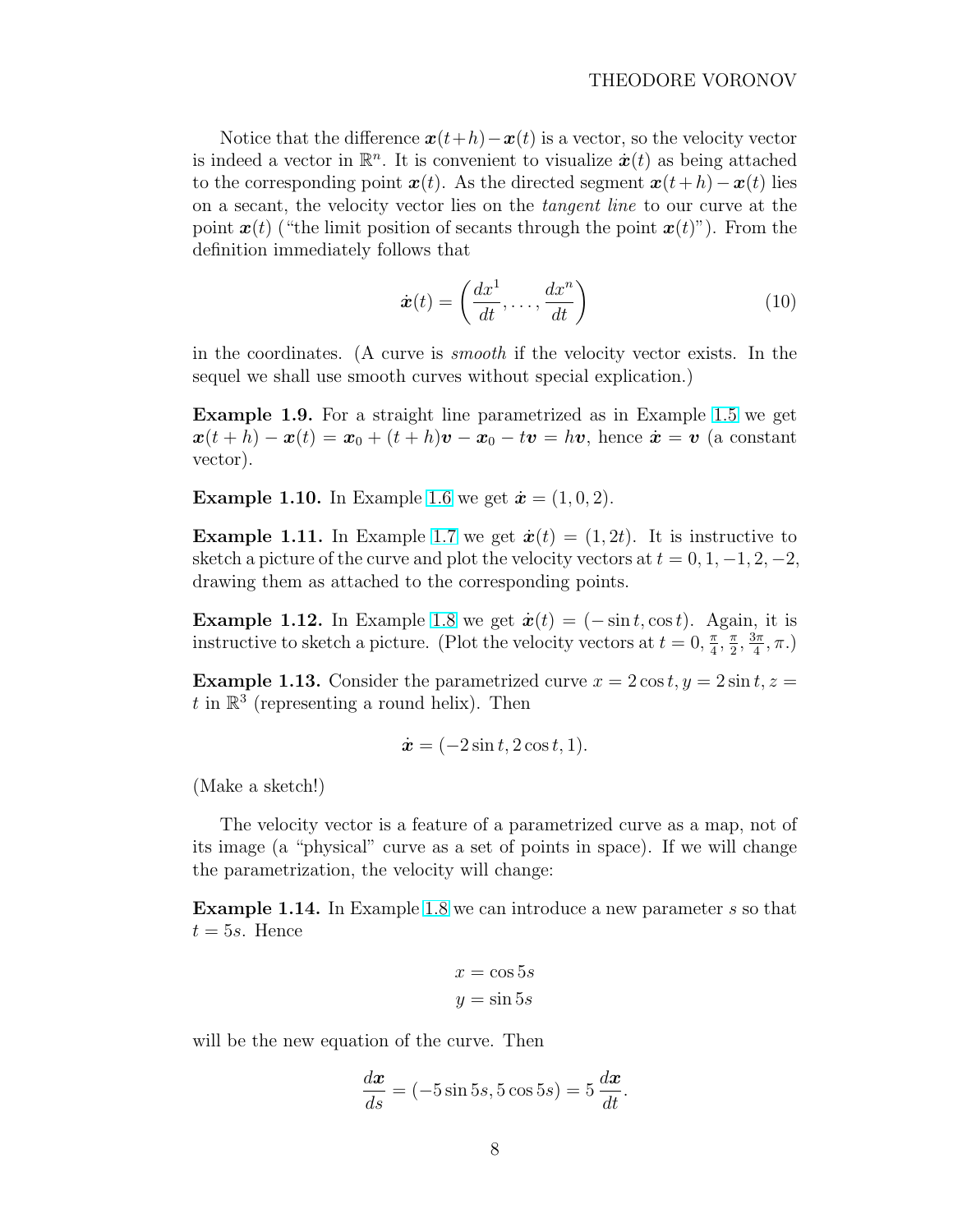Notice that the difference  $x(t+h)-x(t)$  is a vector, so the velocity vector is indeed a vector in  $\mathbb{R}^n$ . It is convenient to visualize  $\dot{x}(t)$  as being attached to the corresponding point  $x(t)$ . As the directed segment  $x(t+h)-x(t)$  lies on a secant, the velocity vector lies on the tangent line to our curve at the point  $x(t)$  ("the limit position of secants through the point  $x(t)$ "). From the definition immediately follows that

$$
\dot{\boldsymbol{x}}(t) = \left(\frac{dx^1}{dt}, \dots, \frac{dx^n}{dt}\right) \tag{10}
$$

in the coordinates. (A curve is smooth if the velocity vector exists. In the sequel we shall use smooth curves without special explication.)

Example 1.9. For a straight line parametrized as in Example [1.5](#page-6-0) we get  $x(t+h) - x(t) = x_0 + (t+h)v - x_0 - tv = hv$ , hence  $\dot{x} = v$  (a constant vector).

**Example 1.10.** In Example [1.6](#page-6-0) we get  $\dot{x} = (1, 0, 2)$ .

**Example 1.11.** In Example [1.7](#page-6-0) we get  $\dot{x}(t) = (1, 2t)$ . It is instructive to sketch a picture of the curve and plot the velocity vectors at  $t = 0, 1, -1, 2, -2$ , drawing them as attached to the corresponding points.

**Example 1.12.** In Example [1.8](#page-6-0) we get  $\dot{x}(t) = (-\sin t, \cos t)$ . Again, it is instructive to sketch a picture. (Plot the velocity vectors at  $t = 0, \frac{\pi}{4}$ )  $\frac{\pi}{4}$ ,  $\frac{\pi}{2}$  $\frac{\pi}{2}, \frac{3\pi}{4}$  $\frac{3\pi}{4}, \pi$ .)

**Example 1.13.** Consider the parametrized curve  $x = 2 \cos t$ ,  $y = 2 \sin t$ ,  $z =$ t in  $\mathbb{R}^3$  (representing a round helix). Then

$$
\dot{\boldsymbol{x}} = (-2\sin t, 2\cos t, 1).
$$

(Make a sketch!)

The velocity vector is a feature of a parametrized curve as a map, not of its image (a "physical" curve as a set of points in space). If we will change the parametrization, the velocity will change:

Example 1.14. In Example [1.8](#page-6-0) we can introduce a new parameter s so that  $t = 5s$ . Hence

$$
x = \cos 5s
$$

$$
y = \sin 5s
$$

will be the new equation of the curve. Then

$$
\frac{d\boldsymbol{x}}{ds} = (-5\sin 5s, 5\cos 5s) = 5\frac{d\boldsymbol{x}}{dt}.
$$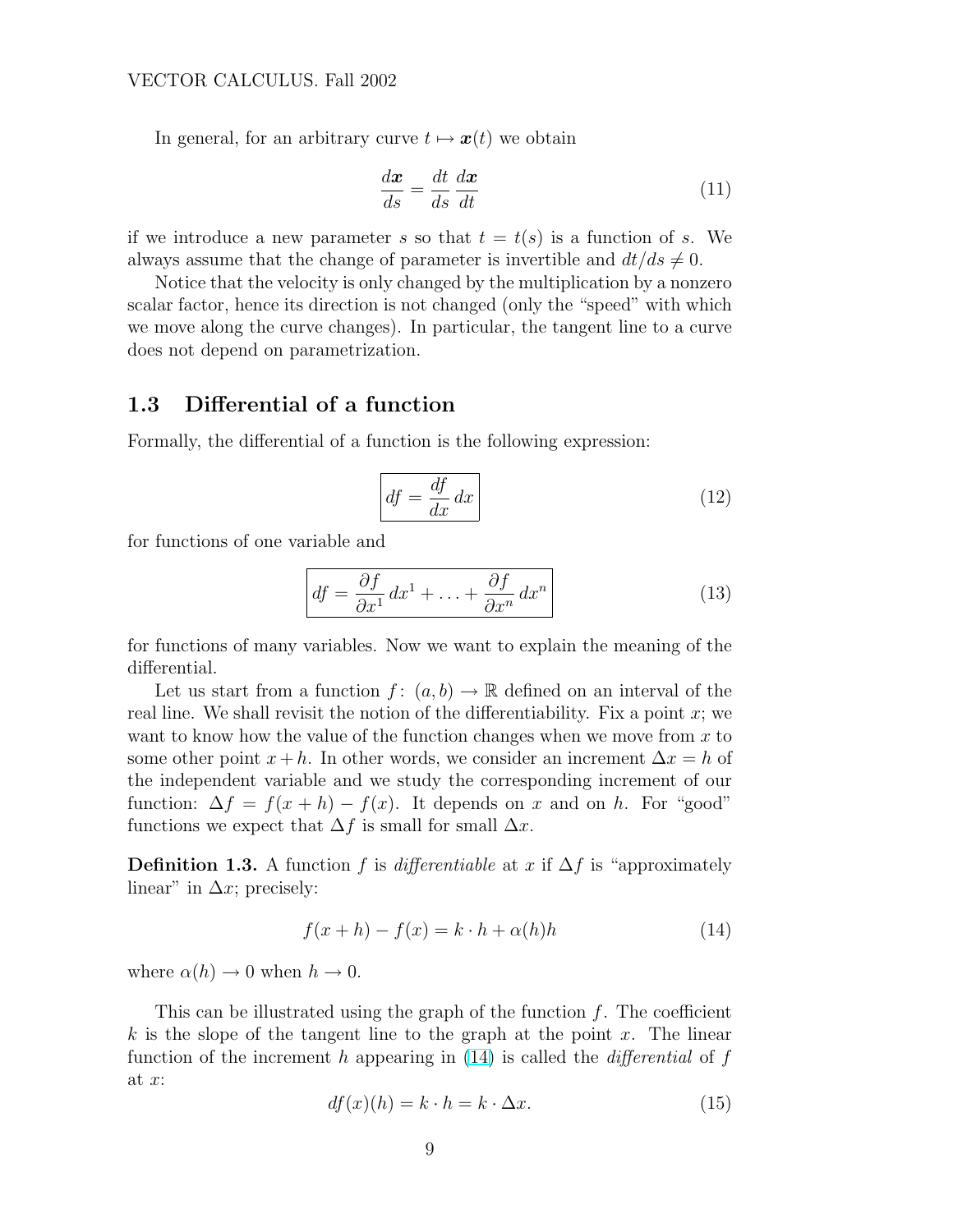<span id="page-8-0"></span>In general, for an arbitrary curve  $t \mapsto x(t)$  we obtain

$$
\frac{d\boldsymbol{x}}{ds} = \frac{dt}{ds}\frac{d\boldsymbol{x}}{dt} \tag{11}
$$

if we introduce a new parameter s so that  $t = t(s)$  is a function of s. We always assume that the change of parameter is invertible and  $dt/ds \neq 0$ .

Notice that the velocity is only changed by the multiplication by a nonzero scalar factor, hence its direction is not changed (only the "speed" with which we move along the curve changes). In particular, the tangent line to a curve does not depend on parametrization.

## 1.3 Differential of a function

Formally, the differential of a function is the following expression:

$$
df = \frac{df}{dx} dx
$$
 (12)

for functions of one variable and

$$
df = \frac{\partial f}{\partial x^1} dx^1 + \ldots + \frac{\partial f}{\partial x^n} dx^n
$$
 (13)

for functions of many variables. Now we want to explain the meaning of the differential.

Let us start from a function  $f: (a, b) \to \mathbb{R}$  defined on an interval of the real line. We shall revisit the notion of the differentiability. Fix a point  $x$ ; we want to know how the value of the function changes when we move from  $x$  to some other point  $x + h$ . In other words, we consider an increment  $\Delta x = h$  of the independent variable and we study the corresponding increment of our function:  $\Delta f = f(x+h) - f(x)$ . It depends on x and on h. For "good" functions we expect that  $\Delta f$  is small for small  $\Delta x$ .

**Definition 1.3.** A function f is differentiable at x if  $\Delta f$  is "approximately linear" in  $\Delta x$ ; precisely:

$$
f(x+h) - f(x) = k \cdot h + \alpha(h)h \tag{14}
$$

where  $\alpha(h) \to 0$  when  $h \to 0$ .

This can be illustrated using the graph of the function  $f$ . The coefficient  $k$  is the slope of the tangent line to the graph at the point x. The linear function of the increment h appearing in  $(14)$  is called the *differential* of f at  $x$ :

$$
df(x)(h) = k \cdot h = k \cdot \Delta x.
$$
\n(15)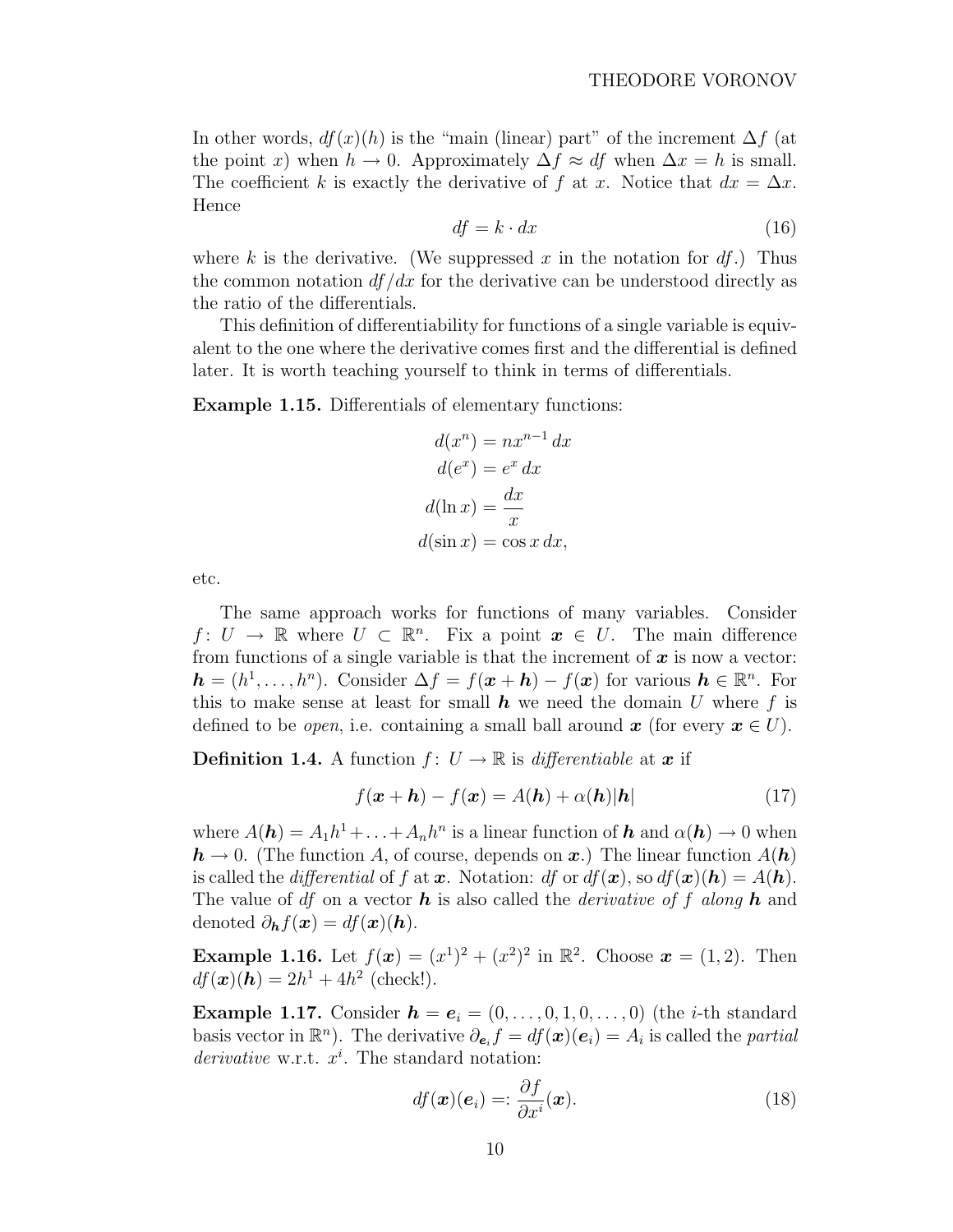<span id="page-9-0"></span>In other words,  $df(x)(h)$  is the "main (linear) part" of the increment  $\Delta f$  (at the point x) when  $h \to 0$ . Approximately  $\Delta f \approx df$  when  $\Delta x = h$  is small. The coefficient k is exactly the derivative of f at x. Notice that  $dx = \Delta x$ . Hence

$$
df = k \cdot dx \tag{16}
$$

where k is the derivative. (We suppressed x in the notation for  $df$ .) Thus the common notation  $df/dx$  for the derivative can be understood directly as the ratio of the differentials.

This definition of differentiability for functions of a single variable is equivalent to the one where the derivative comes first and the differential is defined later. It is worth teaching yourself to think in terms of differentials.

Example 1.15. Differentials of elementary functions:

$$
d(x^n) = nx^{n-1} dx
$$

$$
d(e^x) = e^x dx
$$

$$
d(\ln x) = \frac{dx}{x}
$$

$$
d(\sin x) = \cos x dx,
$$

etc.

The same approach works for functions of many variables. Consider  $f: U \to \mathbb{R}$  where  $U \subset \mathbb{R}^n$ . Fix a point  $x \in U$ . The main difference from functions of a single variable is that the increment of  $x$  is now a vector:  $h = (h^1, \ldots, h^n)$ . Consider  $\Delta f = f(x + h) - f(x)$  for various  $h \in \mathbb{R}^n$ . For this to make sense at least for small  $h$  we need the domain U where f is defined to be *open*, i.e. containing a small ball around  $x$  (for every  $x \in U$ ).

**Definition 1.4.** A function  $f: U \to \mathbb{R}$  is differentiable at x if

$$
f(\mathbf{x} + \mathbf{h}) - f(\mathbf{x}) = A(\mathbf{h}) + \alpha(\mathbf{h})|\mathbf{h}| \tag{17}
$$

where  $A(\mathbf{h}) = A_1 h^1 + \ldots + A_n h^n$  is a linear function of  $\mathbf{h}$  and  $\alpha(\mathbf{h}) \to 0$  when  $h \to 0$ . (The function A, of course, depends on x.) The linear function  $A(h)$ is called the *differential* of f at x. Notation: df or  $df(\mathbf{x})$ , so  $df(\mathbf{x})(h) = A(h)$ . The value of df on a vector **h** is also called the *derivative of f along* **h** and denoted  $\partial_{\mathbf{h}}f(\mathbf{x}) = df(\mathbf{x})(\mathbf{h}).$ 

**Example 1.16.** Let  $f(x) = (x^1)^2 + (x^2)^2$  in  $\mathbb{R}^2$ . Choose  $x = (1, 2)$ . Then  $df(\bm{x}) (\bm{h}) = 2h^1 + 4h^2$  (check!).

**Example 1.17.** Consider  $h = e_i = (0, \ldots, 0, 1, 0, \ldots, 0)$  (the *i*-th standard basis vector in  $\mathbb{R}^n$ ). The derivative  $\partial_{\mathbf{e}_i} f = df(\mathbf{x})(\mathbf{e}_i) = A_i$  is called the *partial* derivative w.r.t.  $x^i$ . The standard notation:

$$
df(\boldsymbol{x})(\boldsymbol{e}_i) =: \frac{\partial f}{\partial x^i}(\boldsymbol{x}).
$$
\n(18)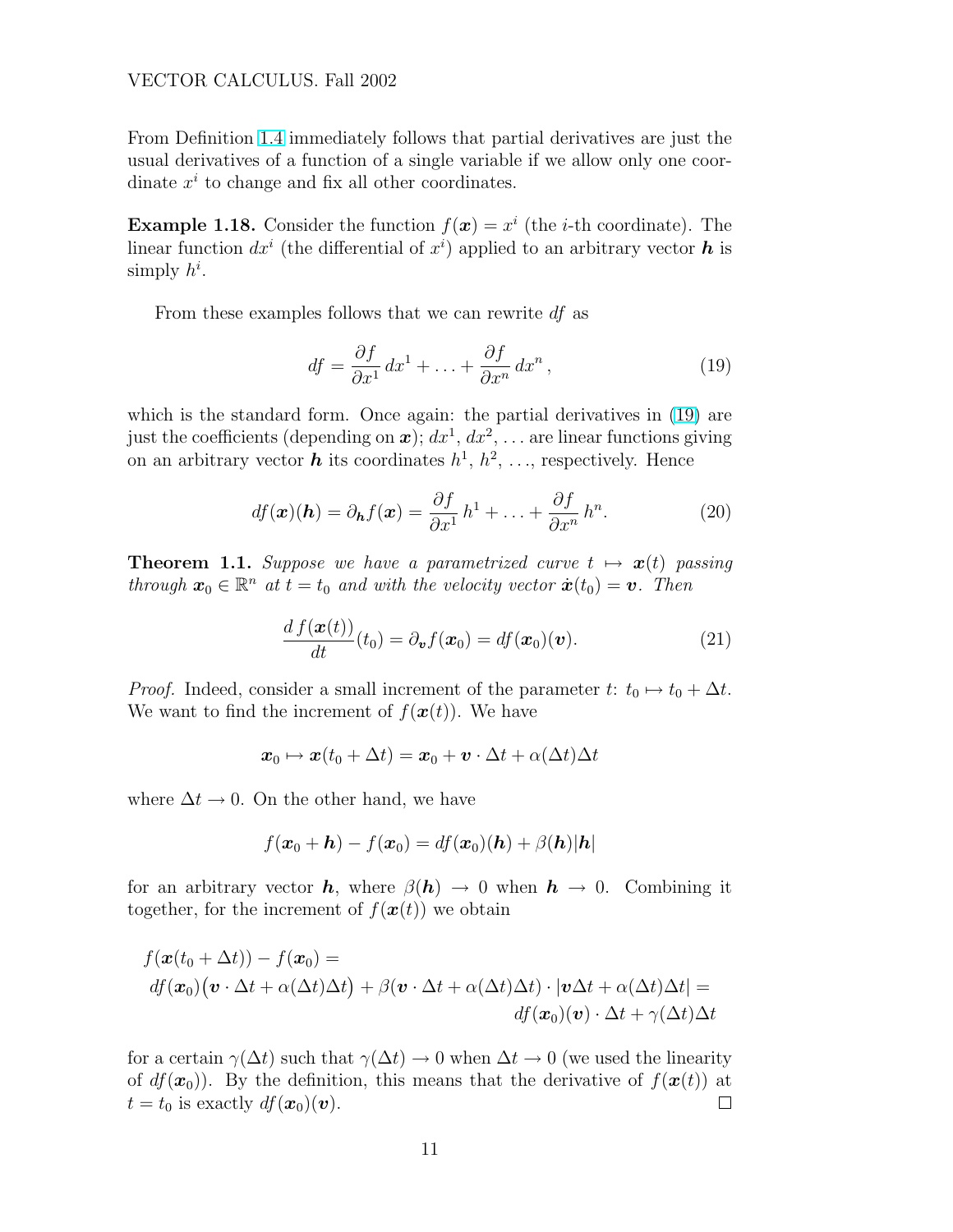<span id="page-10-0"></span>From Definition [1.4](#page-9-0) immediately follows that partial derivatives are just the usual derivatives of a function of a single variable if we allow only one coordinate  $x^i$  to change and fix all other coordinates.

**Example 1.18.** Consider the function  $f(x) = x^i$  (the *i*-th coordinate). The linear function  $dx^{i}$  (the differential of  $x^{i}$ ) applied to an arbitrary vector  $h$  is simply  $h^i$ .

From these examples follows that we can rewrite df as

$$
df = \frac{\partial f}{\partial x^1} dx^1 + \ldots + \frac{\partial f}{\partial x^n} dx^n, \qquad (19)
$$

which is the standard form. Once again: the partial derivatives in  $(19)$  are just the coefficients (depending on  $\boldsymbol{x}$ );  $dx^1, dx^2, \ldots$  are linear functions giving on an arbitrary vector **h** its coordinates  $h^1, h^2, \ldots$ , respectively. Hence

$$
df(\boldsymbol{x})(\boldsymbol{h}) = \partial_{\boldsymbol{h}}f(\boldsymbol{x}) = \frac{\partial f}{\partial x^1}h^1 + \ldots + \frac{\partial f}{\partial x^n}h^n.
$$
 (20)

**Theorem 1.1.** Suppose we have a parametrized curve  $t \mapsto x(t)$  passing through  $\mathbf{x}_0 \in \mathbb{R}^n$  at  $t = t_0$  and with the velocity vector  $\dot{\mathbf{x}}(t_0) = \mathbf{v}$ . Then

$$
\frac{d f(\boldsymbol{x}(t))}{dt}(t_0) = \partial_{\boldsymbol{v}} f(\boldsymbol{x}_0) = df(\boldsymbol{x}_0)(\boldsymbol{v}). \tag{21}
$$

*Proof.* Indeed, consider a small increment of the parameter t:  $t_0 \mapsto t_0 + \Delta t$ . We want to find the increment of  $f(\boldsymbol{x}(t))$ . We have

$$
\boldsymbol{x}_0 \mapsto \boldsymbol{x}(t_0+\Delta t) = \boldsymbol{x}_0 + \boldsymbol{v} \cdot \Delta t + \alpha(\Delta t) \Delta t
$$

where  $\Delta t \rightarrow 0$ . On the other hand, we have

$$
f(\boldsymbol{x}_0 + \boldsymbol{h}) - f(\boldsymbol{x}_0) = df(\boldsymbol{x}_0)(\boldsymbol{h}) + \beta(\boldsymbol{h})|\boldsymbol{h}|
$$

for an arbitrary vector **h**, where  $\beta(h) \to 0$  when  $h \to 0$ . Combining it together, for the increment of  $f(\boldsymbol{x}(t))$  we obtain

$$
f(\boldsymbol{x}(t_0 + \Delta t)) - f(\boldsymbol{x}_0) =
$$
  

$$
df(\boldsymbol{x}_0)(\boldsymbol{v} \cdot \Delta t + \alpha(\Delta t)\Delta t) + \beta(\boldsymbol{v} \cdot \Delta t + \alpha(\Delta t)\Delta t) \cdot |\boldsymbol{v}\Delta t + \alpha(\Delta t)\Delta t| =
$$
  

$$
df(\boldsymbol{x}_0)(\boldsymbol{v}) \cdot \Delta t + \gamma(\Delta t)\Delta t
$$

for a certain  $\gamma(\Delta t)$  such that  $\gamma(\Delta t) \to 0$  when  $\Delta t \to 0$  (we used the linearity of  $df(\mathbf{x}_0)$ . By the definition, this means that the derivative of  $f(\mathbf{x}(t))$  at  $t = t_0$  is exactly  $df(\boldsymbol{x}_0)(\boldsymbol{v})$ .  $\Box$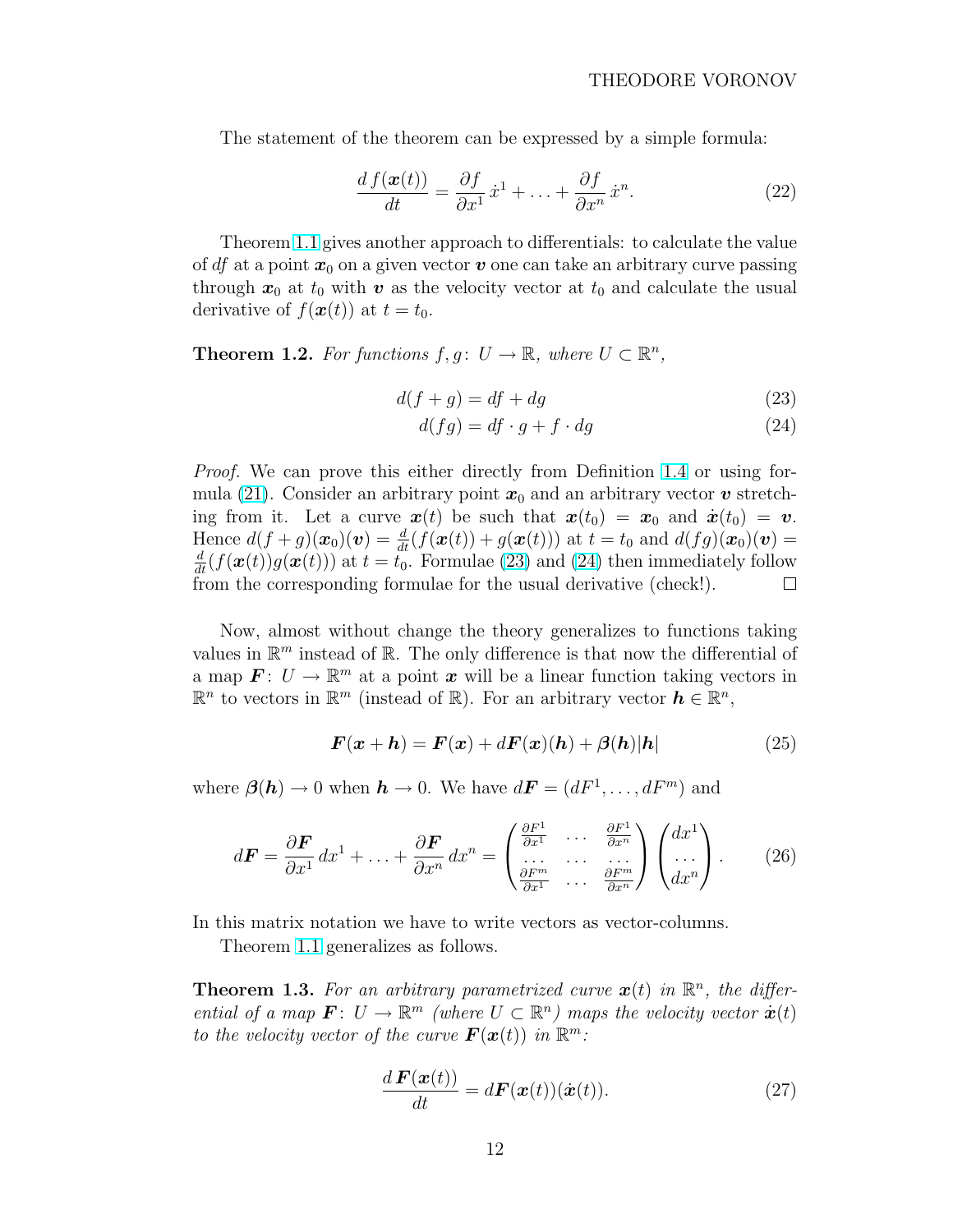<span id="page-11-0"></span>The statement of the theorem can be expressed by a simple formula:

$$
\frac{d f(\boldsymbol{x}(t))}{dt} = \frac{\partial f}{\partial x^1} \dot{x}^1 + \ldots + \frac{\partial f}{\partial x^n} \dot{x}^n.
$$
 (22)

Theorem [1.1](#page-10-0) gives another approach to differentials: to calculate the value of df at a point  $x_0$  on a given vector v one can take an arbitrary curve passing through  $x_0$  at  $t_0$  with v as the velocity vector at  $t_0$  and calculate the usual derivative of  $f(\boldsymbol{x}(t))$  at  $t = t_0$ .

**Theorem 1.2.** For functions  $f, g \colon U \to \mathbb{R}$ , where  $U \subset \mathbb{R}^n$ ,

$$
d(f+g) = df + dg \tag{23}
$$

$$
d(fg) = df \cdot g + f \cdot dg \tag{24}
$$

Proof. We can prove this either directly from Definition [1.4](#page-9-0) or using for-mula [\(21\)](#page-10-0). Consider an arbitrary point  $x_0$  and an arbitrary vector v stretching from it. Let a curve  $\mathbf{x}(t)$  be such that  $\mathbf{x}(t_0) = \mathbf{x}_0$  and  $\dot{\mathbf{x}}(t_0) = \mathbf{v}$ . Hence  $d(f+g)(\boldsymbol{x}_0)(\boldsymbol{v}) = \frac{d}{dt}(f(\boldsymbol{x}(t)) + g(\boldsymbol{x}(t)))$  at  $t = t_0$  and  $d(fg)(\boldsymbol{x}_0)(\boldsymbol{v}) =$  $\frac{d}{dt}(f(\boldsymbol{x}(t))g(\boldsymbol{x}(t)))$  at  $t = t_0$ . Formulae (23) and (24) then immediately follow from the corresponding formulae for the usual derivative (check!).  $\Box$ 

Now, almost without change the theory generalizes to functions taking values in  $\mathbb{R}^m$  instead of  $\mathbb{R}$ . The only difference is that now the differential of a map  $\mathbf{F}: U \to \mathbb{R}^m$  at a point  $\mathbf{x}$  will be a linear function taking vectors in  $\mathbb{R}^n$  to vectors in  $\mathbb{R}^m$  (instead of  $\mathbb{R}$ ). For an arbitrary vector  $\mathbf{h} \in \mathbb{R}^n$ ,

$$
\boldsymbol{F}(\boldsymbol{x} + \boldsymbol{h}) = \boldsymbol{F}(\boldsymbol{x}) + d\boldsymbol{F}(\boldsymbol{x}) (\boldsymbol{h}) + \boldsymbol{\beta}(\boldsymbol{h}) |\boldsymbol{h}| \tag{25}
$$

where  $\beta(h) \to 0$  when  $h \to 0$ . We have  $d\mathbf{F} = (dF^1, \dots, dF^m)$  and

$$
d\boldsymbol{F} = \frac{\partial \boldsymbol{F}}{\partial x^1} dx^1 + \ldots + \frac{\partial \boldsymbol{F}}{\partial x^n} dx^n = \begin{pmatrix} \frac{\partial F^1}{\partial x^1} & \cdots & \frac{\partial F^1}{\partial x^n} \\ \vdots & \ddots & \vdots \\ \frac{\partial F^m}{\partial x^1} & \cdots & \frac{\partial F^m}{\partial x^n} \end{pmatrix} \begin{pmatrix} dx^1 \\ \cdots \\ dx^n \end{pmatrix} . \tag{26}
$$

In this matrix notation we have to write vectors as vector-columns.

Theorem [1.1](#page-10-0) generalizes as follows.

**Theorem 1.3.** For an arbitrary parametrized curve  $x(t)$  in  $\mathbb{R}^n$ , the differential of a map  $\mathbf{F}: U \to \mathbb{R}^m$  (where  $U \subset \mathbb{R}^n$ ) maps the velocity vector  $\dot{\mathbf{x}}(t)$ to the velocity vector of the curve  $\mathbf{F}(\boldsymbol{x}(t))$  in  $\mathbb{R}^m$ .

$$
\frac{d\mathbf{F}(\mathbf{x}(t))}{dt} = d\mathbf{F}(\mathbf{x}(t))(\dot{\mathbf{x}}(t)).
$$
\n(27)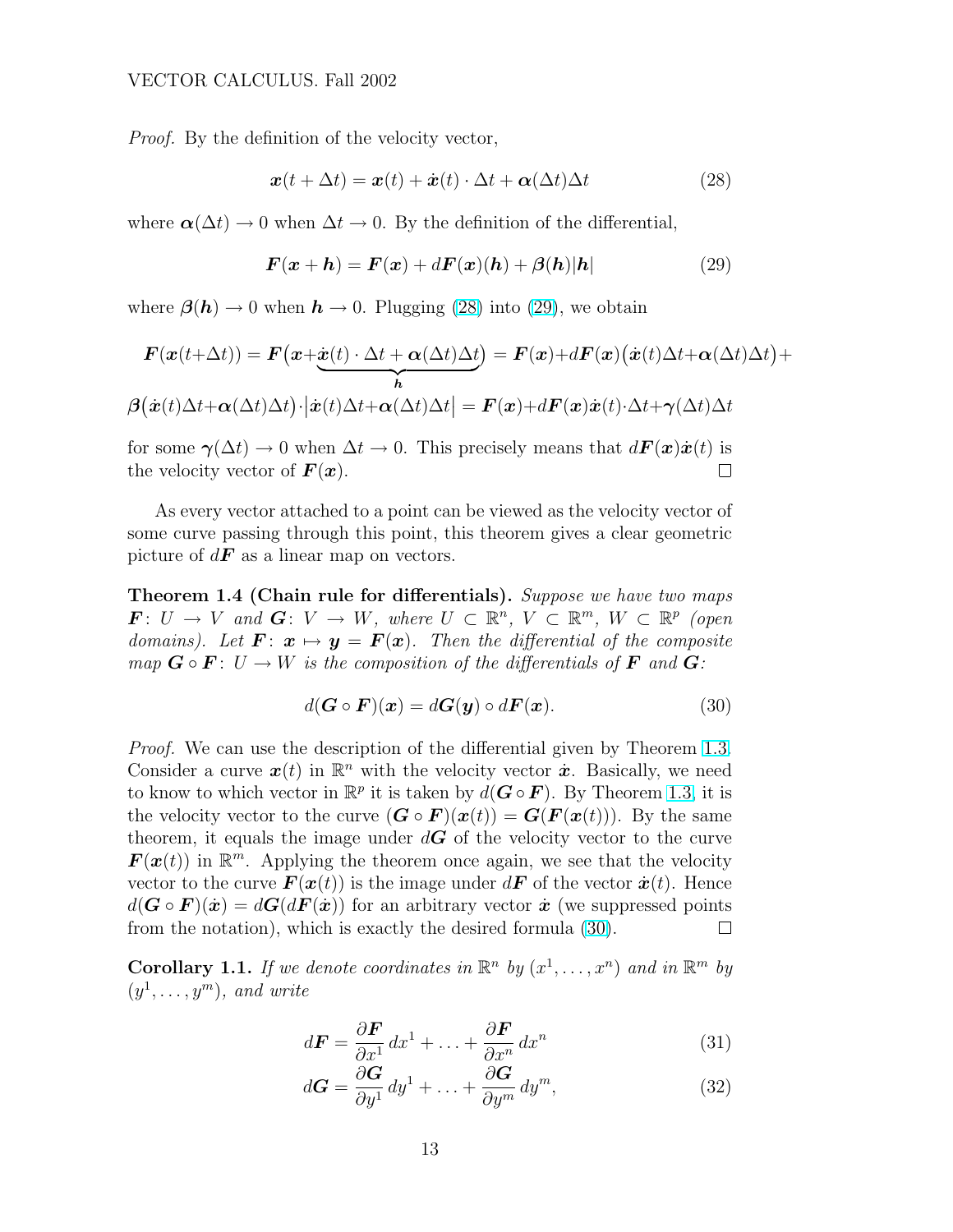<span id="page-12-0"></span>Proof. By the definition of the velocity vector,

$$
\boldsymbol{x}(t + \Delta t) = \boldsymbol{x}(t) + \dot{\boldsymbol{x}}(t) \cdot \Delta t + \boldsymbol{\alpha}(\Delta t) \Delta t \tag{28}
$$

where  $\alpha(\Delta t) \to 0$  when  $\Delta t \to 0$ . By the definition of the differential,

$$
\boldsymbol{F}(\boldsymbol{x} + \boldsymbol{h}) = \boldsymbol{F}(\boldsymbol{x}) + d\boldsymbol{F}(\boldsymbol{x}) (\boldsymbol{h}) + \boldsymbol{\beta}(\boldsymbol{h}) |\boldsymbol{h}| \tag{29}
$$

where  $\beta(h) \to 0$  when  $h \to 0$ . Plugging (28) into (29), we obtain

$$
F(\mathbf{x}(t+\Delta t)) = F(\mathbf{x}+\underline{\dot{\mathbf{x}}(t)} \cdot \Delta t + \alpha(\Delta t)\Delta t) = F(\mathbf{x})+dF(\mathbf{x})(\dot{\mathbf{x}}(t)\Delta t + \alpha(\Delta t)\Delta t) + \beta(\dot{\mathbf{x}}(t)\Delta t + \alpha(\Delta t)\Delta t)\cdot |\dot{\mathbf{x}}(t)\Delta t + \alpha(\Delta t)\Delta t| = F(\mathbf{x})+dF(\mathbf{x})\dot{\mathbf{x}}(t)\cdot \Delta t + \gamma(\Delta t)\Delta t
$$

for some  $\gamma(\Delta t) \to 0$  when  $\Delta t \to 0$ . This precisely means that  $d\mathbf{F}(\mathbf{x})\dot{\mathbf{x}}(t)$  is the velocity vector of  $\bm{F}(\bm{x})$ .  $\Box$ 

As every vector attached to a point can be viewed as the velocity vector of some curve passing through this point, this theorem gives a clear geometric picture of  $d\boldsymbol{F}$  as a linear map on vectors.

Theorem 1.4 (Chain rule for differentials). Suppose we have two maps  $\mathbf{F}: U \to V$  and  $\mathbf{G}: V \to W$ , where  $U \subset \mathbb{R}^n$ ,  $V \subset \mathbb{R}^m$ ,  $W \subset \mathbb{R}^p$  (open domains). Let  $\mathbf{F}: \mathbf{x} \mapsto \mathbf{y} = \mathbf{F}(\mathbf{x})$ . Then the differential of the composite map  $\mathbf{G} \circ \mathbf{F} : U \to W$  is the composition of the differentials of  $\mathbf{F}$  and  $\mathbf{G}$ :

$$
d(\mathbf{G} \circ \mathbf{F})(\mathbf{x}) = d\mathbf{G}(\mathbf{y}) \circ d\mathbf{F}(\mathbf{x}). \tag{30}
$$

Proof. We can use the description of the differential given by Theorem [1.3.](#page-11-0) Consider a curve  $x(t)$  in  $\mathbb{R}^n$  with the velocity vector  $\dot{x}$ . Basically, we need to know to which vector in  $\mathbb{R}^p$  it is taken by  $d(G \circ F)$ . By Theorem [1.3,](#page-11-0) it is the velocity vector to the curve  $(\mathbf{G} \circ \mathbf{F})(\mathbf{x}(t)) = \mathbf{G}(\mathbf{F}(\mathbf{x}(t)))$ . By the same theorem, it equals the image under  $d\mathbf{G}$  of the velocity vector to the curve  $\mathbf{F}(\mathbf{x}(t))$  in  $\mathbb{R}^m$ . Applying the theorem once again, we see that the velocity vector to the curve  $\mathbf{F}(\mathbf{x}(t))$  is the image under  $d\mathbf{F}$  of the vector  $\dot{\mathbf{x}}(t)$ . Hence  $d(G \circ F)(\dot{x}) = dG(dF(\dot{x}))$  for an arbitrary vector  $\dot{x}$  (we suppressed points from the notation), which is exactly the desired formula (30). П

**Corollary 1.1.** If we denote coordinates in  $\mathbb{R}^n$  by  $(x^1, \ldots, x^n)$  and in  $\mathbb{R}^m$  by  $(y^1, \ldots, y^m)$ , and write

$$
d\boldsymbol{F} = \frac{\partial \boldsymbol{F}}{\partial x^1} dx^1 + \ldots + \frac{\partial \boldsymbol{F}}{\partial x^n} dx^n \tag{31}
$$

$$
d\mathbf{G} = \frac{\partial \mathbf{G}}{\partial y^1} dy^1 + \ldots + \frac{\partial \mathbf{G}}{\partial y^m} dy^m,
$$
 (32)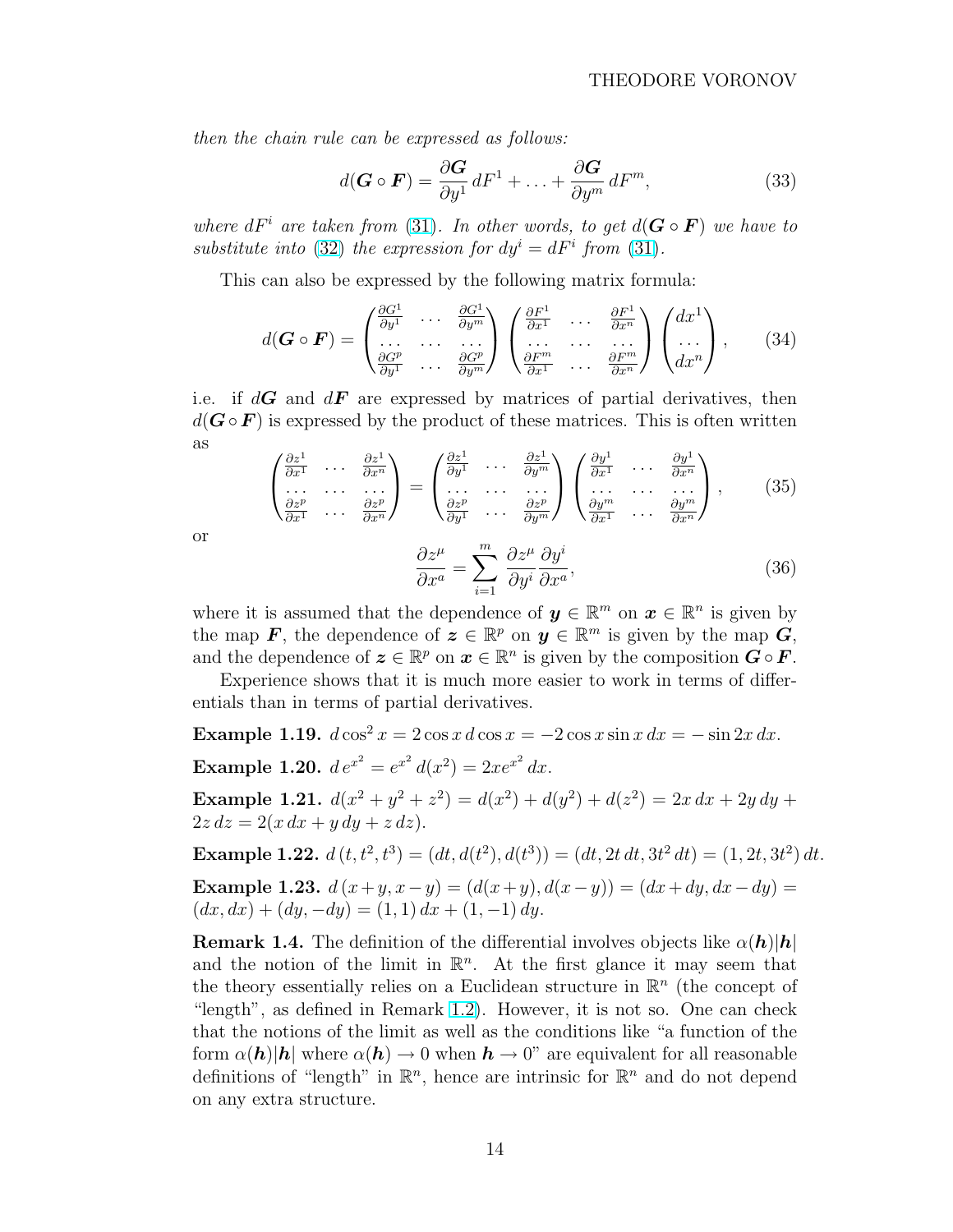then the chain rule can be expressed as follows:

$$
d(\mathbf{G} \circ \mathbf{F}) = \frac{\partial \mathbf{G}}{\partial y^1} dF^1 + \dots + \frac{\partial \mathbf{G}}{\partial y^m} dF^m,
$$
 (33)

where  $dF^i$  are taken from [\(31\)](#page-12-0). In other words, to get  $d(G \circ F)$  we have to substitute into [\(32\)](#page-12-0) the expression for  $dy^{i} = dF^{i}$  from [\(31\)](#page-12-0).

This can also be expressed by the following matrix formula:

$$
d(\mathbf{G} \circ \mathbf{F}) = \begin{pmatrix} \frac{\partial G^1}{\partial y^1} & \cdots & \frac{\partial G^1}{\partial y^m} \\ \cdots & \cdots & \cdots \\ \frac{\partial G^p}{\partial y^1} & \cdots & \frac{\partial G^p}{\partial y^m} \end{pmatrix} \begin{pmatrix} \frac{\partial F^1}{\partial x^1} & \cdots & \frac{\partial F^1}{\partial x^n} \\ \cdots & \cdots & \cdots \\ \frac{\partial F^m}{\partial x^1} & \cdots & \frac{\partial F^m}{\partial x^n} \end{pmatrix} \begin{pmatrix} dx^1 \\ \cdots \\ dx^n \end{pmatrix}, \qquad (34)
$$

i.e. if  $d\mathbf{G}$  and  $d\mathbf{F}$  are expressed by matrices of partial derivatives, then  $d(G \circ F)$  is expressed by the product of these matrices. This is often written as  $\overline{\phantom{a}}$  $\mathbf{r}$  $\overline{\phantom{a}}$  $\mathbf{r}$  $\overline{\phantom{a}}$  $\mathbf{r}$ 

$$
\begin{pmatrix}\n\frac{\partial z^1}{\partial x^1} & \cdots & \frac{\partial z^1}{\partial x^n} \\
\vdots & \ddots & \vdots \\
\frac{\partial z^p}{\partial x^1} & \cdots & \frac{\partial z^p}{\partial x^n}\n\end{pmatrix} = \begin{pmatrix}\n\frac{\partial z^1}{\partial y^1} & \cdots & \frac{\partial z^1}{\partial y^m} \\
\vdots & \ddots & \vdots \\
\frac{\partial z^p}{\partial y^1} & \cdots & \frac{\partial z^p}{\partial y^m}\n\end{pmatrix} \begin{pmatrix}\n\frac{\partial y^1}{\partial x^1} & \cdots & \frac{\partial y^1}{\partial x^n} \\
\vdots & \ddots & \vdots \\
\frac{\partial y^m}{\partial x^1} & \cdots & \frac{\partial y^m}{\partial x^n}\n\end{pmatrix},
$$
\n(35)

or

$$
\frac{\partial z^{\mu}}{\partial x^{a}} = \sum_{i=1}^{m} \frac{\partial z^{\mu}}{\partial y^{i}} \frac{\partial y^{i}}{\partial x^{a}},
$$
\n(36)

where it is assumed that the dependence of  $y \in \mathbb{R}^m$  on  $x \in \mathbb{R}^n$  is given by the map F, the dependence of  $\boldsymbol{z} \in \mathbb{R}^p$  on  $\boldsymbol{y} \in \mathbb{R}^m$  is given by the map  $\boldsymbol{G}$ , and the dependence of  $\boldsymbol{z} \in \mathbb{R}^p$  on  $\boldsymbol{x} \in \mathbb{R}^n$  is given by the composition  $\boldsymbol{G} \circ \boldsymbol{F}$ .

Experience shows that it is much more easier to work in terms of differentials than in terms of partial derivatives.

Example 1.19.  $d \cos^2 x = 2 \cos x \, d \cos x = -2 \cos x \sin x \, dx = -\sin 2x \, dx$ . **Example 1.20.**  $de^{x^2} = e^{x^2} d(x^2) = 2xe^{x^2} dx$ .

Example 1.21.  $d(x^2 + y^2 + z^2) = d(x^2) + d(y^2) + d(z^2) = 2x dx + 2y dy +$  $2z dz = 2(x dx + y dy + z dz).$ 

**Example 1.22.**  $d(t, t^2, t^3) = (dt, d(t^2), d(t^3)) = (dt, 2t dt, 3t^2 dt) = (1, 2t, 3t^2) dt.$ 

Example 1.23.  $d(x+y, x-y) = (d(x+y), d(x-y)) = (dx+dy, dx-dy) =$  $(dx, dx) + (dy, -dy) = (1, 1) dx + (1, -1) dy.$ 

**Remark 1.4.** The definition of the differential involves objects like  $\alpha(h)|h|$ and the notion of the limit in  $\mathbb{R}^n$ . At the first glance it may seem that the theory essentially relies on a Euclidean structure in  $\mathbb{R}^n$  (the concept of "length", as defined in Remark [1.2\)](#page-4-0). However, it is not so. One can check that the notions of the limit as well as the conditions like "a function of the form  $\alpha(\mathbf{h})|\mathbf{h}|$  where  $\alpha(\mathbf{h}) \to 0$  when  $\mathbf{h} \to 0$ " are equivalent for all reasonable definitions of "length" in  $\mathbb{R}^n$ , hence are intrinsic for  $\mathbb{R}^n$  and do not depend on any extra structure.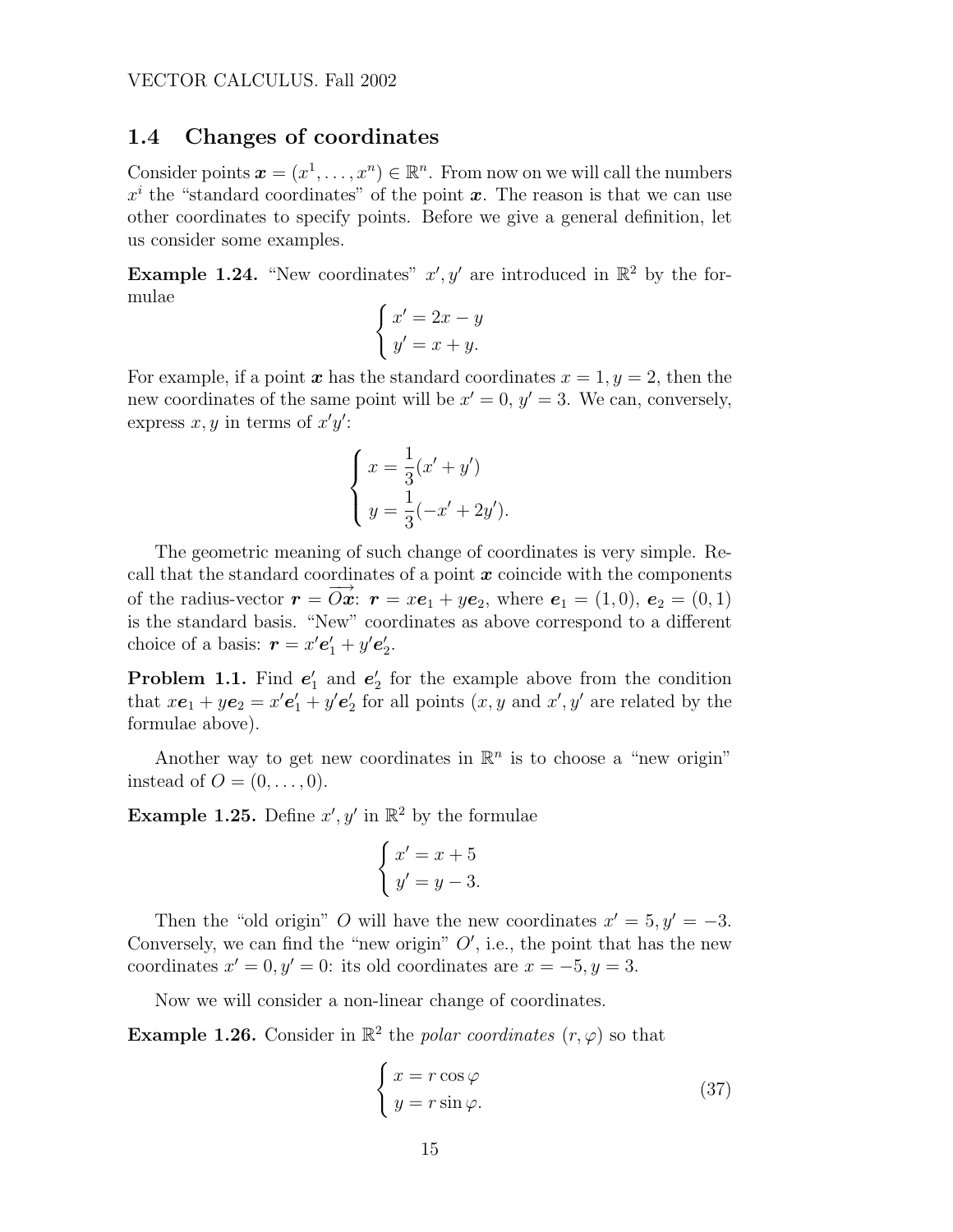### <span id="page-14-0"></span>1.4 Changes of coordinates

Consider points  $\boldsymbol{x} = (x^1, \dots, x^n) \in \mathbb{R}^n$ . From now on we will call the numbers  $x^i$  the "standard coordinates" of the point  $x$ . The reason is that we can use other coordinates to specify points. Before we give a general definition, let us consider some examples.

**Example 1.24.** "New coordinates"  $x', y'$  are introduced in  $\mathbb{R}^2$  by the formulae  $\overline{a}$ 

$$
\begin{cases}\nx' = 2x - y \\
y' = x + y.\n\end{cases}
$$

For example, if a point x has the standard coordinates  $x = 1, y = 2$ , then the new coordinates of the same point will be  $x' = 0$ ,  $y' = 3$ . We can, conversely, express  $x, y$  in terms of  $x'y'$ :

$$
\begin{cases}\nx = \frac{1}{3}(x' + y') \\
y = \frac{1}{3}(-x' + 2y').\n\end{cases}
$$

The geometric meaning of such change of coordinates is very simple. Recall that the standard coordinates of a point  $x$  coincide with the components of the radius-vector  $\mathbf{r} = \overrightarrow{Ox}$ :  $\mathbf{r} = x\mathbf{e}_1 + y\mathbf{e}_2$ , where  $\mathbf{e}_1 = (1, 0)$ ,  $\mathbf{e}_2 = (0, 1)$ is the standard basis. "New" coordinates as above correspond to a different choice of a basis:  $\mathbf{r} = x' \mathbf{e}'_1 + y' \mathbf{e}'_2$ .

**Problem 1.1.** Find  $e'_1$  and  $e'_2$  for the example above from the condition that  $xe_1 + ye_2 = x'e'_1 + y'e'_2$  for all points  $(x, y \text{ and } x', y' \text{ are related by the})$ formulae above).

Another way to get new coordinates in  $\mathbb{R}^n$  is to choose a "new origin" instead of  $O = (0, \ldots, 0)$ .

**Example 1.25.** Define  $x', y'$  in  $\mathbb{R}^2$  by the formulae

$$
\begin{cases}\nx' = x + 5 \\
y' = y - 3.\n\end{cases}
$$

Then the "old origin" O will have the new coordinates  $x' = 5, y' = -3$ . Conversely, we can find the "new origin"  $O'$ , i.e., the point that has the new coordinates  $x' = 0, y' = 0$ : its old coordinates are  $x = -5, y = 3$ .

Now we will consider a non-linear change of coordinates.

**Example 1.26.** Consider in  $\mathbb{R}^2$  the polar coordinates  $(r, \varphi)$  so that

$$
\begin{cases}\n x = r \cos \varphi \\
 y = r \sin \varphi.\n\end{cases} (37)
$$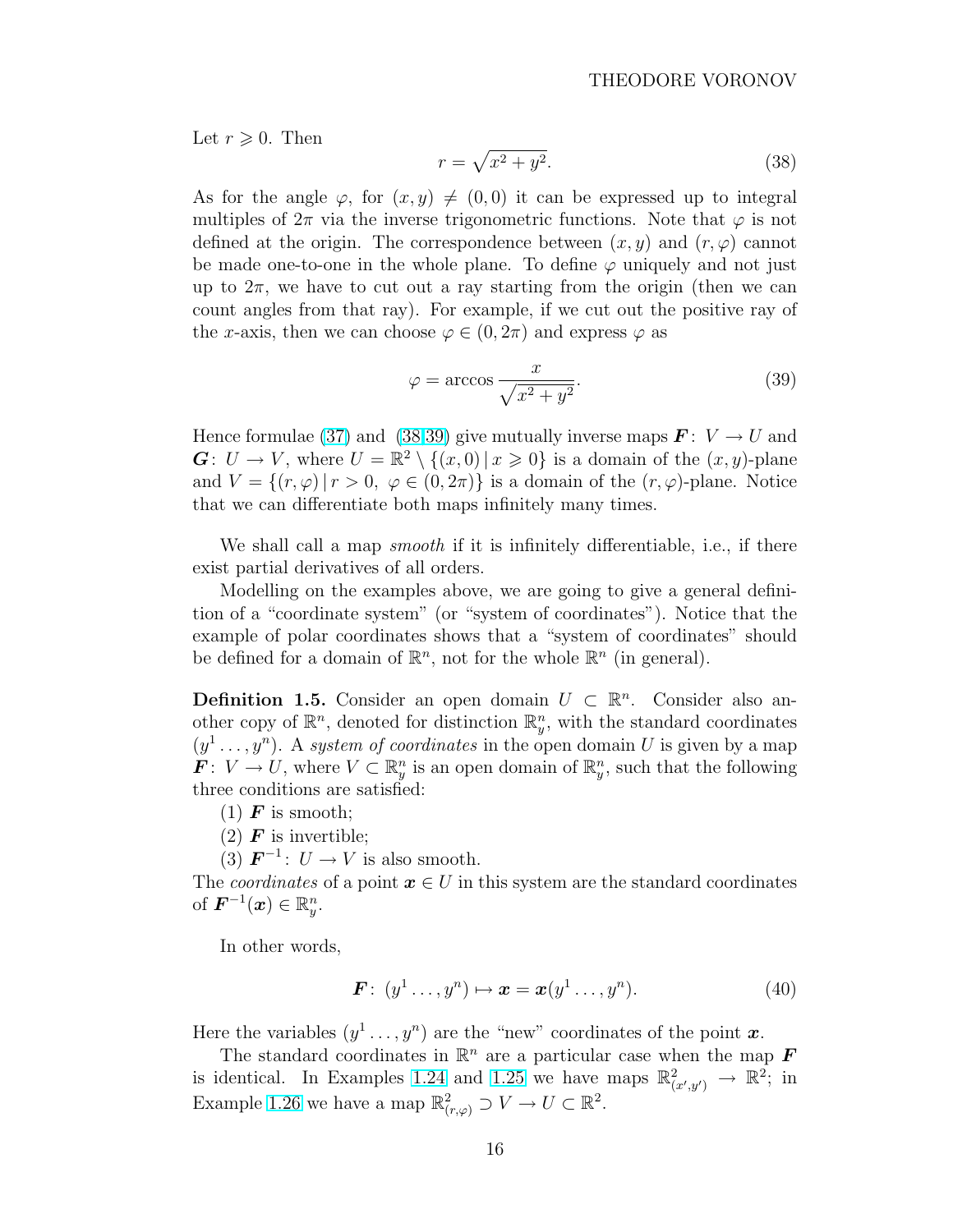<span id="page-15-0"></span>Let  $r \geq 0$ . Then

$$
r = \sqrt{x^2 + y^2}.\tag{38}
$$

As for the angle  $\varphi$ , for  $(x, y) \neq (0, 0)$  it can be expressed up to integral multiples of  $2\pi$  via the inverse trigonometric functions. Note that  $\varphi$  is not defined at the origin. The correspondence between  $(x, y)$  and  $(r, \varphi)$  cannot be made one-to-one in the whole plane. To define  $\varphi$  uniquely and not just up to  $2\pi$ , we have to cut out a ray starting from the origin (then we can count angles from that ray). For example, if we cut out the positive ray of the x-axis, then we can choose  $\varphi \in (0, 2\pi)$  and express  $\varphi$  as

$$
\varphi = \arccos \frac{x}{\sqrt{x^2 + y^2}}.\tag{39}
$$

Hence formulae [\(37\)](#page-14-0) and (38,39) give mutually inverse maps  $\mathbf{F}: V \to U$  and  $\mathbf{G}: U \to V$ , where  $U = \mathbb{R}^2 \setminus \{(x,0) | x \geq 0\}$  is a domain of the  $(x, y)$ -plane and  $V = \{(r, \varphi) | r > 0, \varphi \in (0, 2\pi)\}\$ is a domain of the  $(r, \varphi)$ -plane. Notice that we can differentiate both maps infinitely many times.

We shall call a map *smooth* if it is infinitely differentiable, i.e., if there exist partial derivatives of all orders.

Modelling on the examples above, we are going to give a general definition of a "coordinate system" (or "system of coordinates"). Notice that the example of polar coordinates shows that a "system of coordinates" should be defined for a domain of  $\mathbb{R}^n$ , not for the whole  $\mathbb{R}^n$  (in general).

**Definition 1.5.** Consider an open domain  $U \subset \mathbb{R}^n$ . Consider also another copy of  $\mathbb{R}^n$ , denoted for distinction  $\mathbb{R}^n_y$ , with the standard coordinates  $(y<sup>1</sup> \ldots, y<sup>n</sup>)$ . A system of coordinates in the open domain U is given by a map  $\mathbf{F}: V \to U$ , where  $V \subset \mathbb{R}^n_y$  is an open domain of  $\mathbb{R}^n_y$ , such that the following three conditions are satisfied:

 $(1)$  **F** is smooth;

(2)  $\boldsymbol{F}$  is invertible;

(3)  $\mathbf{F}^{-1}$ :  $U \rightarrow V$  is also smooth.

The *coordinates* of a point  $x \in U$  in this system are the standard coordinates of  $\boldsymbol{F}^{-1}(\boldsymbol{x}) \in \mathbb{R}_{y}^{n}$ .

In other words,

$$
\boldsymbol{F}: (y^1 \dots, y^n) \mapsto \boldsymbol{x} = \boldsymbol{x}(y^1 \dots, y^n). \tag{40}
$$

Here the variables  $(y^1 \ldots, y^n)$  are the "new" coordinates of the point x.

The standard coordinates in  $\mathbb{R}^n$  are a particular case when the map **F** is identical. In Examples [1.24](#page-14-0) and [1.25](#page-14-0) we have maps  $\mathbb{R}^2_{(x',y')} \to \mathbb{R}^2$ ; in Example [1.26](#page-14-0) we have a map  $\mathbb{R}^2_{(r,\varphi)} \supset V \to U \subset \mathbb{R}^2$ .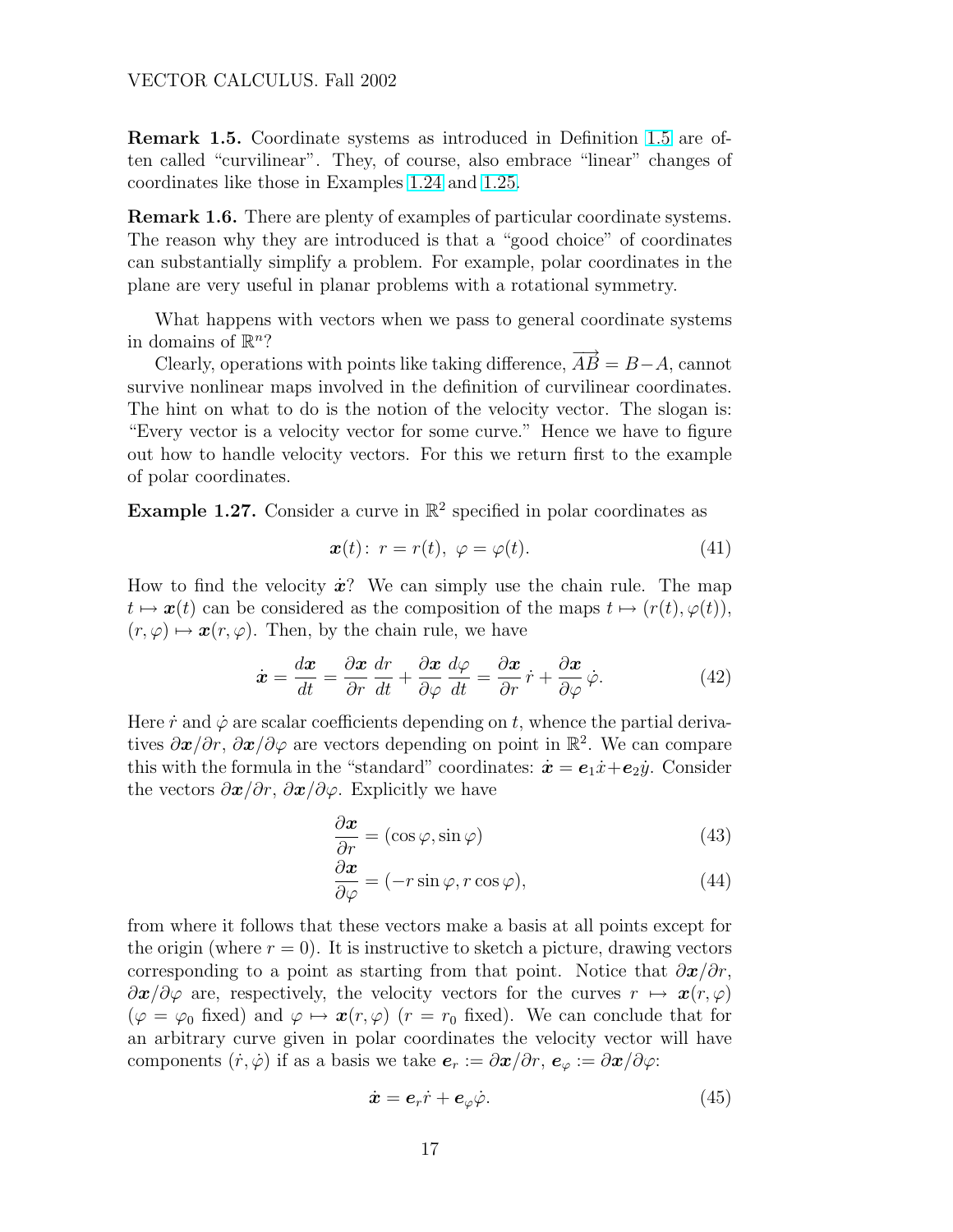#### <span id="page-16-0"></span>VECTOR CALCULUS. Fall 2002

Remark 1.5. Coordinate systems as introduced in Definition [1.5](#page-15-0) are often called "curvilinear". They, of course, also embrace "linear" changes of coordinates like those in Examples [1.24](#page-14-0) and [1.25.](#page-14-0)

Remark 1.6. There are plenty of examples of particular coordinate systems. The reason why they are introduced is that a "good choice" of coordinates can substantially simplify a problem. For example, polar coordinates in the plane are very useful in planar problems with a rotational symmetry.

What happens with vectors when we pass to general coordinate systems in domains of  $\mathbb{R}^n$ ?

Clearly, operations with points like taking difference,  $\overrightarrow{AB} = B - A$ , cannot survive nonlinear maps involved in the definition of curvilinear coordinates. The hint on what to do is the notion of the velocity vector. The slogan is: "Every vector is a velocity vector for some curve." Hence we have to figure out how to handle velocity vectors. For this we return first to the example of polar coordinates.

**Example 1.27.** Consider a curve in  $\mathbb{R}^2$  specified in polar coordinates as

$$
\boldsymbol{x}(t): \ r = r(t), \ \varphi = \varphi(t). \tag{41}
$$

How to find the velocity  $\dot{x}$ ? We can simply use the chain rule. The map  $t \mapsto x(t)$  can be considered as the composition of the maps  $t \mapsto (r(t), \varphi(t)),$  $(r, \varphi) \mapsto \boldsymbol{x}(r, \varphi)$ . Then, by the chain rule, we have

$$
\dot{\boldsymbol{x}} = \frac{d\boldsymbol{x}}{dt} = \frac{\partial \boldsymbol{x}}{\partial r}\frac{dr}{dt} + \frac{\partial \boldsymbol{x}}{\partial \varphi}\frac{d\varphi}{dt} = \frac{\partial \boldsymbol{x}}{\partial r}\dot{r} + \frac{\partial \boldsymbol{x}}{\partial \varphi}\dot{\varphi}.
$$
(42)

Here  $\dot{r}$  and  $\dot{\varphi}$  are scalar coefficients depending on t, whence the partial derivatives  $\partial x/\partial r$ ,  $\partial x/\partial \varphi$  are vectors depending on point in  $\mathbb{R}^2$ . We can compare this with the formula in the "standard" coordinates:  $\dot{x} = e_1 \dot{x} + e_2 \dot{y}$ . Consider the vectors  $\partial x/\partial r$ ,  $\partial x/\partial \varphi$ . Explicitly we have

$$
\frac{\partial \boldsymbol{x}}{\partial r} = (\cos \varphi, \sin \varphi) \tag{43}
$$

$$
\frac{\partial \boldsymbol{x}}{\partial \varphi} = (-r \sin \varphi, r \cos \varphi),\tag{44}
$$

from where it follows that these vectors make a basis at all points except for the origin (where  $r = 0$ ). It is instructive to sketch a picture, drawing vectors corresponding to a point as starting from that point. Notice that  $\partial x/\partial r$ ,  $\partial x/\partial \varphi$  are, respectively, the velocity vectors for the curves  $r \mapsto x(r, \varphi)$  $(\varphi = \varphi_0 \text{ fixed})$  and  $\varphi \mapsto \bm{x}(r, \varphi)$   $(r = r_0 \text{ fixed})$ . We can conclude that for an arbitrary curve given in polar coordinates the velocity vector will have components  $(\dot{r}, \dot{\varphi})$  if as a basis we take  $e_r := \partial x/\partial r$ ,  $e_{\varphi} := \partial x/\partial \varphi$ :

$$
\dot{\boldsymbol{x}} = \boldsymbol{e}_r \dot{r} + \boldsymbol{e}_\varphi \dot{\varphi}.\tag{45}
$$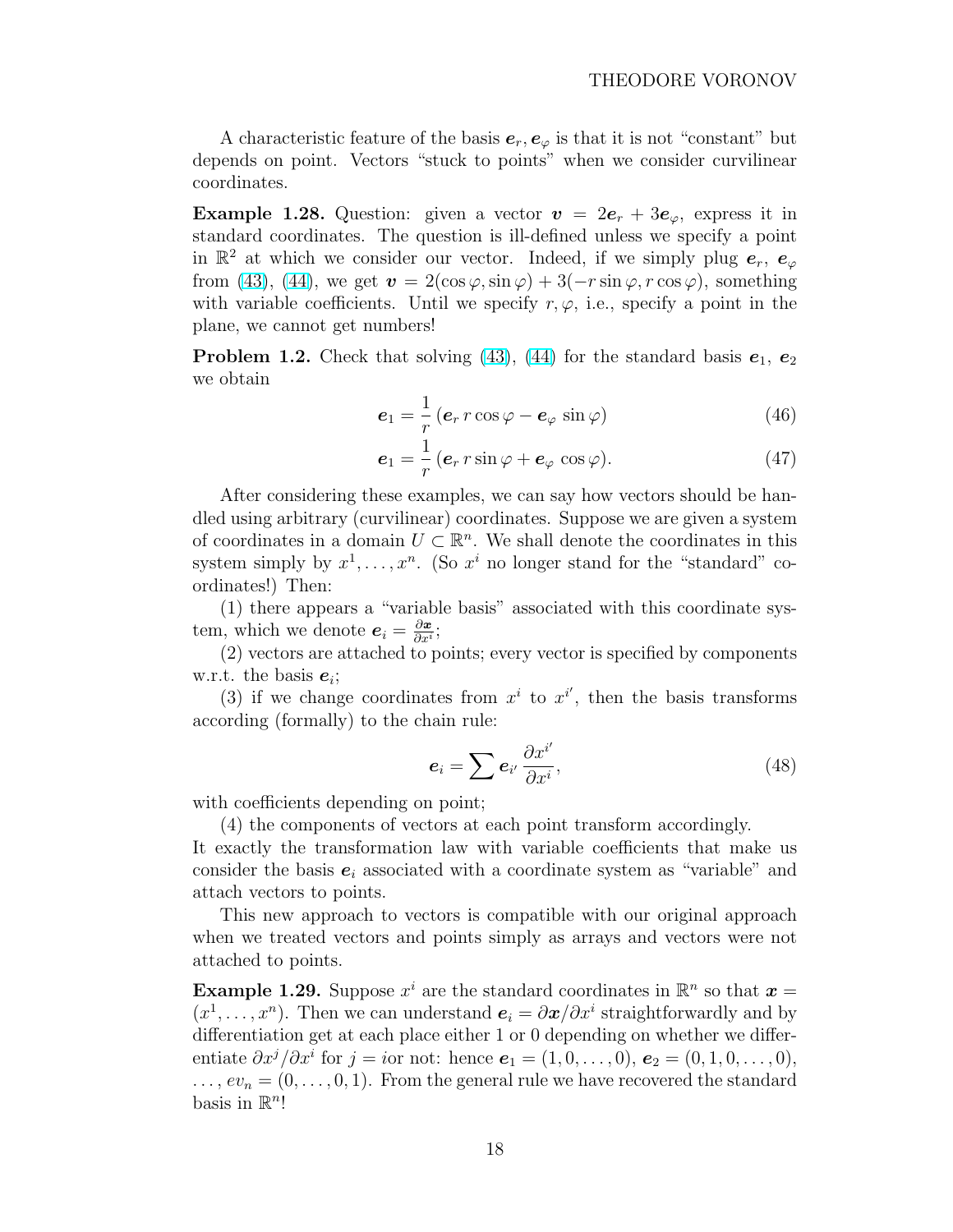A characteristic feature of the basis  $e_r, e_\varphi$  is that it is not "constant" but depends on point. Vectors "stuck to points" when we consider curvilinear coordinates.

**Example 1.28.** Question: given a vector  $v = 2e_r + 3e_\varphi$ , express it in standard coordinates. The question is ill-defined unless we specify a point in  $\mathbb{R}^2$  at which we consider our vector. Indeed, if we simply plug  $e_r$ ,  $e_\varphi$ from [\(43\)](#page-16-0), [\(44\)](#page-16-0), we get  $\mathbf{v} = 2(\cos \varphi, \sin \varphi) + 3(-r \sin \varphi, r \cos \varphi)$ , something with variable coefficients. Until we specify  $r, \varphi$ , i.e., specify a point in the plane, we cannot get numbers!

**Problem 1.2.** Check that solving [\(43\)](#page-16-0), [\(44\)](#page-16-0) for the standard basis  $e_1, e_2$ we obtain

$$
\boldsymbol{e}_1 = \frac{1}{r} \left( \boldsymbol{e}_r \, r \cos \varphi - \boldsymbol{e}_\varphi \, \sin \varphi \right) \tag{46}
$$

$$
\boldsymbol{e}_1 = \frac{1}{r} \left( \boldsymbol{e}_r \, r \sin \varphi + \boldsymbol{e}_\varphi \, \cos \varphi \right). \tag{47}
$$

After considering these examples, we can say how vectors should be handled using arbitrary (curvilinear) coordinates. Suppose we are given a system of coordinates in a domain  $U \subset \mathbb{R}^n$ . We shall denote the coordinates in this system simply by  $x^1, \ldots, x^n$ . (So  $x^i$  no longer stand for the "standard" coordinates!) Then:

(1) there appears a "variable basis" associated with this coordinate system, which we denote  $e_i = \frac{\partial x}{\partial x_i}$  $\frac{\partial \bm{x}}{\partial x^i};$ 

(2) vectors are attached to points; every vector is specified by components w.r.t. the basis  $e_i$ ;

(3) if we change coordinates from  $x^i$  to  $x^{i'}$ , then the basis transforms according (formally) to the chain rule:

$$
e_i = \sum e_{i'} \frac{\partial x^{i'}}{\partial x^i},\tag{48}
$$

with coefficients depending on point;

(4) the components of vectors at each point transform accordingly.

It exactly the transformation law with variable coefficients that make us consider the basis  $e_i$  associated with a coordinate system as "variable" and attach vectors to points.

This new approach to vectors is compatible with our original approach when we treated vectors and points simply as arrays and vectors were not attached to points.

**Example 1.29.** Suppose  $x^i$  are the standard coordinates in  $\mathbb{R}^n$  so that  $x =$  $(x^1, \ldots, x^n)$ . Then we can understand  $e_i = \partial x / \partial x^i$  straightforwardly and by differentiation get at each place either 1 or 0 depending on whether we differentiate  $\partial x^j/\partial x^i$  for  $j = i$ or not: hence  $e_1 = (1, 0, \ldots, 0), e_2 = (0, 1, 0, \ldots, 0),$  $\ldots, ev_n = (0, \ldots, 0, 1)$ . From the general rule we have recovered the standard basis in  $\mathbb{R}^n!$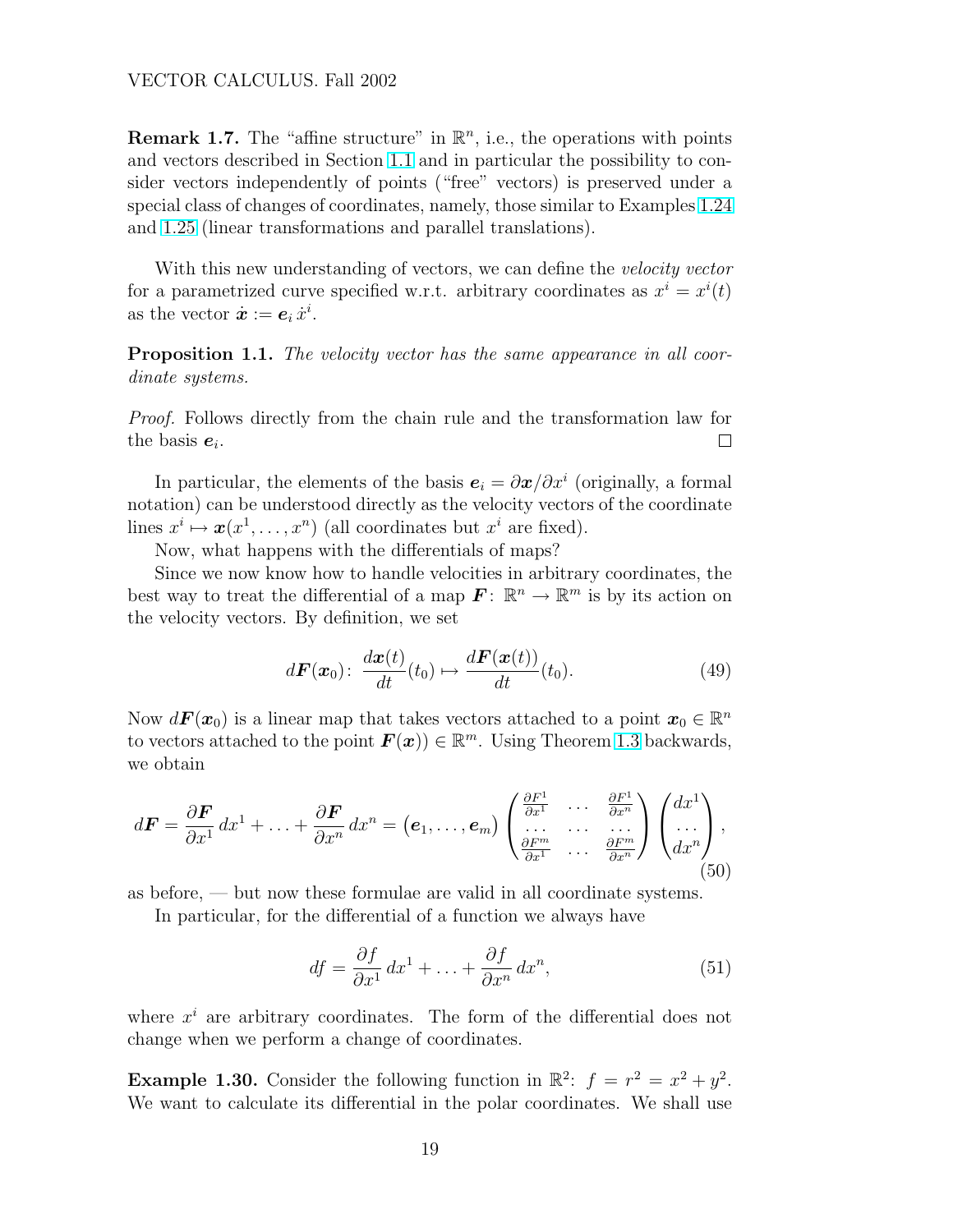**Remark 1.7.** The "affine structure" in  $\mathbb{R}^n$ , i.e., the operations with points and vectors described in Section [1.1](#page-2-0) and in particular the possibility to consider vectors independently of points ("free" vectors) is preserved under a special class of changes of coordinates, namely, those similar to Examples [1.24](#page-14-0) and [1.25](#page-14-0) (linear transformations and parallel translations).

With this new understanding of vectors, we can define the velocity vector for a parametrized curve specified w.r.t. arbitrary coordinates as  $x^i = x^i(t)$ as the vector  $\dot{x} := e_i \dot{x}^i$ .

**Proposition 1.1.** The velocity vector has the same appearance in all coordinate systems.

Proof. Follows directly from the chain rule and the transformation law for the basis  $e_i$ .  $\Box$ 

In particular, the elements of the basis  $e_i = \partial x/\partial x^i$  (originally, a formal notation) can be understood directly as the velocity vectors of the coordinate lines  $x^i \mapsto \mathbf{x}(x^1, \dots, x^n)$  (all coordinates but  $x^i$  are fixed).

Now, what happens with the differentials of maps?

Since we now know how to handle velocities in arbitrary coordinates, the best way to treat the differential of a map  $\mathbf{F} \colon \mathbb{R}^n \to \mathbb{R}^m$  is by its action on the velocity vectors. By definition, we set

$$
d\boldsymbol{F}(\boldsymbol{x}_0): \ \frac{d\boldsymbol{x}(t)}{dt}(t_0) \mapsto \frac{d\boldsymbol{F}(\boldsymbol{x}(t))}{dt}(t_0). \tag{49}
$$

Now  $d\mathbf{F}(\mathbf{x}_0)$  is a linear map that takes vectors attached to a point  $\mathbf{x}_0 \in \mathbb{R}^n$ to vectors attached to the point  $F(x)$   $\in \mathbb{R}^m$ . Using Theorem [1.3](#page-11-0) backwards, we obtain

$$
d\boldsymbol{F} = \frac{\partial \boldsymbol{F}}{\partial x^1} dx^1 + \ldots + \frac{\partial \boldsymbol{F}}{\partial x^n} dx^n = (\boldsymbol{e}_1, \ldots, \boldsymbol{e}_m) \begin{pmatrix} \frac{\partial F^1}{\partial x^1} & \cdots & \frac{\partial F^1}{\partial x^n} \\ \vdots & \ddots & \vdots \\ \frac{\partial F^m}{\partial x^1} & \cdots & \frac{\partial F^m}{\partial x^n} \end{pmatrix} \begin{pmatrix} dx^1 \\ \vdots \\ dx^n \end{pmatrix},
$$
\n(50)

as before, — but now these formulae are valid in all coordinate systems.

In particular, for the differential of a function we always have

$$
df = \frac{\partial f}{\partial x^1} dx^1 + \ldots + \frac{\partial f}{\partial x^n} dx^n,
$$
\n(51)

where  $x^i$  are arbitrary coordinates. The form of the differential does not change when we perform a change of coordinates.

**Example 1.30.** Consider the following function in  $\mathbb{R}^2$ :  $f = r^2 = x^2 + y^2$ . We want to calculate its differential in the polar coordinates. We shall use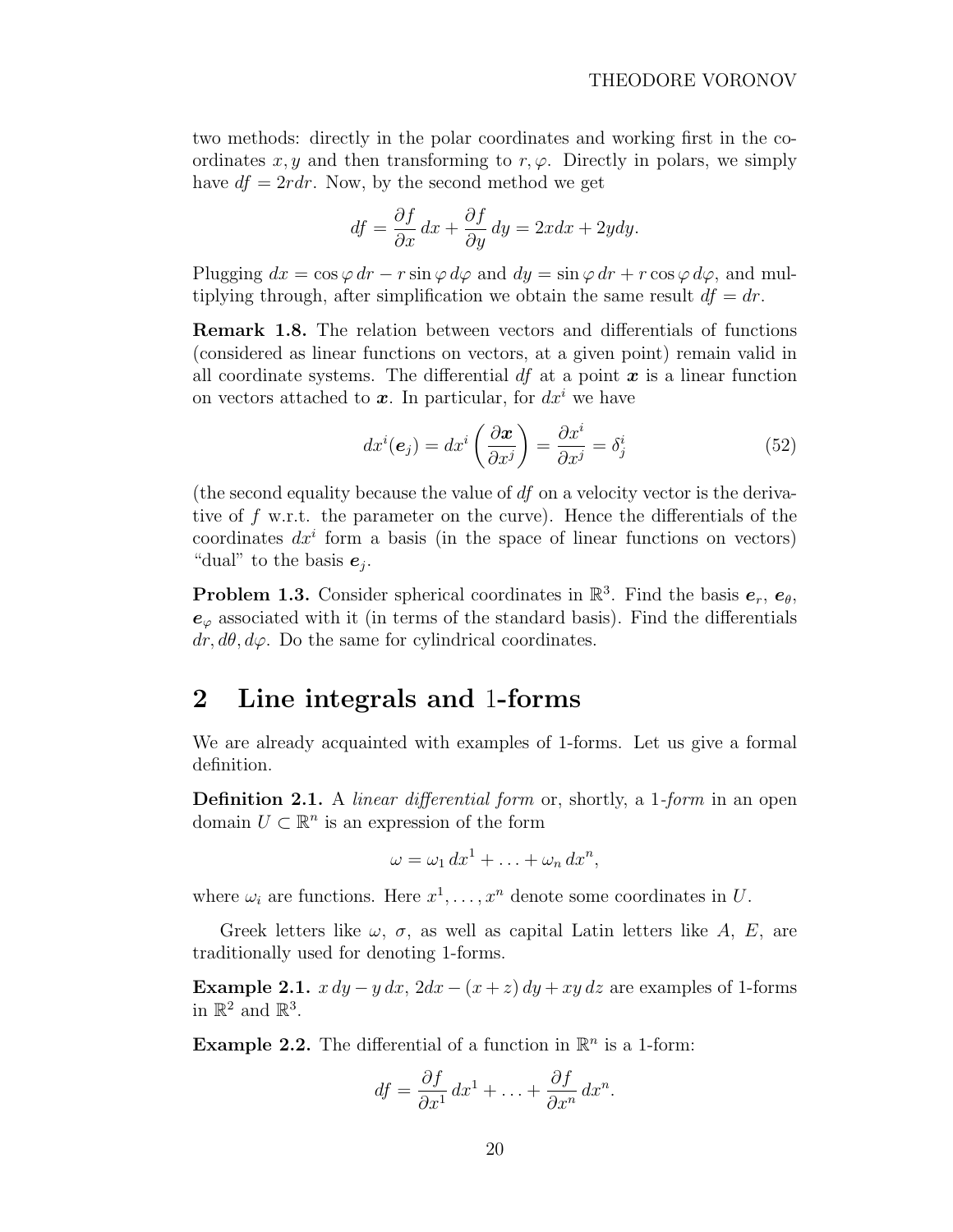<span id="page-19-0"></span>two methods: directly in the polar coordinates and working first in the coordinates  $x, y$  and then transforming to  $r, \varphi$ . Directly in polars, we simply have  $df = 2rdr$ . Now, by the second method we get

$$
df = \frac{\partial f}{\partial x} dx + \frac{\partial f}{\partial y} dy = 2xdx + 2ydy.
$$

Plugging  $dx = \cos \varphi dr - r \sin \varphi d\varphi$  and  $dy = \sin \varphi dr + r \cos \varphi d\varphi$ , and multiplying through, after simplification we obtain the same result  $df = dr$ .

Remark 1.8. The relation between vectors and differentials of functions (considered as linear functions on vectors, at a given point) remain valid in all coordinate systems. The differential  $df$  at a point  $x$  is a linear function on vectors attached to  $\boldsymbol{x}$ . In particular, for  $dx^i$  we have

$$
dx^{i}(\mathbf{e}_{j}) = dx^{i} \left(\frac{\partial \mathbf{x}}{\partial x^{j}}\right) = \frac{\partial x^{i}}{\partial x^{j}} = \delta_{j}^{i}
$$
\n(52)

(the second equality because the value of  $df$  on a velocity vector is the derivative of f w.r.t. the parameter on the curve). Hence the differentials of the coordinates  $dx^i$  form a basis (in the space of linear functions on vectors) "dual" to the basis  $e_j$ .

**Problem 1.3.** Consider spherical coordinates in  $\mathbb{R}^3$ . Find the basis  $e_r$ ,  $e_\theta$ ,  $e_{\varphi}$  associated with it (in terms of the standard basis). Find the differentials  $dr, d\theta, d\varphi$ . Do the same for cylindrical coordinates.

# 2 Line integrals and 1-forms

We are already acquainted with examples of 1-forms. Let us give a formal definition.

Definition 2.1. A *linear differential form* or, shortly, a 1-form in an open domain  $U \subset \mathbb{R}^n$  is an expression of the form

$$
\omega = \omega_1 dx^1 + \ldots + \omega_n dx^n,
$$

where  $\omega_i$  are functions. Here  $x^1, \ldots, x^n$  denote some coordinates in U.

Greek letters like  $\omega$ ,  $\sigma$ , as well as capital Latin letters like A, E, are traditionally used for denoting 1-forms.

Example 2.1.  $x dy - y dx$ ,  $2dx - (x + z) dy + xy dz$  are examples of 1-forms in  $\mathbb{R}^2$  and  $\mathbb{R}^3$ .

**Example 2.2.** The differential of a function in  $\mathbb{R}^n$  is a 1-form:

$$
df = \frac{\partial f}{\partial x^1} dx^1 + \ldots + \frac{\partial f}{\partial x^n} dx^n.
$$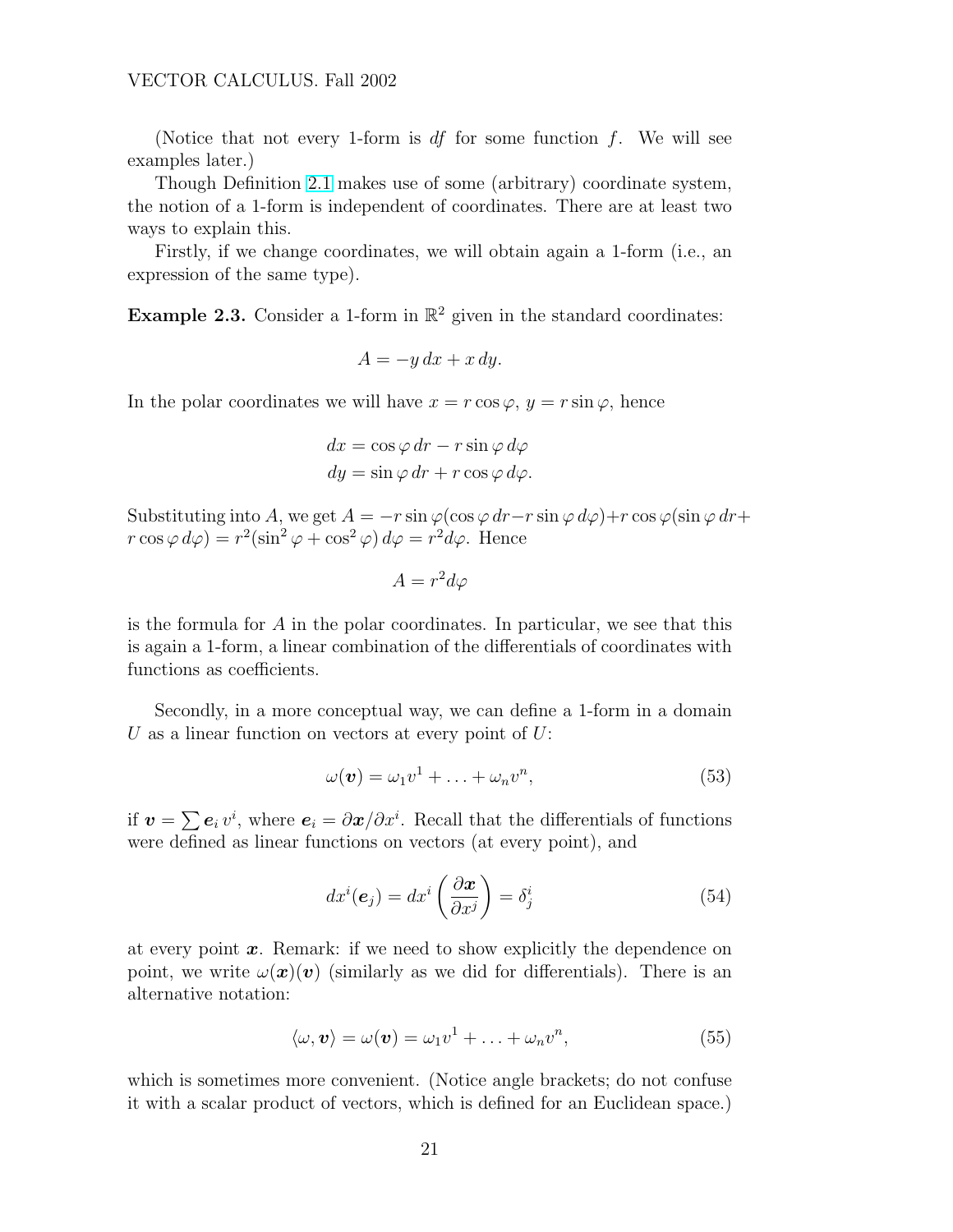(Notice that not every 1-form is  $df$  for some function f. We will see examples later.)

Though Definition [2.1](#page-19-0) makes use of some (arbitrary) coordinate system, the notion of a 1-form is independent of coordinates. There are at least two ways to explain this.

Firstly, if we change coordinates, we will obtain again a 1-form (i.e., an expression of the same type).

**Example 2.3.** Consider a 1-form in  $\mathbb{R}^2$  given in the standard coordinates:

$$
A = -y\,dx + x\,dy.
$$

In the polar coordinates we will have  $x = r \cos \varphi$ ,  $y = r \sin \varphi$ , hence

$$
dx = \cos \varphi \, dr - r \sin \varphi \, d\varphi
$$
  

$$
dy = \sin \varphi \, dr + r \cos \varphi \, d\varphi.
$$

Substituting into A, we get  $A = -r \sin \varphi (\cos \varphi dr - r \sin \varphi d\varphi) + r \cos \varphi (\sin \varphi dr +$  $r \cos \varphi \, d\varphi$  =  $r^2(\sin^2 \varphi + \cos^2 \varphi) \, d\varphi = r^2 d\varphi$ . Hence

$$
A = r^2 d\varphi
$$

is the formula for  $A$  in the polar coordinates. In particular, we see that this is again a 1-form, a linear combination of the differentials of coordinates with functions as coefficients.

Secondly, in a more conceptual way, we can define a 1-form in a domain U as a linear function on vectors at every point of  $U$ :

$$
\omega(\boldsymbol{v}) = \omega_1 v^1 + \ldots + \omega_n v^n, \qquad (53)
$$

if  $\mathbf{v} = \sum \mathbf{e}_i v^i$ , where  $\mathbf{e}_i = \partial \mathbf{x}/\partial x^i$ . Recall that the differentials of functions were defined as linear functions on vectors (at every point), and

$$
dx^{i}(\mathbf{e}_{j}) = dx^{i} \left(\frac{\partial \mathbf{x}}{\partial x^{j}}\right) = \delta_{j}^{i}
$$
\n(54)

at every point  $x$ . Remark: if we need to show explicitly the dependence on point, we write  $\omega(\mathbf{x})(\mathbf{v})$  (similarly as we did for differentials). There is an alternative notation:

$$
\langle \omega, \boldsymbol{v} \rangle = \omega(\boldsymbol{v}) = \omega_1 v^1 + \ldots + \omega_n v^n, \tag{55}
$$

which is sometimes more convenient. (Notice angle brackets; do not confuse it with a scalar product of vectors, which is defined for an Euclidean space.)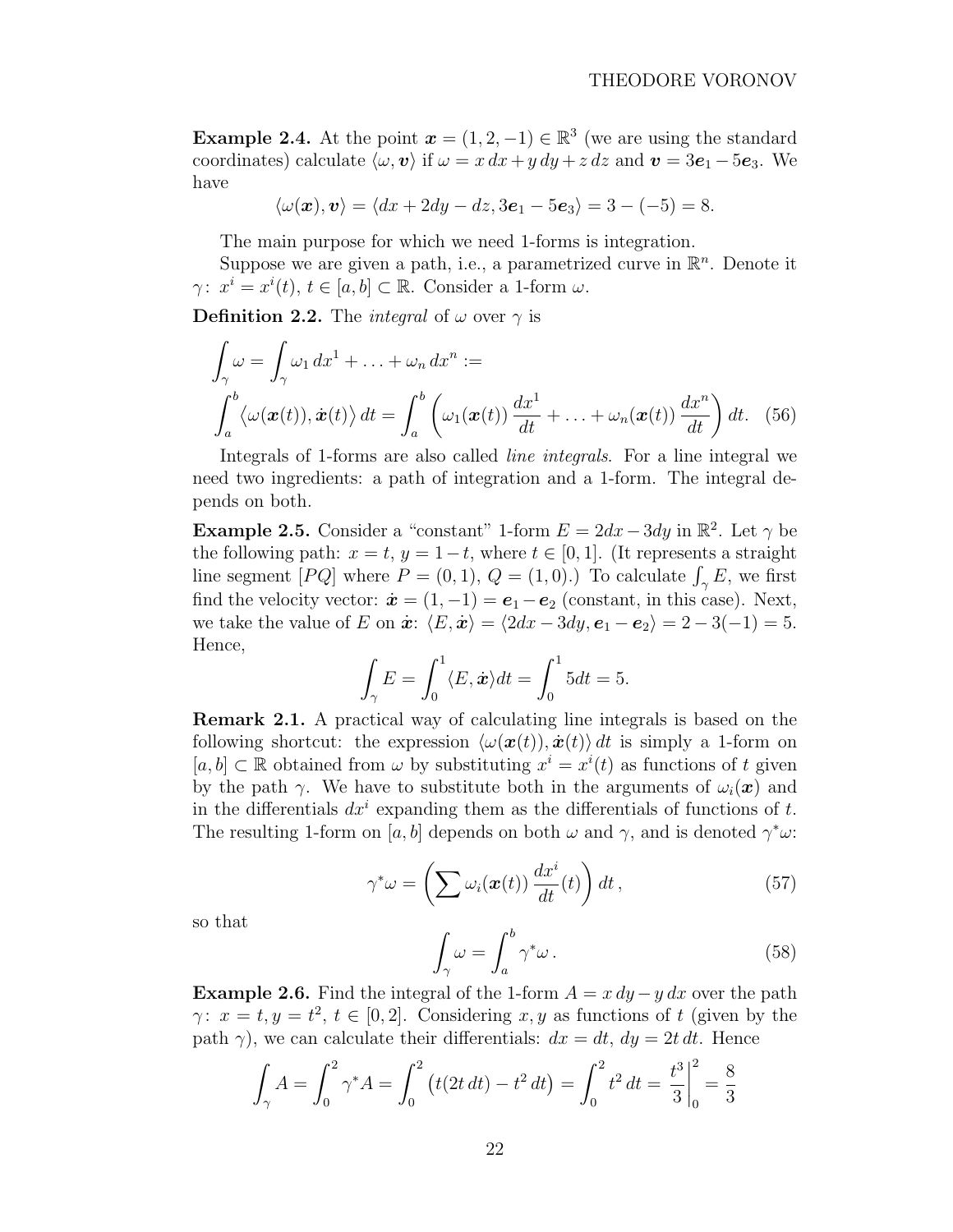**Example 2.4.** At the point  $\mathbf{x} = (1, 2, -1) \in \mathbb{R}^3$  (we are using the standard coordinates) calculate  $\langle \omega, v \rangle$  if  $\omega = x dx + y dy + z dz$  and  $v = 3e_1 - 5e_3$ . We have

$$
\langle \omega(\boldsymbol{x}), \boldsymbol{v} \rangle = \langle dx + 2dy - dz, 3\boldsymbol{e}_1 - 5\boldsymbol{e}_3 \rangle = 3 - (-5) = 8.
$$

The main purpose for which we need 1-forms is integration.

Suppose we are given a path, i.e., a parametrized curve in  $\mathbb{R}^n$ . Denote it  $\gamma: x^i = x^i(t), t \in [a, b] \subset \mathbb{R}$ . Consider a 1-form  $\omega$ .

**Definition 2.2.** The *integral* of  $\omega$  over  $\gamma$  is

$$
\int_{\gamma} \omega = \int_{\gamma} \omega_1 dx^1 + \ldots + \omega_n dx^n :=
$$
\n
$$
\int_a^b \langle \omega(\boldsymbol{x}(t)), \dot{\boldsymbol{x}}(t) \rangle dt = \int_a^b \left( \omega_1(\boldsymbol{x}(t)) \frac{dx^1}{dt} + \ldots + \omega_n(\boldsymbol{x}(t)) \frac{dx^n}{dt} \right) dt. \quad (56)
$$

Integrals of 1-forms are also called line integrals. For a line integral we need two ingredients: a path of integration and a 1-form. The integral depends on both.

**Example 2.5.** Consider a "constant" 1-form  $E = 2dx - 3dy$  in  $\mathbb{R}^2$ . Let  $\gamma$  be the following path:  $x = t$ ,  $y = 1-t$ , where  $t \in [0, 1]$ . (It represents a straight the following path:  $x = t$ ,  $y = 1 - t$ , where  $t \in [0, 1]$ . (It represents a straight line segment  $[PQ]$  where  $P = (0, 1)$ ,  $Q = (1, 0)$ .) To calculate  $\int_{\gamma} E$ , we first find the velocity vector:  $\dot{\boldsymbol{x}} = (1, -1) = \boldsymbol{e}_1 - \boldsymbol{e}_2$  (constant, in this case). Next, we take the value of E on  $\dot{x}$ :  $\langle E, \dot{x} \rangle = \langle 2dx - 3dy, e_1 - e_2 \rangle = 2 - 3(-1) = 5.$ Hence,

$$
\int_{\gamma} E = \int_0^1 \langle E, \dot{x} \rangle dt = \int_0^1 5dt = 5.
$$

Remark 2.1. A practical way of calculating line integrals is based on the following shortcut: the expression  $\langle \omega(\boldsymbol{x}(t)), \dot{\boldsymbol{x}}(t) \rangle dt$  is simply a 1-form on  $[a, b] \subset \mathbb{R}$  obtained from  $\omega$  by substituting  $x^i = x^i(t)$  as functions of t given by the path  $\gamma$ . We have to substitute both in the arguments of  $\omega_i(\bm{x})$  and in the differentials  $dx^{i}$  expanding them as the differentials of functions of t. The resulting 1-form on [a, b] depends on both  $\omega$  and  $\gamma$ , and is denoted  $\gamma^* \omega$ :

$$
\gamma^* \omega = \left(\sum \omega_i(\boldsymbol{x}(t)) \frac{dx^i}{dt}(t)\right) dt, \qquad (57)
$$

so that

$$
\int_{\gamma} \omega = \int_{a}^{b} \gamma^* \omega \,. \tag{58}
$$

**Example 2.6.** Find the integral of the 1-form  $A = x dy - y dx$  over the path  $\gamma: x = t, y = t^2, t \in [0, 2].$  Considering x, y as functions of t (given by the path  $\gamma$ ), we can calculate their differentials:  $dx = dt$ ,  $dy = 2t dt$ . Hence

$$
\int_{\gamma} A = \int_0^2 \gamma^* A = \int_0^2 \left( t(2t \, dt) - t^2 \, dt \right) = \int_0^2 t^2 \, dt = \left. \frac{t^3}{3} \right|_0^2 = \frac{8}{3}
$$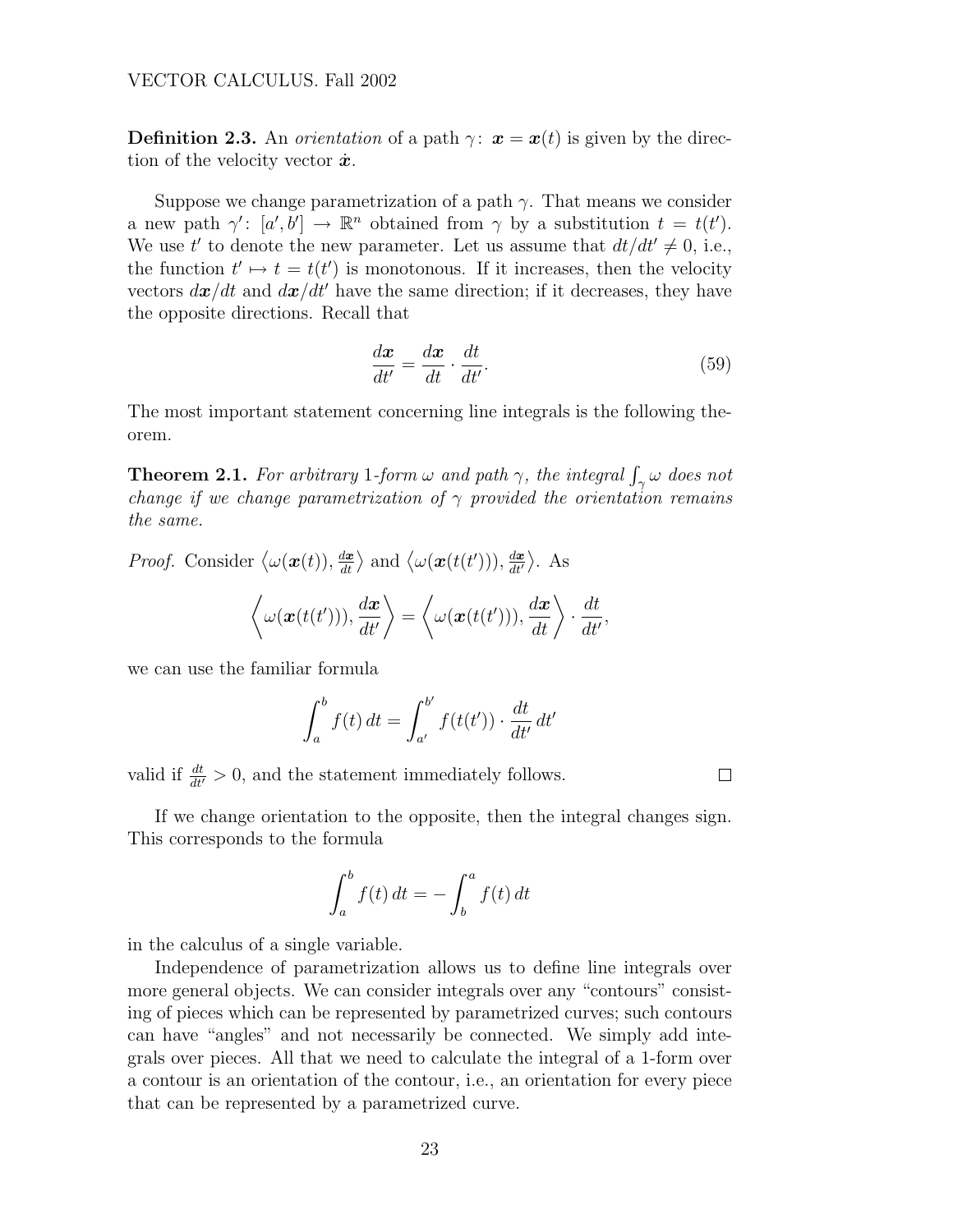**Definition 2.3.** An *orientation* of a path  $\gamma$ :  $\mathbf{x} = \mathbf{x}(t)$  is given by the direction of the velocity vector  $\dot{x}$ .

Suppose we change parametrization of a path  $\gamma$ . That means we consider a new path  $\gamma' : [a', b'] \to \mathbb{R}^n$  obtained from  $\gamma$  by a substitution  $t = t(t')$ . We use t' to denote the new parameter. Let us assume that  $dt/dt' \neq 0$ , i.e., the function  $t' \mapsto t = t(t')$  is monotonous. If it increases, then the velocity vectors  $dx/dt$  and  $dx/dt'$  have the same direction; if it decreases, they have the opposite directions. Recall that

$$
\frac{d\boldsymbol{x}}{dt'} = \frac{d\boldsymbol{x}}{dt} \cdot \frac{dt}{dt'}.
$$
\n(59)

The most important statement concerning line integrals is the following theorem.

**Theorem 2.1.** For arbitrary 1-form  $\omega$  and path  $\gamma$ , the integral  $\int_{\gamma} \omega$  does not change if we change parametrization of  $\gamma$  provided the orientation remains the same.

*Proof.* Consider  $\langle \omega(\boldsymbol{x}(t)), \frac{d\boldsymbol{x}}{dt} \rangle$  $\frac{d\boldsymbol{x}}{dt}$  and  $\langle \omega(\boldsymbol{x}(t(t'))), \frac{d\boldsymbol{x}}{dt'}\rangle$  $\overline{dt'}$ ® . As

$$
\langle \omega(\boldsymbol{x}(t(t'))), \frac{d\boldsymbol{x}}{dt'} \rangle = \langle \omega(\boldsymbol{x}(t(t'))), \frac{d\boldsymbol{x}}{dt} \rangle \cdot \frac{dt}{dt'},
$$

we can use the familiar formula

$$
\int_{a}^{b} f(t) dt = \int_{a'}^{b'} f(t(t')) \cdot \frac{dt}{dt'} dt'
$$

valid if  $\frac{dt}{dt'} > 0$ , and the statement immediately follows.

If we change orientation to the opposite, then the integral changes sign. This corresponds to the formula

$$
\int_{a}^{b} f(t) dt = - \int_{b}^{a} f(t) dt
$$

in the calculus of a single variable.

Independence of parametrization allows us to define line integrals over more general objects. We can consider integrals over any "contours" consisting of pieces which can be represented by parametrized curves; such contours can have "angles" and not necessarily be connected. We simply add integrals over pieces. All that we need to calculate the integral of a 1-form over a contour is an orientation of the contour, i.e., an orientation for every piece that can be represented by a parametrized curve.

 $\Box$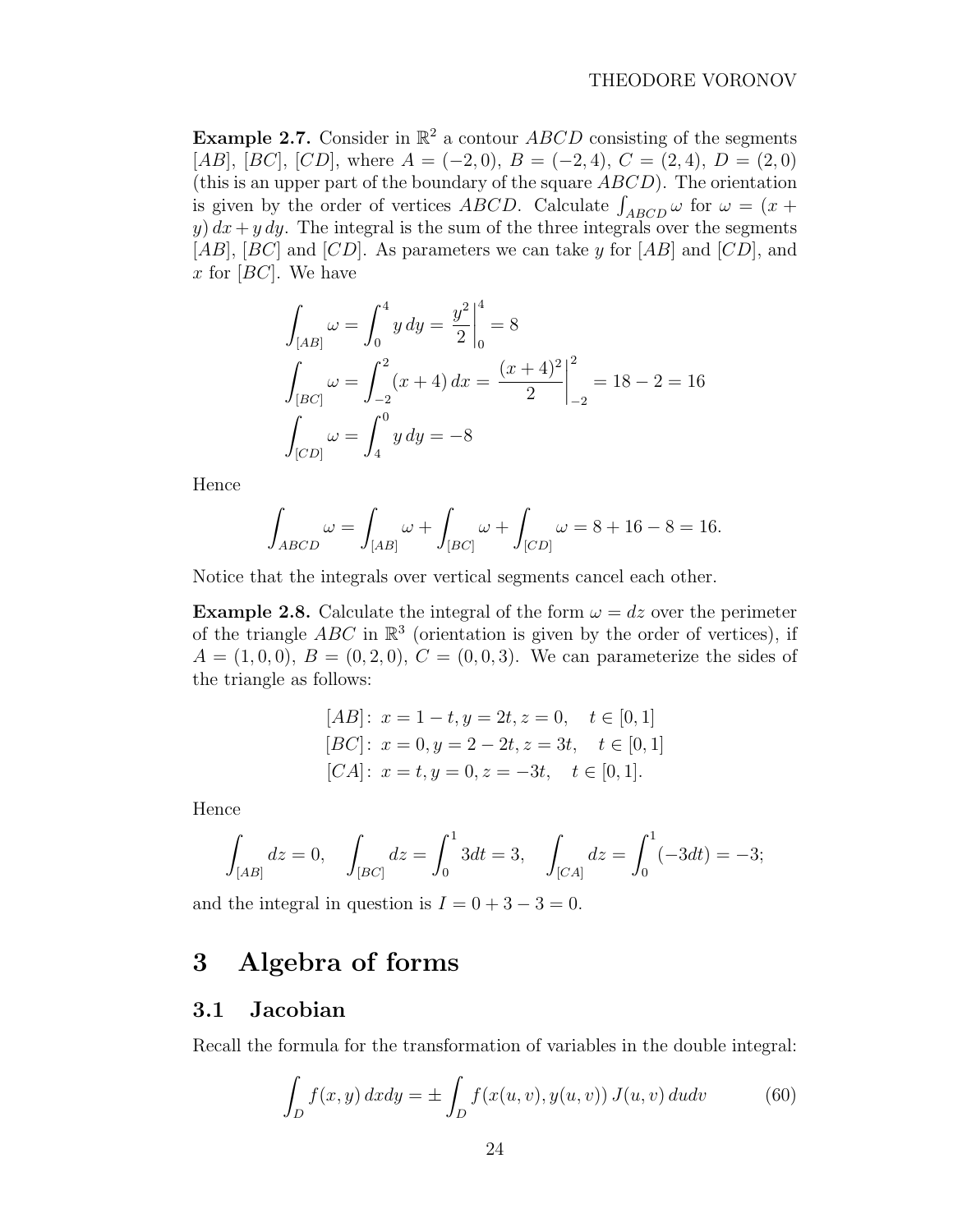<span id="page-23-0"></span>**Example 2.7.** Consider in  $\mathbb{R}^2$  a contour ABCD consisting of the segments [AB], [BC], [CD], where  $A = (-2,0), B = (-2,4), C = (2,4), D = (2,0)$ (this is an upper part of the boundary of the square  $ABCD$ ). The orientation (this is an upper part of the boundary of the square  $ABCD$ ). The orientation<br>is given by the order of vertices  $ABCD$ . Calculate  $\int_{ABCD} \omega$  for  $\omega = (x +$ y)  $dx + y dy$ . The integral is the sum of the three integrals over the segments [AB],  $[BC]$  and  $[CD]$ . As parameters we can take y for  $[AB]$  and  $[CD]$ , and x for  $[BC]$ . We have

$$
\int_{[AB]} \omega = \int_0^4 y \, dy = \frac{y^2}{2} \Big|_0^4 = 8
$$
\n
$$
\int_{[BC]} \omega = \int_{-2}^2 (x+4) \, dx = \frac{(x+4)^2}{2} \Big|_{-2}^2 = 18 - 2 = 16
$$
\n
$$
\int_{[CD]} \omega = \int_4^0 y \, dy = -8
$$

Hence

$$
\int_{ABCD} \omega = \int_{[AB]} \omega + \int_{[BC]} \omega + \int_{[CD]} \omega = 8 + 16 - 8 = 16.
$$

Notice that the integrals over vertical segments cancel each other.

**Example 2.8.** Calculate the integral of the form  $\omega = dz$  over the perimeter of the triangle  $ABC$  in  $\mathbb{R}^3$  (orientation is given by the order of vertices), if  $A = (1, 0, 0), B = (0, 2, 0), C = (0, 0, 3).$  We can parameterize the sides of the triangle as follows:

$$
[AB]: x = 1 - t, y = 2t, z = 0, t \in [0, 1]
$$
  
\n
$$
[BC]: x = 0, y = 2 - 2t, z = 3t, t \in [0, 1]
$$
  
\n
$$
[CA]: x = t, y = 0, z = -3t, t \in [0, 1].
$$

Hence

$$
\int_{[AB]}dz = 0, \quad \int_{[BC]}dz = \int_0^1 3dt = 3, \quad \int_{[CA]}dz = \int_0^1 (-3dt) = -3;
$$

and the integral in question is  $I = 0 + 3 - 3 = 0$ .

# 3 Algebra of forms

#### 3.1 Jacobian

Recall the formula for the transformation of variables in the double integral:

$$
\int_{D} f(x, y) dx dy = \pm \int_{D} f(x(u, v), y(u, v)) J(u, v) du dv \qquad (60)
$$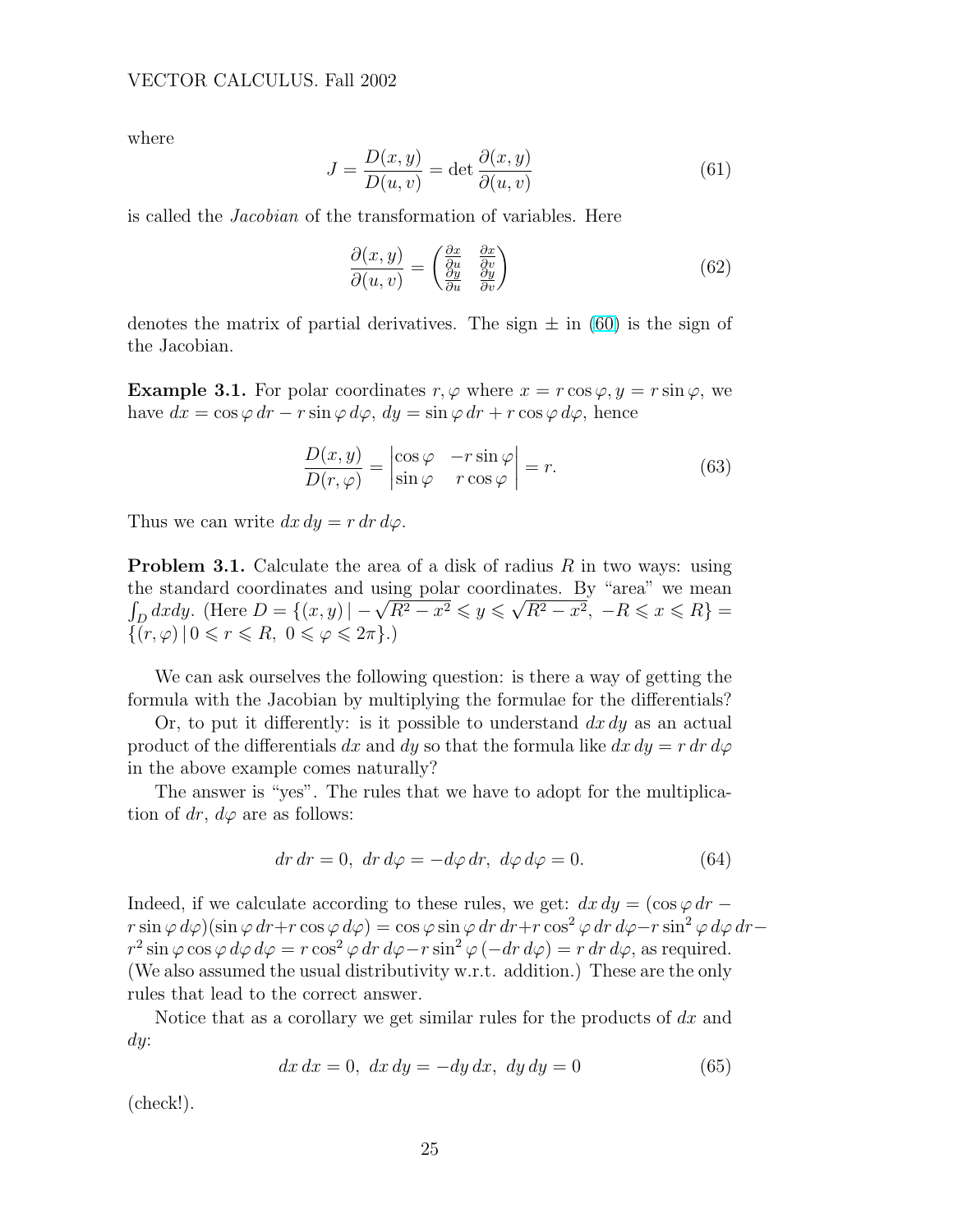where

$$
J = \frac{D(x, y)}{D(u, v)} = \det \frac{\partial(x, y)}{\partial(u, v)}
$$
(61)

is called the Jacobian of the transformation of variables. Here

$$
\frac{\partial(x,y)}{\partial(u,v)} = \begin{pmatrix} \frac{\partial x}{\partial u} & \frac{\partial x}{\partial v} \\ \frac{\partial y}{\partial u} & \frac{\partial y}{\partial v} \end{pmatrix}
$$
(62)

denotes the matrix of partial derivatives. The sign  $\pm$  in [\(60\)](#page-23-0) is the sign of the Jacobian.

**Example 3.1.** For polar coordinates  $r, \varphi$  where  $x = r \cos \varphi, y = r \sin \varphi$ , we have  $dx = \cos \varphi \, dr - r \sin \varphi \, d\varphi$ ,  $dy = \sin \varphi \, dr + r \cos \varphi \, d\varphi$ , hence

$$
\frac{D(x,y)}{D(r,\varphi)} = \begin{vmatrix} \cos\varphi & -r\sin\varphi \\ \sin\varphi & r\cos\varphi \end{vmatrix} = r.
$$
 (63)

Thus we can write  $dx dy = r dr d\varphi$ .

**Problem 3.1.** Calculate the area of a disk of radius  $R$  in two ways: using the standard coordinates and using polar coordinates. By "area" we mean R ne standard coordinates and using polar coordinates. By "area" we mean<br>  $\int_D dx dy$ . (Here  $D = \{(x, y) | -\sqrt{R^2 - x^2} \leqslant y \leqslant \sqrt{R^2 - x^2}, -R \leqslant x \leqslant R\} =$  $\{(r,\varphi) \mid 0 \leq r \leq R, \ 0 \leq \varphi \leq 2\pi\}.$ 

We can ask ourselves the following question: is there a way of getting the formula with the Jacobian by multiplying the formulae for the differentials?

Or, to put it differently: is it possible to understand  $dx dy$  as an actual product of the differentials dx and dy so that the formula like  $dx dy = r dr d\varphi$ in the above example comes naturally?

The answer is "yes". The rules that we have to adopt for the multiplication of dr,  $d\varphi$  are as follows:

$$
dr dr = 0, dr d\varphi = -d\varphi dr, d\varphi d\varphi = 0.
$$
 (64)

Indeed, if we calculate according to these rules, we get:  $dx dy = (\cos \varphi dr$  $r \sin \varphi \, d\varphi$ )(sin  $\varphi \, dr+r \cos \varphi \, d\varphi$ ) = cos  $\varphi \sin \varphi \, dr \, dr+r \cos^2 \varphi \, dr \, d\varphi-r \sin^2 \varphi \, d\varphi \, dr$  $r^2 \sin \varphi \cos \varphi \, d\varphi \, d\varphi = r \cos^2 \varphi \, dr \, d\varphi - r \sin^2 \varphi (-dr \, d\varphi) = r \, dr \, d\varphi$ , as required. (We also assumed the usual distributivity w.r.t. addition.) These are the only rules that lead to the correct answer.

Notice that as a corollary we get similar rules for the products of  $dx$  and dy:

$$
dx dx = 0, dx dy = -dy dx, dy dy = 0
$$
\n(65)

(check!).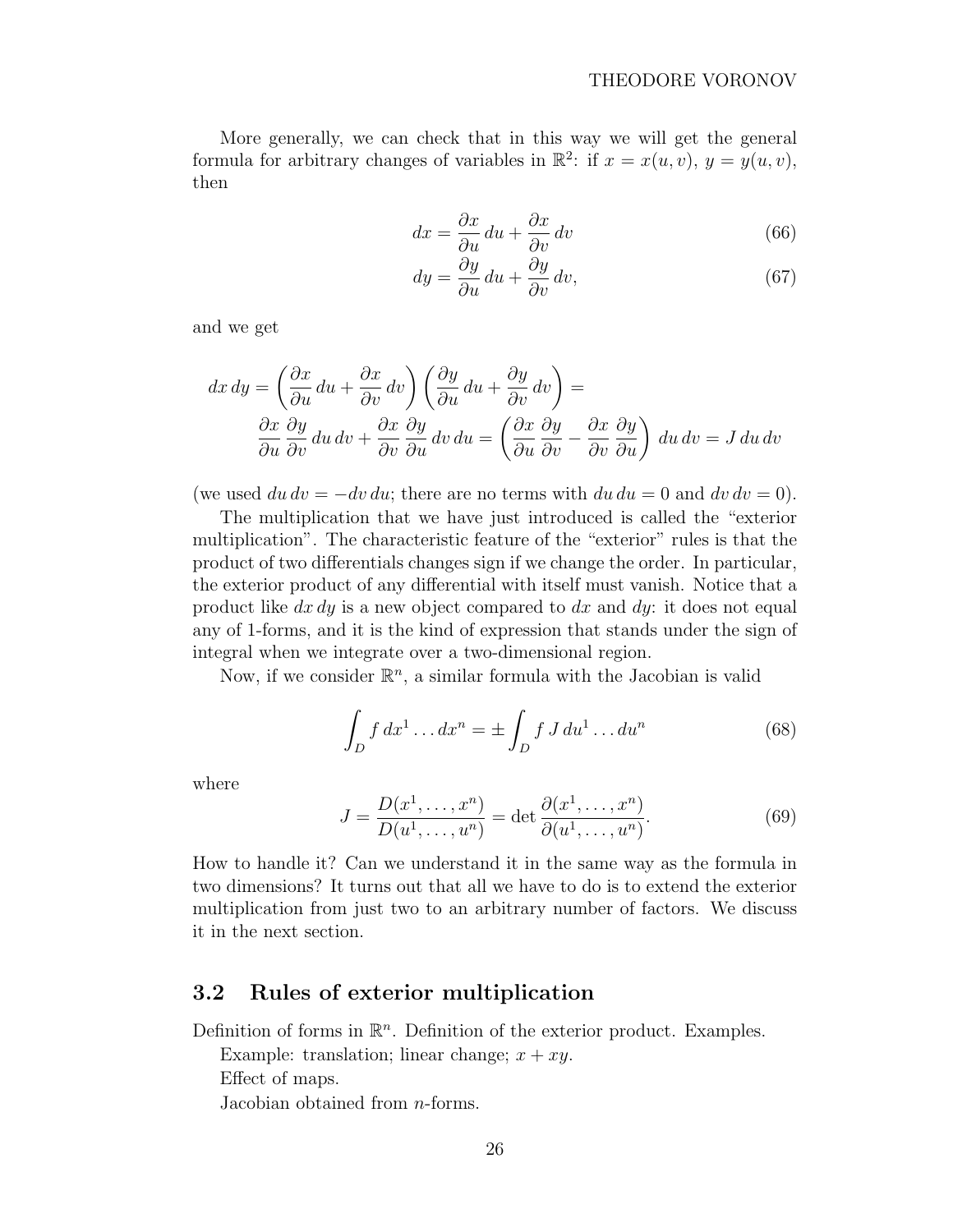<span id="page-25-0"></span>More generally, we can check that in this way we will get the general formula for arbitrary changes of variables in  $\mathbb{R}^2$ : if  $x = x(u, v), y = y(u, v)$ , then

$$
dx = \frac{\partial x}{\partial u} du + \frac{\partial x}{\partial v} dv
$$
 (66)

$$
dy = \frac{\partial y}{\partial u} du + \frac{\partial y}{\partial v} dv,
$$
\n(67)

and we get

$$
dx dy = \left(\frac{\partial x}{\partial u} du + \frac{\partial x}{\partial v} dv\right) \left(\frac{\partial y}{\partial u} du + \frac{\partial y}{\partial v} dv\right) =
$$
  

$$
\frac{\partial x}{\partial u} \frac{\partial y}{\partial v} du dv + \frac{\partial x}{\partial v} \frac{\partial y}{\partial u} dv du = \left(\frac{\partial x}{\partial u} \frac{\partial y}{\partial v} - \frac{\partial x}{\partial v} \frac{\partial y}{\partial u}\right) du dv = J du dv
$$

(we used  $du dv = -dv du$ ; there are no terms with  $du du = 0$  and  $dv dv = 0$ ).

The multiplication that we have just introduced is called the "exterior multiplication". The characteristic feature of the "exterior" rules is that the product of two differentials changes sign if we change the order. In particular, the exterior product of any differential with itself must vanish. Notice that a product like  $dx dy$  is a new object compared to  $dx$  and  $dy$ : it does not equal any of 1-forms, and it is the kind of expression that stands under the sign of integral when we integrate over a two-dimensional region.

Now, if we consider  $\mathbb{R}^n$ , a similar formula with the Jacobian is valid

$$
\int_{D} f dx^{1} \dots dx^{n} = \pm \int_{D} f J du^{1} \dots du^{n}
$$
\n(68)

where

$$
J = \frac{D(x^1, \dots, x^n)}{D(u^1, \dots, u^n)} = \det \frac{\partial(x^1, \dots, x^n)}{\partial(u^1, \dots, u^n)}.
$$
(69)

How to handle it? Can we understand it in the same way as the formula in two dimensions? It turns out that all we have to do is to extend the exterior multiplication from just two to an arbitrary number of factors. We discuss it in the next section.

## 3.2 Rules of exterior multiplication

Definition of forms in  $\mathbb{R}^n$ . Definition of the exterior product. Examples.

Example: translation; linear change;  $x + xy$ . Effect of maps. Jacobian obtained from n-forms.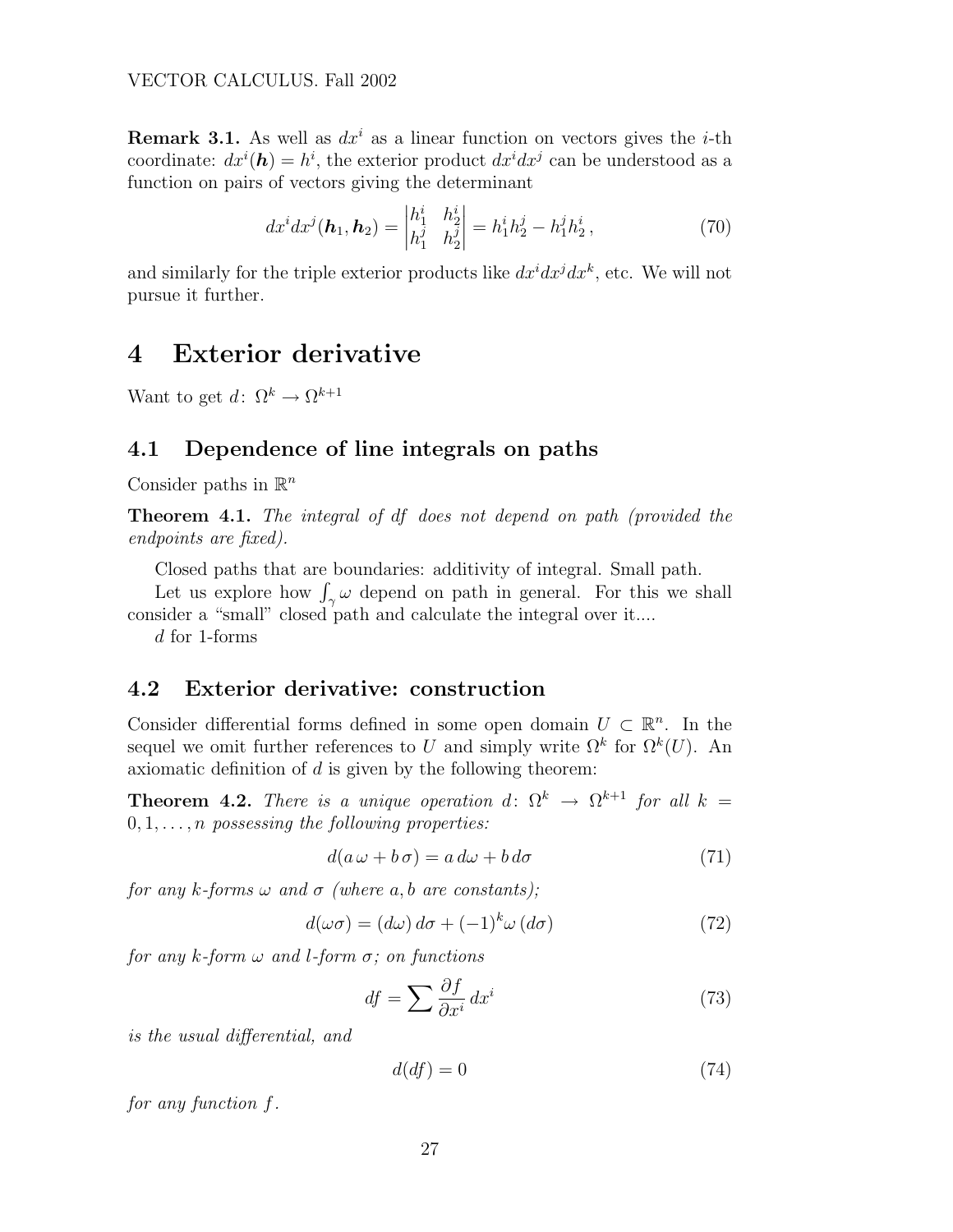<span id="page-26-0"></span>**Remark 3.1.** As well as  $dx^i$  as a linear function on vectors gives the *i*-th coordinate:  $dx^{i}(\boldsymbol{h}) = h^{i}$ , the exterior product  $dx^{i}dx^{j}$  can be understood as a function on pairs of vectors giving the determinant

$$
dx^{i}dx^{j}(\boldsymbol{h}_{1},\boldsymbol{h}_{2}) = \begin{vmatrix} h_{1}^{i} & h_{2}^{i} \\ h_{1}^{j} & h_{2}^{j} \end{vmatrix} = h_{1}^{i}h_{2}^{j} - h_{1}^{j}h_{2}^{i},
$$
(70)

and similarly for the triple exterior products like  $dx^i dx^j dx^k$ , etc. We will not pursue it further.

# 4 Exterior derivative

Want to get  $d: \Omega^k \to \Omega^{k+1}$ 

## 4.1 Dependence of line integrals on paths

Consider paths in  $\mathbb{R}^n$ 

**Theorem 4.1.** The integral of df does not depend on path (provided the endpoints are fixed).

Closed paths that are boundaries: additivity of integral. Small path.

Closed paths that are boundaries: additivity of integral. Small path.<br>Let us explore how  $\int_{\gamma} \omega$  depend on path in general. For this we shall consider a "small" closed path and calculate the integral over it....

d for 1-forms

## 4.2 Exterior derivative: construction

Consider differential forms defined in some open domain  $U \subset \mathbb{R}^n$ . In the sequel we omit further references to U and simply write  $\Omega^k$  for  $\Omega^k(U)$ . An axiomatic definition of  $d$  is given by the following theorem:

**Theorem 4.2.** There is a unique operation d:  $\Omega^k \to \Omega^{k+1}$  for all  $k =$  $0, 1, \ldots, n$  possessing the following properties:

$$
d(a \omega + b \sigma) = a d\omega + b d\sigma \tag{71}
$$

for any k-forms  $\omega$  and  $\sigma$  (where a, b are constants);

$$
d(\omega \sigma) = (d\omega) d\sigma + (-1)^{k} \omega (d\sigma)
$$
\n(72)

for any k-form  $\omega$  and l-form  $\sigma$ ; on functions

$$
df = \sum \frac{\partial f}{\partial x^i} dx^i \tag{73}
$$

is the usual differential, and

$$
d(df) = 0 \tag{74}
$$

for any function f.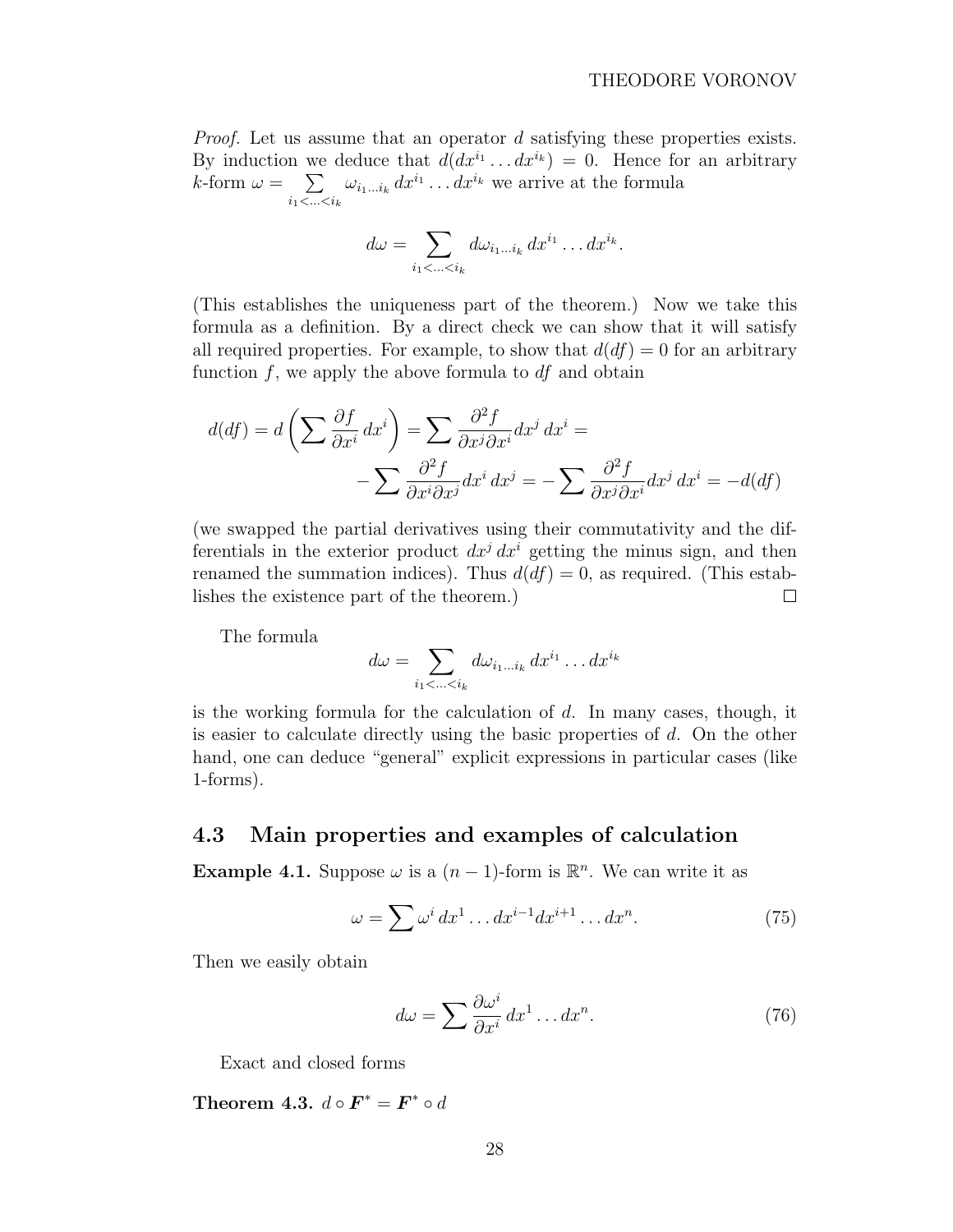<span id="page-27-0"></span>*Proof.* Let us assume that an operator d satisfying these properties exists. By induction we deduce that  $d(dx^{i_1} \dots dx^{i_k}) = 0$ . Hence for an arbitrary  $k$ -form  $\omega =$ we  $i_1$ <...< $i_k$  $\omega_{i_1...i_k} dx^{i_1} \dots dx^{i_k}$  we arrive at the formula

$$
d\omega = \sum_{i_1 < \ldots < i_k} d\omega_{i_1 \ldots i_k} \, dx^{i_1} \ldots dx^{i_k}.
$$

(This establishes the uniqueness part of the theorem.) Now we take this formula as a definition. By a direct check we can show that it will satisfy all required properties. For example, to show that  $d(df) = 0$  for an arbitrary function  $f$ , we apply the above formula to  $df$  and obtain

$$
d(df) = d\left(\sum \frac{\partial f}{\partial x^i} dx^i\right) = \sum \frac{\partial^2 f}{\partial x^j \partial x^i} dx^j dx^i = -\sum \frac{\partial^2 f}{\partial x^i \partial x^j} dx^i dx^j = -\sum \frac{\partial^2 f}{\partial x^j \partial x^i} dx^j dx^i = -d(df)
$$

(we swapped the partial derivatives using their commutativity and the differentials in the exterior product  $dx^{j} dx^{i}$  getting the minus sign, and then renamed the summation indices). Thus  $d(df) = 0$ , as required. (This establishes the existence part of the theorem.)  $\Box$ 

The formula

$$
d\omega = \sum_{i_1 < \ldots < i_k} d\omega_{i_1 \ldots i_k} dx^{i_1} \ldots dx^{i_k}
$$

is the working formula for the calculation of  $d$ . In many cases, though, it is easier to calculate directly using the basic properties of  $d$ . On the other hand, one can deduce "general" explicit expressions in particular cases (like 1-forms).

### 4.3 Main properties and examples of calculation

**Example 4.1.** Suppose  $\omega$  is a  $(n-1)$ -form is  $\mathbb{R}^n$ . We can write it as

$$
\omega = \sum \omega^i dx^1 \dots dx^{i-1} dx^{i+1} \dots dx^n.
$$
 (75)

Then we easily obtain

$$
d\omega = \sum \frac{\partial \omega^i}{\partial x^i} dx^1 \dots dx^n.
$$
 (76)

Exact and closed forms

Theorem 4.3.  $d \circ \boldsymbol{F}^* = \boldsymbol{F}^* \circ d$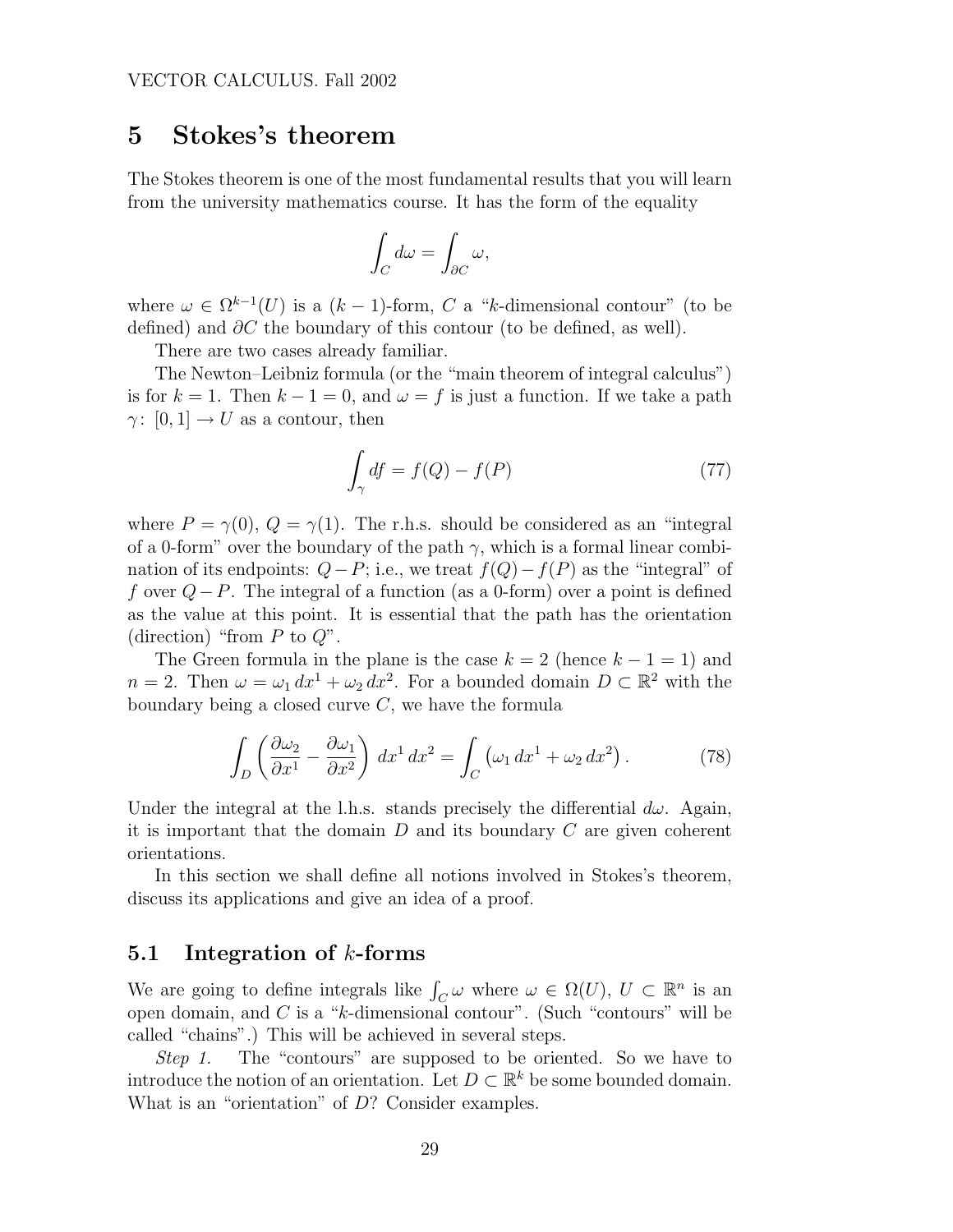# <span id="page-28-0"></span>5 Stokes's theorem

The Stokes theorem is one of the most fundamental results that you will learn from the university mathematics course. It has the form of the equality

$$
\int_C d\omega = \int_{\partial C} \omega,
$$

where  $\omega \in \Omega^{k-1}(U)$  is a  $(k-1)$ -form, C a "k-dimensional contour" (to be defined) and  $\partial C$  the boundary of this contour (to be defined, as well).

There are two cases already familiar.

The Newton–Leibniz formula (or the "main theorem of integral calculus") is for  $k = 1$ . Then  $k - 1 = 0$ , and  $\omega = f$  is just a function. If we take a path  $\gamma: [0, 1] \to U$  as a contour, then

$$
\int_{\gamma} df = f(Q) - f(P) \tag{77}
$$

where  $P = \gamma(0), Q = \gamma(1)$ . The r.h.s. should be considered as an "integral" of a 0-form" over the boundary of the path  $\gamma$ , which is a formal linear combination of its endpoints:  $Q-P$ ; i.e., we treat  $f(Q)-f(P)$  as the "integral" of f over  $Q-P$ . The integral of a function (as a 0-form) over a point is defined as the value at this point. It is essential that the path has the orientation (direction) "from  $P$  to  $Q$ ".

The Green formula in the plane is the case  $k = 2$  (hence  $k - 1 = 1$ ) and  $n = 2$ . Then  $\omega = \omega_1 dx^1 + \omega_2 dx^2$ . For a bounded domain  $D \subset \mathbb{R}^2$  with the boundary being a closed curve  $C$ , we have the formula

$$
\int_{D} \left( \frac{\partial \omega_2}{\partial x^1} - \frac{\partial \omega_1}{\partial x^2} \right) dx^1 dx^2 = \int_{C} \left( \omega_1 dx^1 + \omega_2 dx^2 \right). \tag{78}
$$

Under the integral at the l.h.s. stands precisely the differential  $d\omega$ . Again, it is important that the domain  $D$  and its boundary  $C$  are given coherent orientations.

In this section we shall define all notions involved in Stokes's theorem, discuss its applications and give an idea of a proof.

#### 5.1 Integration of  $k$ -forms

We are going to define integrals like  $\int_C \omega$  where  $\omega \in \Omega(U)$ ,  $U \subset \mathbb{R}^n$  is an open domain, and  $C$  is a "k-dimensional contour". (Such "contours" will be called "chains".) This will be achieved in several steps.

Step 1. The "contours" are supposed to be oriented. So we have to introduce the notion of an orientation. Let  $D \subset \mathbb{R}^k$  be some bounded domain. What is an "orientation" of  $D$ ? Consider examples.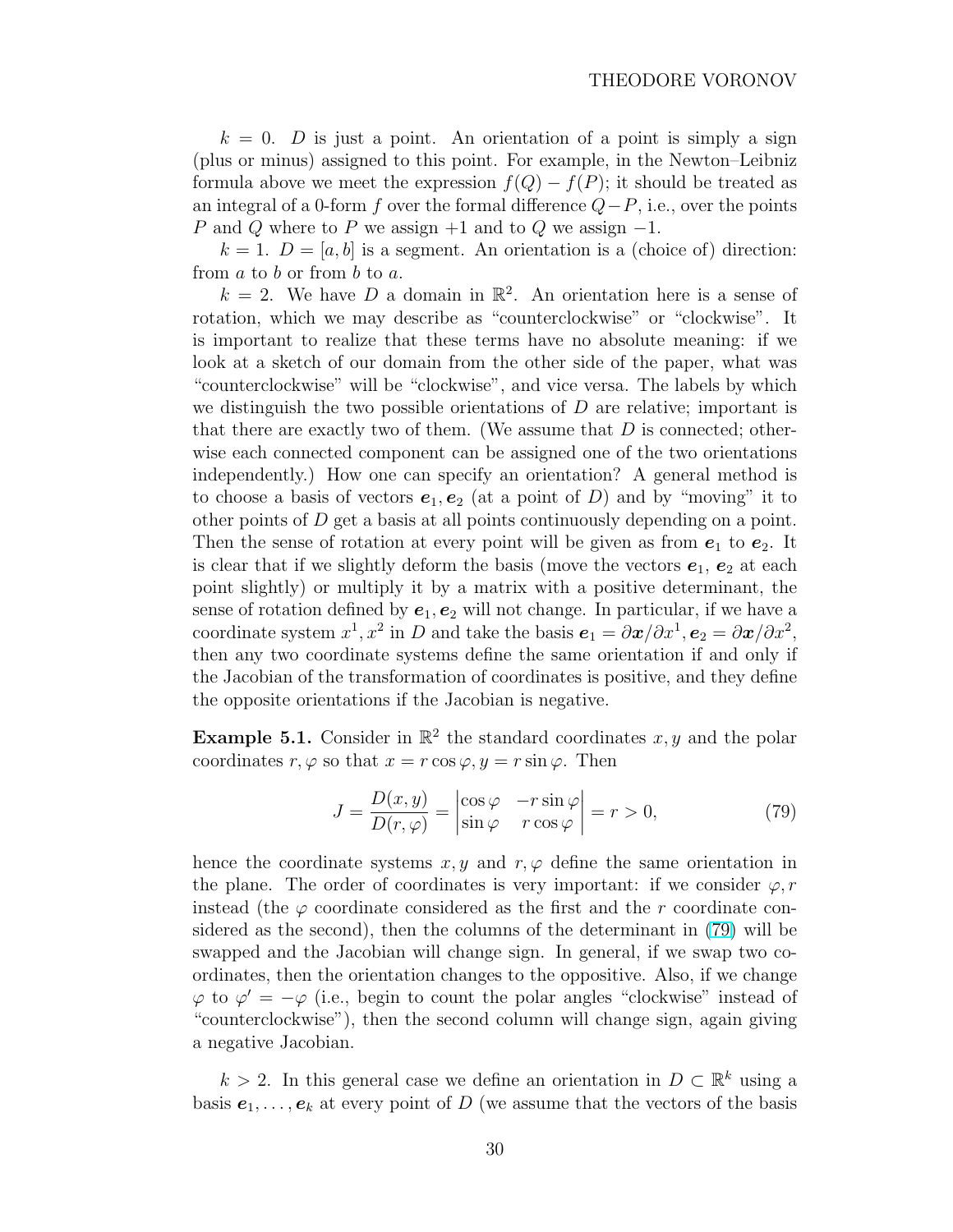$k = 0$ . *D* is just a point. An orientation of a point is simply a sign (plus or minus) assigned to this point. For example, in the Newton–Leibniz formula above we meet the expression  $f(Q) - f(P)$ ; it should be treated as an integral of a 0-form f over the formal difference  $Q-P$ , i.e., over the points P and Q where to P we assign  $+1$  and to Q we assign  $-1$ .

 $k = 1$ .  $D = [a, b]$  is a segment. An orientation is a (choice of) direction: from  $a$  to  $b$  or from  $b$  to  $a$ .

 $k = 2$ . We have D a domain in  $\mathbb{R}^2$ . An orientation here is a sense of rotation, which we may describe as "counterclockwise" or "clockwise". It is important to realize that these terms have no absolute meaning: if we look at a sketch of our domain from the other side of the paper, what was "counterclockwise" will be "clockwise", and vice versa. The labels by which we distinguish the two possible orientations of  $D$  are relative; important is that there are exactly two of them. (We assume that  $D$  is connected; otherwise each connected component can be assigned one of the two orientations independently.) How one can specify an orientation? A general method is to choose a basis of vectors  $e_1, e_2$  (at a point of D) and by "moving" it to other points of  $D$  get a basis at all points continuously depending on a point. Then the sense of rotation at every point will be given as from  $e_1$  to  $e_2$ . It is clear that if we slightly deform the basis (move the vectors  $e_1, e_2$  at each point slightly) or multiply it by a matrix with a positive determinant, the sense of rotation defined by  $e_1, e_2$  will not change. In particular, if we have a coordinate system  $x^1, x^2$  in D and take the basis  $e_1 = \partial x/\partial x^1, e_2 = \partial x/\partial x^2$ , then any two coordinate systems define the same orientation if and only if the Jacobian of the transformation of coordinates is positive, and they define the opposite orientations if the Jacobian is negative.

**Example 5.1.** Consider in  $\mathbb{R}^2$  the standard coordinates x, y and the polar coordinates  $r, \varphi$  so that  $x = r \cos \varphi, y = r \sin \varphi$ . Then

$$
J = \frac{D(x, y)}{D(r, \varphi)} = \begin{vmatrix} \cos \varphi & -r \sin \varphi \\ \sin \varphi & r \cos \varphi \end{vmatrix} = r > 0,
$$
 (79)

hence the coordinate systems  $x, y$  and  $r, \varphi$  define the same orientation in the plane. The order of coordinates is very important: if we consider  $\varphi, r$ instead (the  $\varphi$  coordinate considered as the first and the r coordinate considered as the second), then the columns of the determinant in (79) will be swapped and the Jacobian will change sign. In general, if we swap two coordinates, then the orientation changes to the oppositive. Also, if we change  $\varphi$  to  $\varphi' = -\varphi$  (i.e., begin to count the polar angles "clockwise" instead of "counterclockwise"), then the second column will change sign, again giving a negative Jacobian.

 $k > 2$ . In this general case we define an orientation in  $D \subset \mathbb{R}^k$  using a basis  $e_1, \ldots, e_k$  at every point of D (we assume that the vectors of the basis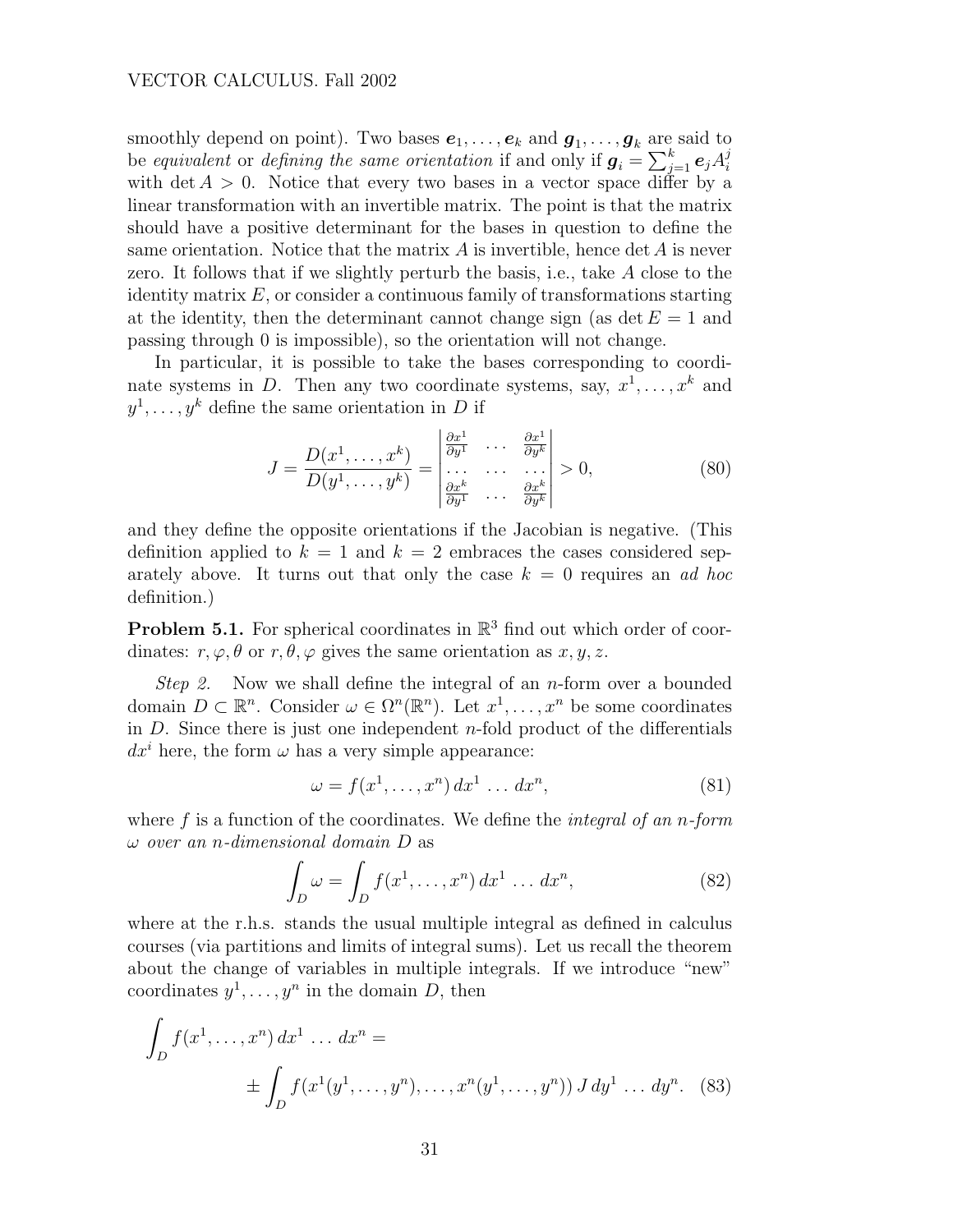#### <span id="page-30-0"></span>VECTOR CALCULUS. Fall 2002

smoothly depend on point). Two bases  $e_1, \ldots, e_k$  and  $g_1, \ldots, g_k$  are said to be equivalent or defining the same orientation if and only if  $g_i =$  $\frac{\text{are}}{\sum k}$  $_{j=1}^k$   $\bm{e}_j A_i^j$ i with det  $A > 0$ . Notice that every two bases in a vector space differ by a linear transformation with an invertible matrix. The point is that the matrix should have a positive determinant for the bases in question to define the same orientation. Notice that the matrix  $A$  is invertible, hence det  $A$  is never zero. It follows that if we slightly perturb the basis, i.e., take A close to the identity matrix  $E$ , or consider a continuous family of transformations starting at the identity, then the determinant cannot change sign (as det  $E = 1$  and passing through 0 is impossible), so the orientation will not change.

In particular, it is possible to take the bases corresponding to coordinate systems in D. Then any two coordinate systems, say,  $x^1, \ldots, x^k$  and  $y^1, \ldots, y^k$  define the same orientation in D if ¯  $\overline{a}$ 

$$
J = \frac{D(x^1, \dots, x^k)}{D(y^1, \dots, y^k)} = \begin{vmatrix} \frac{\partial x^1}{\partial y^1} & \cdots & \frac{\partial x^1}{\partial y^k} \\ \vdots & \vdots & \ddots \\ \frac{\partial x^k}{\partial y^1} & \cdots & \frac{\partial x^k}{\partial y^k} \end{vmatrix} > 0,
$$
 (80)

and they define the opposite orientations if the Jacobian is negative. (This definition applied to  $k = 1$  and  $k = 2$  embraces the cases considered separately above. It turns out that only the case  $k = 0$  requires an ad hoc definition.)

**Problem 5.1.** For spherical coordinates in  $\mathbb{R}^3$  find out which order of coordinates:  $r, \varphi, \theta$  or  $r, \theta, \varphi$  gives the same orientation as  $x, y, z$ .

Step 2. Now we shall define the integral of an n-form over a bounded domain  $D \subset \mathbb{R}^n$ . Consider  $\omega \in \Omega^n(\mathbb{R}^n)$ . Let  $x^1, \ldots, x^n$  be some coordinates in  $D$ . Since there is just one independent *n*-fold product of the differentials  $dx^i$  here, the form  $\omega$  has a very simple appearance:

$$
\omega = f(x^1, \dots, x^n) dx^1 \dots dx^n,
$$
\n(81)

where  $f$  is a function of the coordinates. We define the *integral of an n-form*  $\omega$  over an n-dimensional domain D as  $\frac{1}{2}$ 

$$
\int_{D} \omega = \int_{D} f(x^1, \dots, x^n) dx^1 \dots dx^n,
$$
\n(82)

where at the r.h.s. stands the usual multiple integral as defined in calculus courses (via partitions and limits of integral sums). Let us recall the theorem about the change of variables in multiple integrals. If we introduce "new" coordinates  $y^1, \ldots, y^n$  in the domain D, then

$$
\int_{D} f(x^{1},...,x^{n}) dx^{1} ... dx^{n} =
$$
  
 
$$
\pm \int_{D} f(x^{1}(y^{1},...,y^{n}),...,x^{n}(y^{1},...,y^{n})) J dy^{1} ... dy^{n}.
$$
 (83)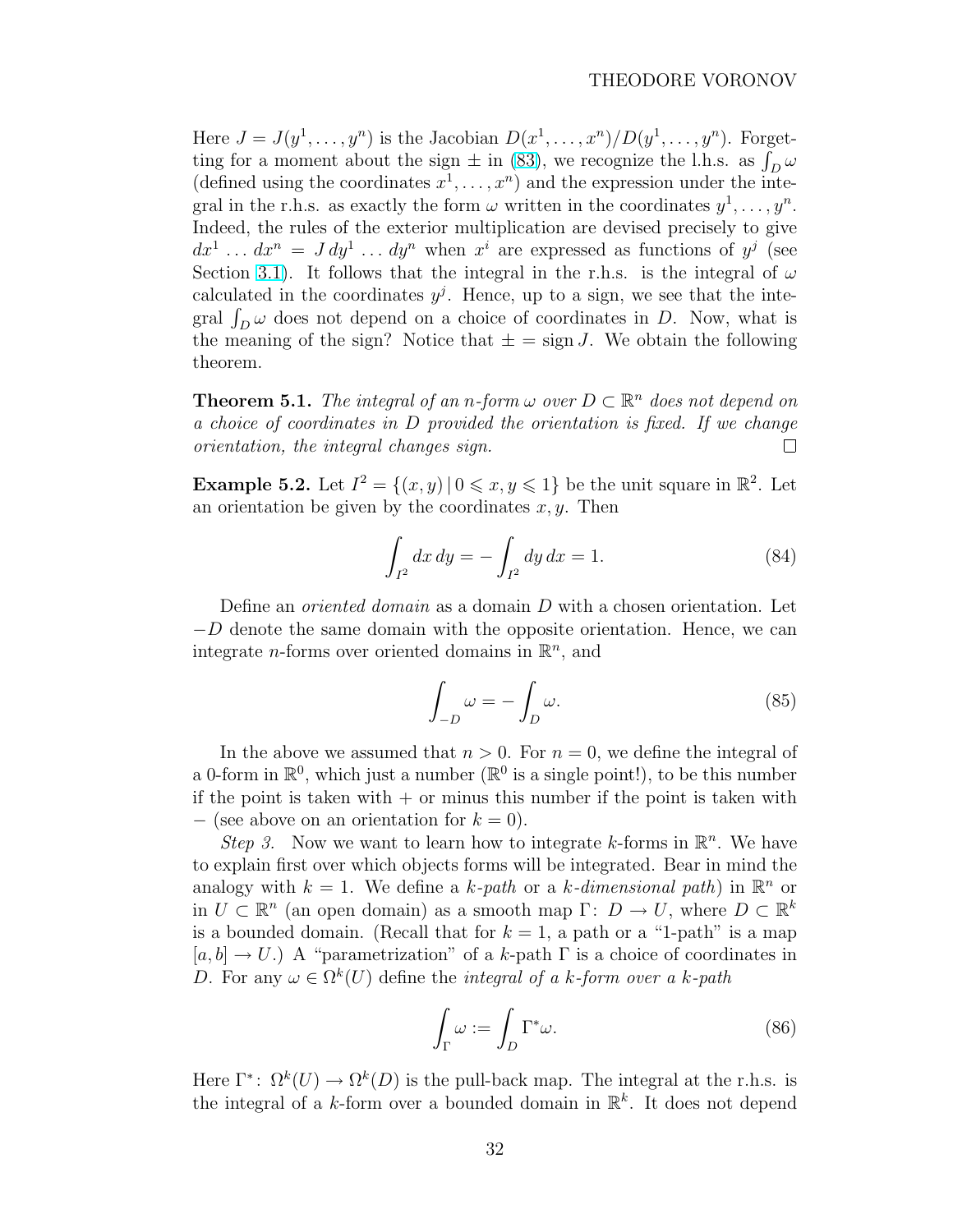Here  $J = J(y^1, \ldots, y^n)$  is the Jacobian  $D(x^1, \ldots, x^n)/D(y^1, \ldots, y^n)$ . Forget-Here  $J = J(y^2, ..., y^m)$  is the Jacobian  $D(x^2, ..., x^n)/D(y^2, ..., y^m)$ . Forget-<br>ting for a moment about the sign  $\pm$  in [\(83\)](#page-30-0), we recognize the l.h.s. as  $\int_D \omega$ (defined using the coordinates  $x^1, \ldots, x^n$ ) and the expression under the integral in the r.h.s. as exactly the form  $\omega$  written in the coordinates  $y^1, \ldots, y^n$ . Indeed, the rules of the exterior multiplication are devised precisely to give  $dx^1 \ldots dx^n = J dy^1 \ldots dy^n$  when  $x^i$  are expressed as functions of  $y^j$  (see Section [3.1\)](#page-23-0). It follows that the integral in the r.h.s. is the integral of  $\omega$ calculated in the coordinates  $y^j$ . Hence, up to a sign, we see that the intecalculated in the coordinates  $y$ . Hence, up to a sign, we see that the integral  $\int_D \omega$  does not depend on a choice of coordinates in D. Now, what is the meaning of the sign? Notice that  $\pm = \text{sign } J$ . We obtain the following theorem.

**Theorem 5.1.** The integral of an n-form  $\omega$  over  $D \subset \mathbb{R}^n$  does not depend on a choice of coordinates in D provided the orientation is fixed. If we change orientation, the integral changes sign.  $\Box$ 

**Example 5.2.** Let  $I^2 = \{(x, y) | 0 \le x, y \le 1\}$  be the unit square in  $\mathbb{R}^2$ . Let an orientation be given by the coordinates  $x, y$ . Then

$$
\int_{I^2} dx \, dy = -\int_{I^2} dy \, dx = 1. \tag{84}
$$

Define an *oriented domain* as a domain D with a chosen orientation. Let  $-D$  denote the same domain with the opposite orientation. Hence, we can integrate *n*-forms over oriented domains in  $\mathbb{R}^n$ , and

$$
\int_{-D} \omega = -\int_{D} \omega. \tag{85}
$$

In the above we assumed that  $n > 0$ . For  $n = 0$ , we define the integral of a 0-form in  $\mathbb{R}^0$ , which just a number ( $\mathbb{R}^0$  is a single point!), to be this number if the point is taken with  $+$  or minus this number if the point is taken with  $-$  (see above on an orientation for  $k = 0$ ).

Step 3. Now we want to learn how to integrate k-forms in  $\mathbb{R}^n$ . We have to explain first over which objects forms will be integrated. Bear in mind the analogy with  $k = 1$ . We define a k-path or a k-dimensional path) in  $\mathbb{R}^n$  or in  $U \subset \mathbb{R}^n$  (an open domain) as a smooth map  $\Gamma: D \to U$ , where  $D \subset \mathbb{R}^k$ is a bounded domain. (Recall that for  $k = 1$ , a path or a "1-path" is a map  $[a, b] \rightarrow U$ .) A "parametrization" of a k-path  $\Gamma$  is a choice of coordinates in D. For any  $\omega \in \Omega^k(U)$  define the *integral of a k-form over a k-path* 

$$
\int_{\Gamma} \omega := \int_{D} \Gamma^* \omega.
$$
\n(86)

Here  $\Gamma^*$ :  $\Omega^k(U) \to \Omega^k(D)$  is the pull-back map. The integral at the r.h.s. is the integral of a k-form over a bounded domain in  $\mathbb{R}^k$ . It does not depend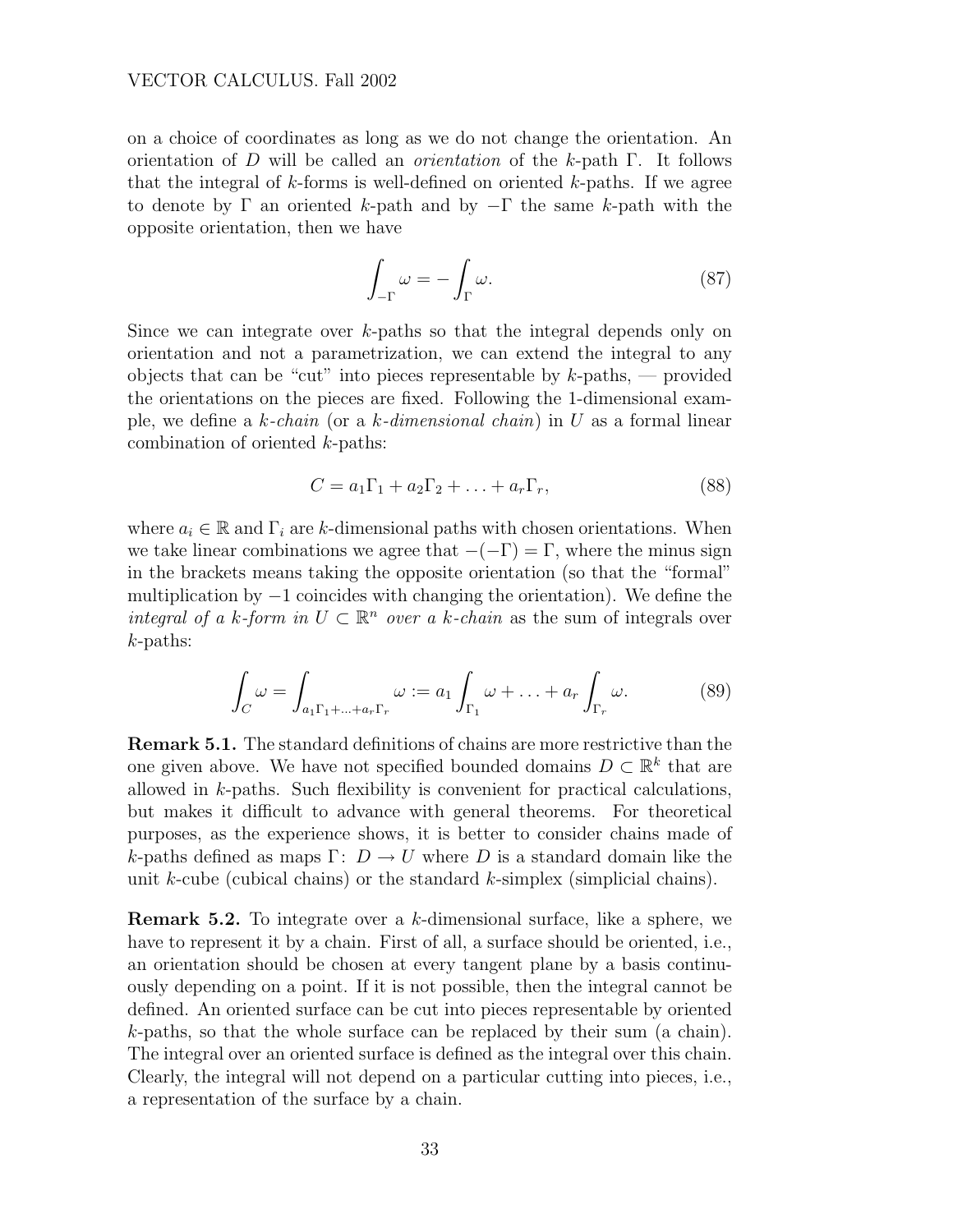#### <span id="page-32-0"></span>VECTOR CALCULUS. Fall 2002

on a choice of coordinates as long as we do not change the orientation. An orientation of D will be called an *orientation* of the k-path  $\Gamma$ . It follows that the integral of  $k$ -forms is well-defined on oriented  $k$ -paths. If we agree to denote by  $\Gamma$  an oriented k-path and by  $-\Gamma$  the same k-path with the opposite orientation, then we have

$$
\int_{-\Gamma} \omega = -\int_{\Gamma} \omega.
$$
\n(87)

Since we can integrate over k-paths so that the integral depends only on orientation and not a parametrization, we can extend the integral to any objects that can be "cut" into pieces representable by  $k$ -paths, — provided the orientations on the pieces are fixed. Following the 1-dimensional example, we define a k-chain (or a k-dimensional chain) in U as a formal linear combination of oriented k-paths:

$$
C = a_1 \Gamma_1 + a_2 \Gamma_2 + \ldots + a_r \Gamma_r, \tag{88}
$$

where  $a_i \in \mathbb{R}$  and  $\Gamma_i$  are k-dimensional paths with chosen orientations. When we take linear combinations we agree that  $-(-\Gamma) = \Gamma$ , where the minus sign in the brackets means taking the opposite orientation (so that the "formal" multiplication by  $-1$  coincides with changing the orientation). We define the integral of a k-form in  $U \subset \mathbb{R}^n$  over a k-chain as the sum of integrals over k-paths:

$$
\int_C \omega = \int_{a_1 \Gamma_1 + \dots + a_r \Gamma_r} \omega := a_1 \int_{\Gamma_1} \omega + \dots + a_r \int_{\Gamma_r} \omega.
$$
 (89)

Remark 5.1. The standard definitions of chains are more restrictive than the one given above. We have not specified bounded domains  $D \subset \mathbb{R}^k$  that are allowed in k-paths. Such flexibility is convenient for practical calculations, but makes it difficult to advance with general theorems. For theoretical purposes, as the experience shows, it is better to consider chains made of k-paths defined as maps  $\Gamma: D \to U$  where D is a standard domain like the unit k-cube (cubical chains) or the standard k-simplex (simplicial chains).

Remark 5.2. To integrate over a k-dimensional surface, like a sphere, we have to represent it by a chain. First of all, a surface should be oriented, i.e., an orientation should be chosen at every tangent plane by a basis continuously depending on a point. If it is not possible, then the integral cannot be defined. An oriented surface can be cut into pieces representable by oriented k-paths, so that the whole surface can be replaced by their sum (a chain). The integral over an oriented surface is defined as the integral over this chain. Clearly, the integral will not depend on a particular cutting into pieces, i.e., a representation of the surface by a chain.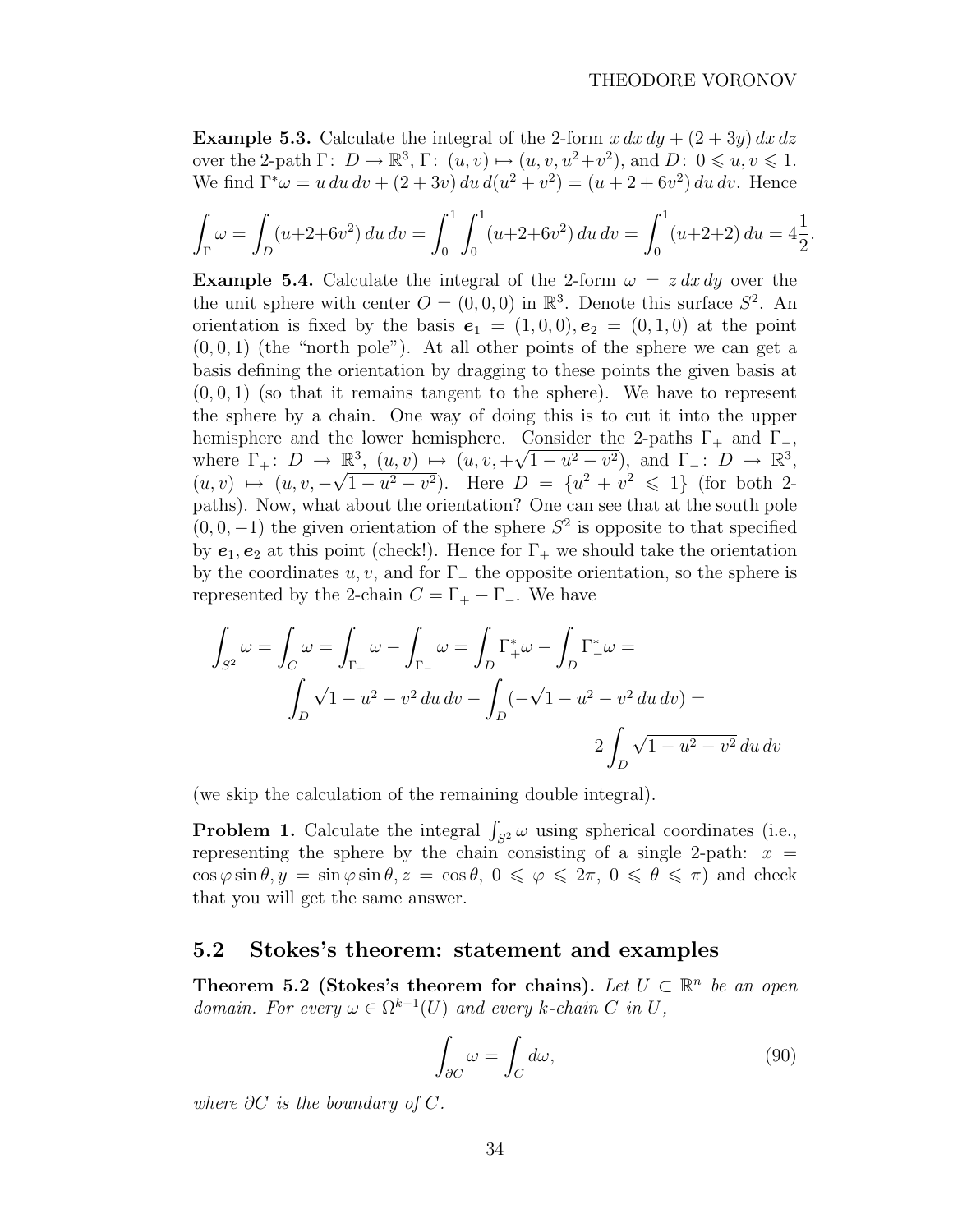<span id="page-33-0"></span>**Example 5.3.** Calculate the integral of the 2-form  $x dx dy + (2 + 3y) dx dz$ over the 2-path  $\Gamma: D \to \mathbb{R}^3$ ,  $\Gamma: (u, v) \mapsto (u, v, u^2 + v^2)$ , and  $D: 0 \leq u, v \leq 1$ . We find  $\Gamma^* \omega = u \, du \, dv + (2 + 3v) \, du \, d(u^2 + v^2) = (u + 2 + 6v^2) \, du \, dv$ . Hence

$$
\int_{\Gamma} \omega = \int_{D} (u + 2 + 6v^2) \, du \, dv = \int_{0}^{1} \int_{0}^{1} (u + 2 + 6v^2) \, du \, dv = \int_{0}^{1} (u + 2 + 2) \, du = 4\frac{1}{2}.
$$

**Example 5.4.** Calculate the integral of the 2-form  $\omega = z dx dy$  over the the unit sphere with center  $O = (0, 0, 0)$  in  $\mathbb{R}^3$ . Denote this surface  $S^2$ . An orientation is fixed by the basis  $e_1 = (1, 0, 0), e_2 = (0, 1, 0)$  at the point  $(0, 0, 1)$  (the "north pole"). At all other points of the sphere we can get a basis defining the orientation by dragging to these points the given basis at  $(0, 0, 1)$  (so that it remains tangent to the sphere). We have to represent the sphere by a chain. One way of doing this is to cut it into the upper hemisphere and the lower hemisphere. Consider the 2-paths  $\Gamma_+$  and  $\Gamma_-$ , where  $\Gamma_+$ :  $D \to \mathbb{R}^3$ ,  $(u, v) \mapsto (u, v, +\sqrt{1-u^2-v^2})$ , and  $\Gamma_-$ :  $D \to \mathbb{R}^3$ ,  $(u, v) \mapsto (u, v, -$ √  $\overline{1-u^2-v^2}$ ). Here  $D = \{u^2+v^2 \leq 1\}$  (for both 2paths). Now, what about the orientation? One can see that at the south pole  $(0, 0, -1)$  the given orientation of the sphere  $S^2$  is opposite to that specified by  $e_1, e_2$  at this point (check!). Hence for  $\Gamma_+$  we should take the orientation by the coordinates  $u, v$ , and for  $\Gamma_-\$  the opposite orientation, so the sphere is represented by the 2-chain  $C = \Gamma_+ - \Gamma_-$ . We have

$$
\int_{S^2} \omega = \int_C \omega = \int_{\Gamma_+} \omega - \int_{\Gamma_-} \omega = \int_D \Gamma_+^* \omega - \int_D \Gamma_-^* \omega =
$$
  

$$
\int_D \sqrt{1 - u^2 - v^2} \, du \, dv - \int_D (-\sqrt{1 - u^2 - v^2} \, du \, dv) =
$$
  

$$
2 \int_D \sqrt{1 - u^2 - v^2} \, du \, dv
$$

(we skip the calculation of the remaining double integral).

**Problem 1.** Calculate the integral  $\int_{S^2} \omega$  using spherical coordinates (i.e., representing the sphere by the chain consisting of a single 2-path:  $x =$  $\cos \varphi \sin \theta, y = \sin \varphi \sin \theta, z = \cos \theta, 0 \le \varphi \le 2\pi, 0 \le \theta \le \pi$  and check that you will get the same answer.

#### 5.2 Stokes's theorem: statement and examples

Theorem 5.2 (Stokes's theorem for chains). Let  $U \subset \mathbb{R}^n$  be an open domain. For every  $\omega \in \Omega^{k-1}(U)$  and every k-chain C in U,

$$
\int_{\partial C} \omega = \int_C d\omega,\tag{90}
$$

where  $\partial C$  is the boundary of  $C$ .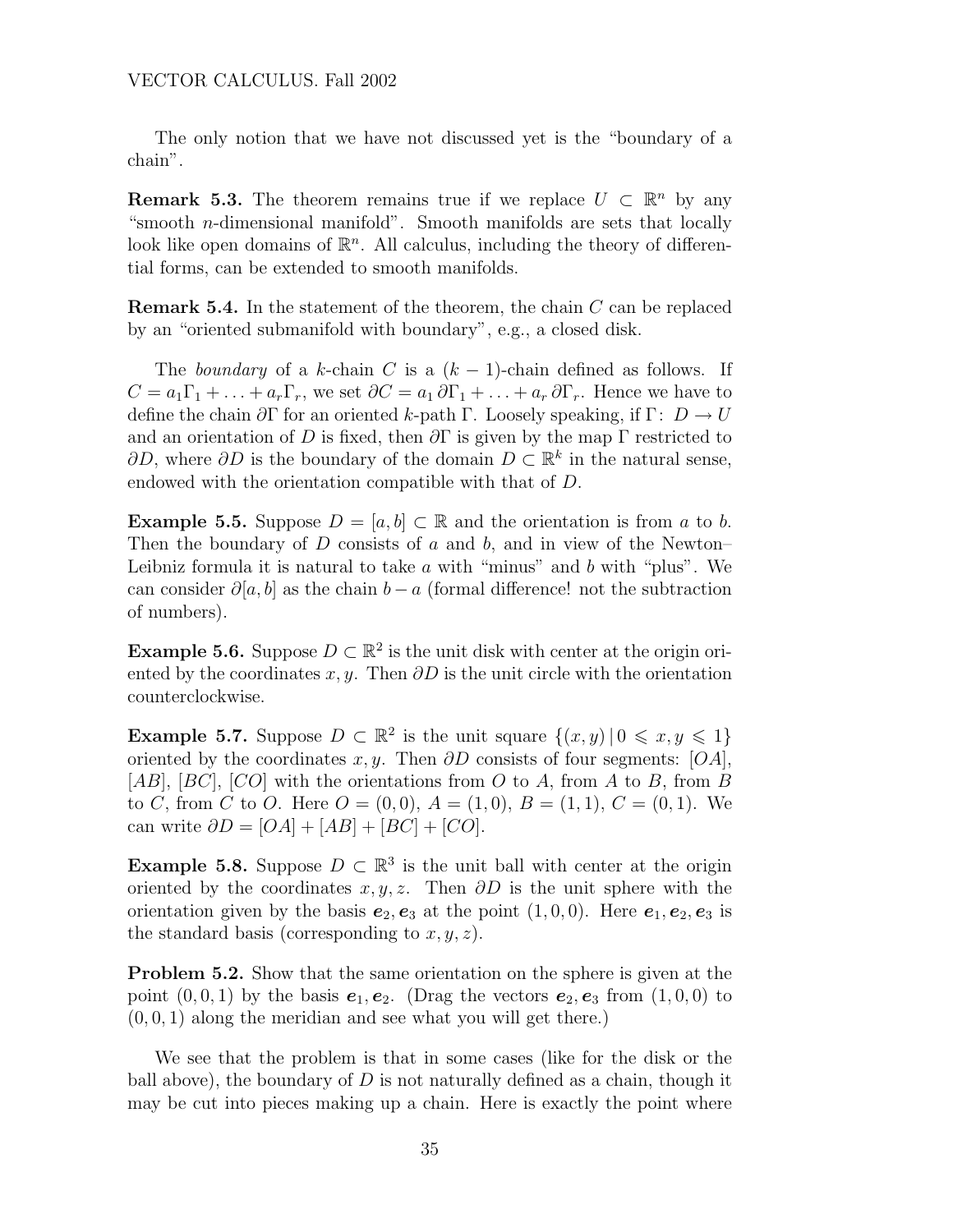The only notion that we have not discussed yet is the "boundary of a chain".

**Remark 5.3.** The theorem remains true if we replace  $U \subset \mathbb{R}^n$  by any "smooth n-dimensional manifold". Smooth manifolds are sets that locally look like open domains of  $\mathbb{R}^n$ . All calculus, including the theory of differential forms, can be extended to smooth manifolds.

**Remark 5.4.** In the statement of the theorem, the chain  $C$  can be replaced by an "oriented submanifold with boundary", e.g., a closed disk.

The boundary of a k-chain C is a  $(k-1)$ -chain defined as follows. If  $C = a_1\Gamma_1 + \ldots + a_r\Gamma_r$ , we set  $\partial C = a_1 \partial \Gamma_1 + \ldots + a_r \partial \Gamma_r$ . Hence we have to define the chain  $\partial \Gamma$  for an oriented k-path Γ. Loosely speaking, if  $\Gamma: D \to U$ and an orientation of D is fixed, then  $\partial\Gamma$  is given by the map  $\Gamma$  restricted to  $\partial D$ , where  $\partial D$  is the boundary of the domain  $D \subset \mathbb{R}^k$  in the natural sense, endowed with the orientation compatible with that of D.

**Example 5.5.** Suppose  $D = [a, b] \subset \mathbb{R}$  and the orientation is from a to b. Then the boundary of  $D$  consists of  $a$  and  $b$ , and in view of the Newton– Leibniz formula it is natural to take  $\alpha$  with "minus" and  $\beta$  with "plus". We can consider  $\partial[a, b]$  as the chain  $b - a$  (formal difference! not the subtraction of numbers).

**Example 5.6.** Suppose  $D \subset \mathbb{R}^2$  is the unit disk with center at the origin oriented by the coordinates  $x, y$ . Then  $\partial D$  is the unit circle with the orientation counterclockwise.

**Example 5.7.** Suppose  $D \subset \mathbb{R}^2$  is the unit square  $\{(x, y) | 0 \leq x, y \leq 1\}$ oriented by the coordinates x, y. Then  $\partial D$  consists of four segments: [OA],  $[AB]$ ,  $[BC]$ ,  $[CO]$  with the orientations from O to A, from A to B, from B to C, from C to O. Here  $O = (0,0), A = (1,0), B = (1,1), C = (0,1).$  We can write  $\partial D = [OA] + [AB] + [BC] + [CO].$ 

**Example 5.8.** Suppose  $D \subset \mathbb{R}^3$  is the unit ball with center at the origin oriented by the coordinates  $x, y, z$ . Then  $\partial D$  is the unit sphere with the orientation given by the basis  $e_2, e_3$  at the point  $(1, 0, 0)$ . Here  $e_1, e_2, e_3$  is the standard basis (corresponding to  $x, y, z$ ).

Problem 5.2. Show that the same orientation on the sphere is given at the point  $(0, 0, 1)$  by the basis  $e_1, e_2$ . (Drag the vectors  $e_2, e_3$  from  $(1, 0, 0)$  to  $(0, 0, 1)$  along the meridian and see what you will get there.)

We see that the problem is that in some cases (like for the disk or the ball above), the boundary of  $D$  is not naturally defined as a chain, though it may be cut into pieces making up a chain. Here is exactly the point where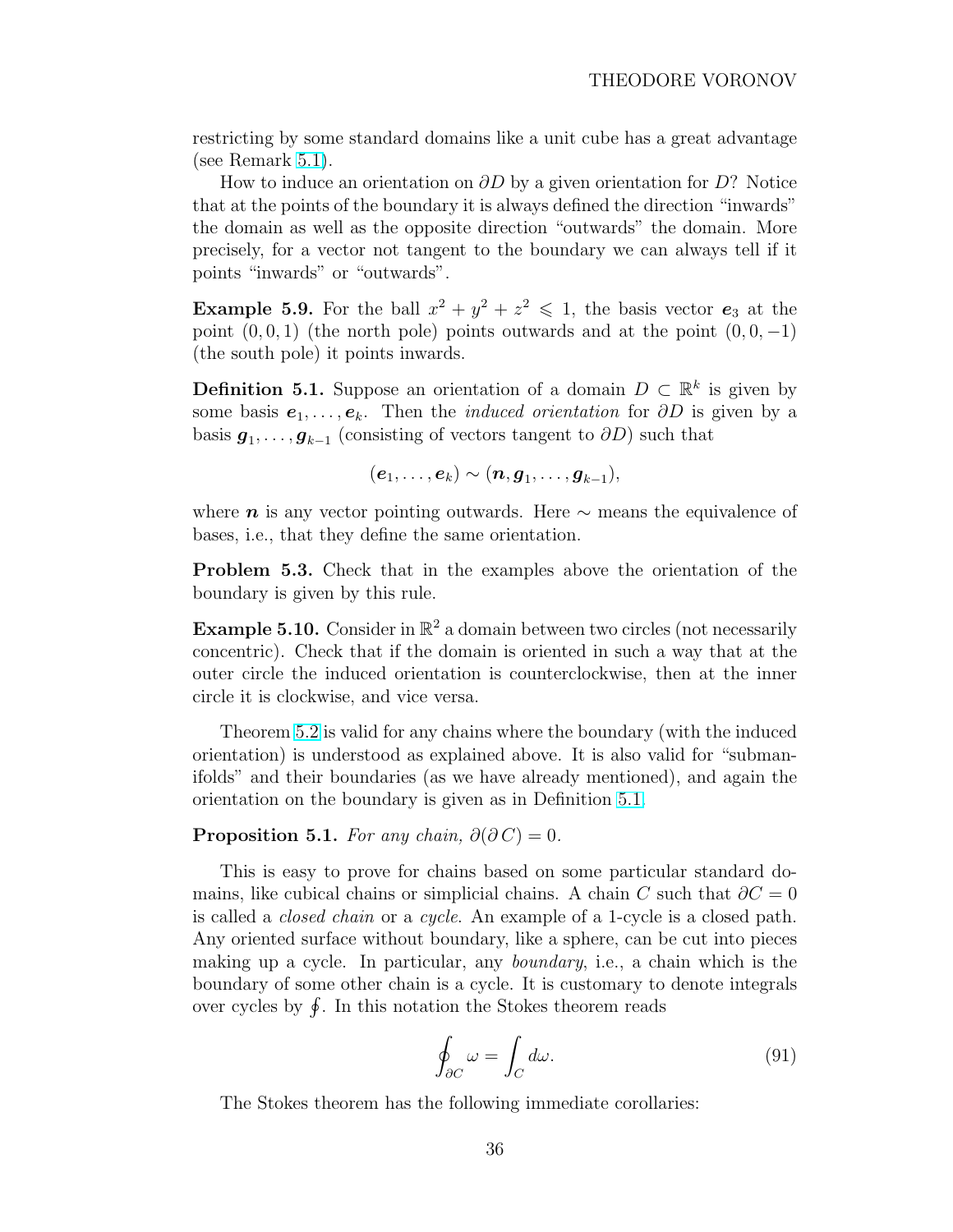<span id="page-35-0"></span>restricting by some standard domains like a unit cube has a great advantage (see Remark [5.1\)](#page-32-0).

How to induce an orientation on  $\partial D$  by a given orientation for D? Notice that at the points of the boundary it is always defined the direction "inwards" the domain as well as the opposite direction "outwards" the domain. More precisely, for a vector not tangent to the boundary we can always tell if it points "inwards" or "outwards".

**Example 5.9.** For the ball  $x^2 + y^2 + z^2 \le 1$ , the basis vector  $e_3$  at the point  $(0, 0, 1)$  (the north pole) points outwards and at the point  $(0, 0, -1)$ (the south pole) it points inwards.

**Definition 5.1.** Suppose an orientation of a domain  $D \subset \mathbb{R}^k$  is given by some basis  $e_1, \ldots, e_k$ . Then the *induced orientation* for  $\partial D$  is given by a basis  $g_1, \ldots, g_{k-1}$  (consisting of vectors tangent to  $\partial D$ ) such that

 $(\boldsymbol{e}_1,\ldots,\boldsymbol{e}_k) \sim (\boldsymbol{n},\boldsymbol{g}_1,\ldots,\boldsymbol{g}_{k-1}),$ 

where  $n$  is any vector pointing outwards. Here  $\sim$  means the equivalence of bases, i.e., that they define the same orientation.

Problem 5.3. Check that in the examples above the orientation of the boundary is given by this rule.

**Example 5.10.** Consider in  $\mathbb{R}^2$  a domain between two circles (not necessarily concentric). Check that if the domain is oriented in such a way that at the outer circle the induced orientation is counterclockwise, then at the inner circle it is clockwise, and vice versa.

Theorem [5.2](#page-33-0) is valid for any chains where the boundary (with the induced orientation) is understood as explained above. It is also valid for "submanifolds" and their boundaries (as we have already mentioned), and again the orientation on the boundary is given as in Definition 5.1.

#### **Proposition 5.1.** For any chain,  $\partial(\partial C) = 0$ .

This is easy to prove for chains based on some particular standard domains, like cubical chains or simplicial chains. A chain C such that  $\partial C = 0$ is called a closed chain or a cycle. An example of a 1-cycle is a closed path. Any oriented surface without boundary, like a sphere, can be cut into pieces making up a cycle. In particular, any boundary, i.e., a chain which is the boundary of some other chain is a cycle. It is customary to denote integrals boundary or some other chain is a cycle. It is customary to<br>over cycles by  $\oint$ . In this notation the Stokes theorem reads

$$
\oint_{\partial C} \omega = \int_C d\omega. \tag{91}
$$

The Stokes theorem has the following immediate corollaries: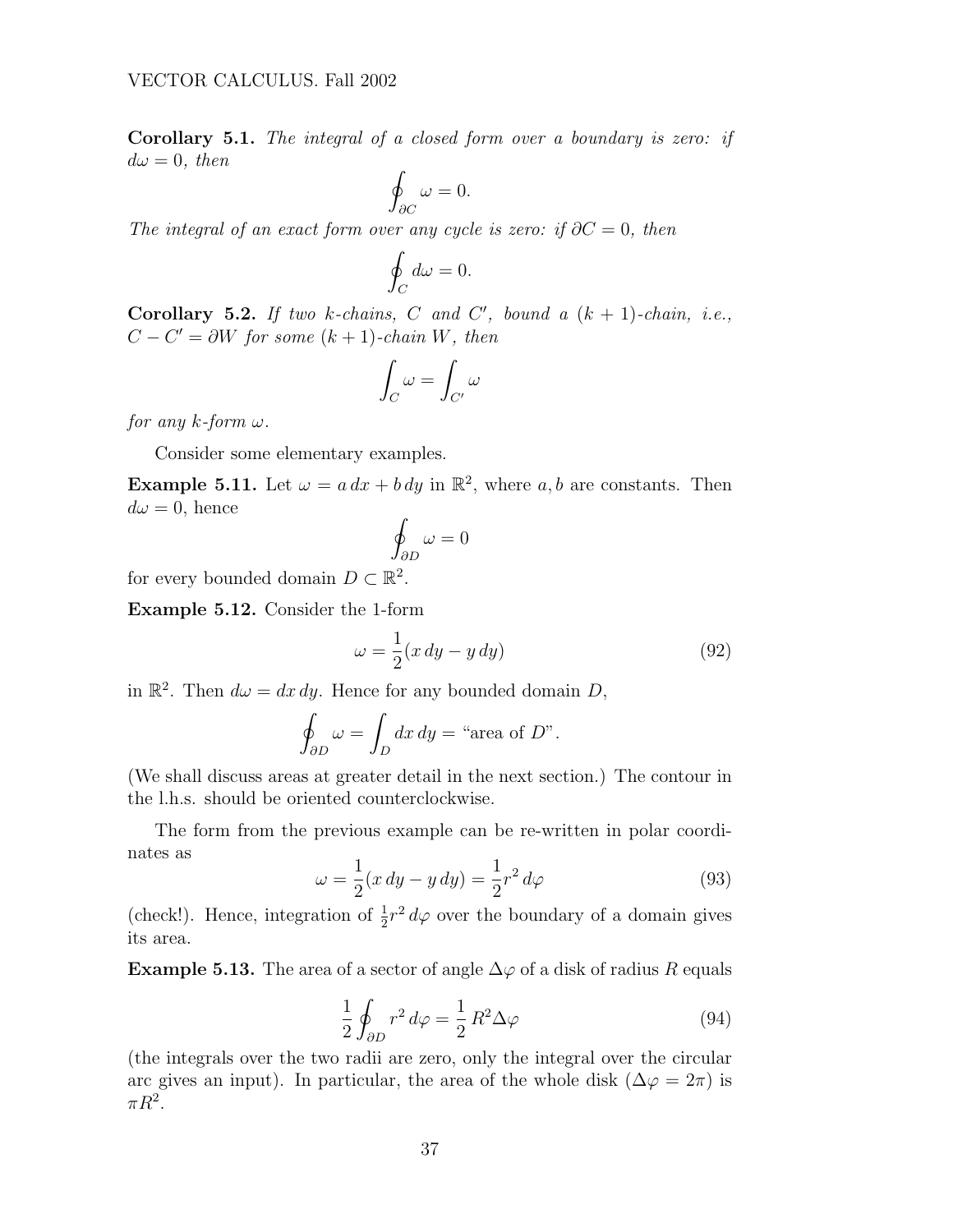<span id="page-36-0"></span>Corollary 5.1. The integral of a closed form over a boundary is zero: if  $d\omega = 0$ , then

$$
\oint_{\partial C} \omega = 0.
$$

The integral of an exact form over any cycle is zero: if  $\partial C = 0$ , then

$$
\oint_C d\omega = 0.
$$

Corollary 5.2. If two k-chains, C and C', bound a  $(k + 1)$ -chain, i.e.,  $C - C' = \partial W$  for some  $(k + 1)$ -chain W, then

$$
\int_C \omega = \int_{C'} \omega
$$

for any  $k$ -form  $\omega$ .

Consider some elementary examples.

**Example 5.11.** Let  $\omega = a dx + b dy$  in  $\mathbb{R}^2$ , where a, b are constants. Then  $d\omega = 0$ , hence

$$
\oint_{\partial D} \omega = 0
$$

for every bounded domain  $D \subset \mathbb{R}^2$ .

Example 5.12. Consider the 1-form

$$
\omega = \frac{1}{2}(x\,dy - y\,dy) \tag{92}
$$

in  $\mathbb{R}^2$ . Then  $d\omega = dx dy$ . Hence for any bounded domain D,

$$
\oint_{\partial D} \omega = \int_D dx \, dy = \text{``area of } D\text{''}.
$$

(We shall discuss areas at greater detail in the next section.) The contour in the l.h.s. should be oriented counterclockwise.

The form from the previous example can be re-written in polar coordinates as

$$
\omega = \frac{1}{2}(x \, dy - y \, dy) = \frac{1}{2}r^2 \, d\varphi \tag{93}
$$

(check!). Hence, integration of  $\frac{1}{2}r^2 d\varphi$  over the boundary of a domain gives its area.

**Example 5.13.** The area of a sector of angle  $\Delta\varphi$  of a disk of radius R equals

$$
\frac{1}{2} \oint_{\partial D} r^2 d\varphi = \frac{1}{2} R^2 \Delta \varphi \tag{94}
$$

(the integrals over the two radii are zero, only the integral over the circular arc gives an input). In particular, the area of the whole disk ( $\Delta \varphi = 2\pi$ ) is  $\pi R^2$ .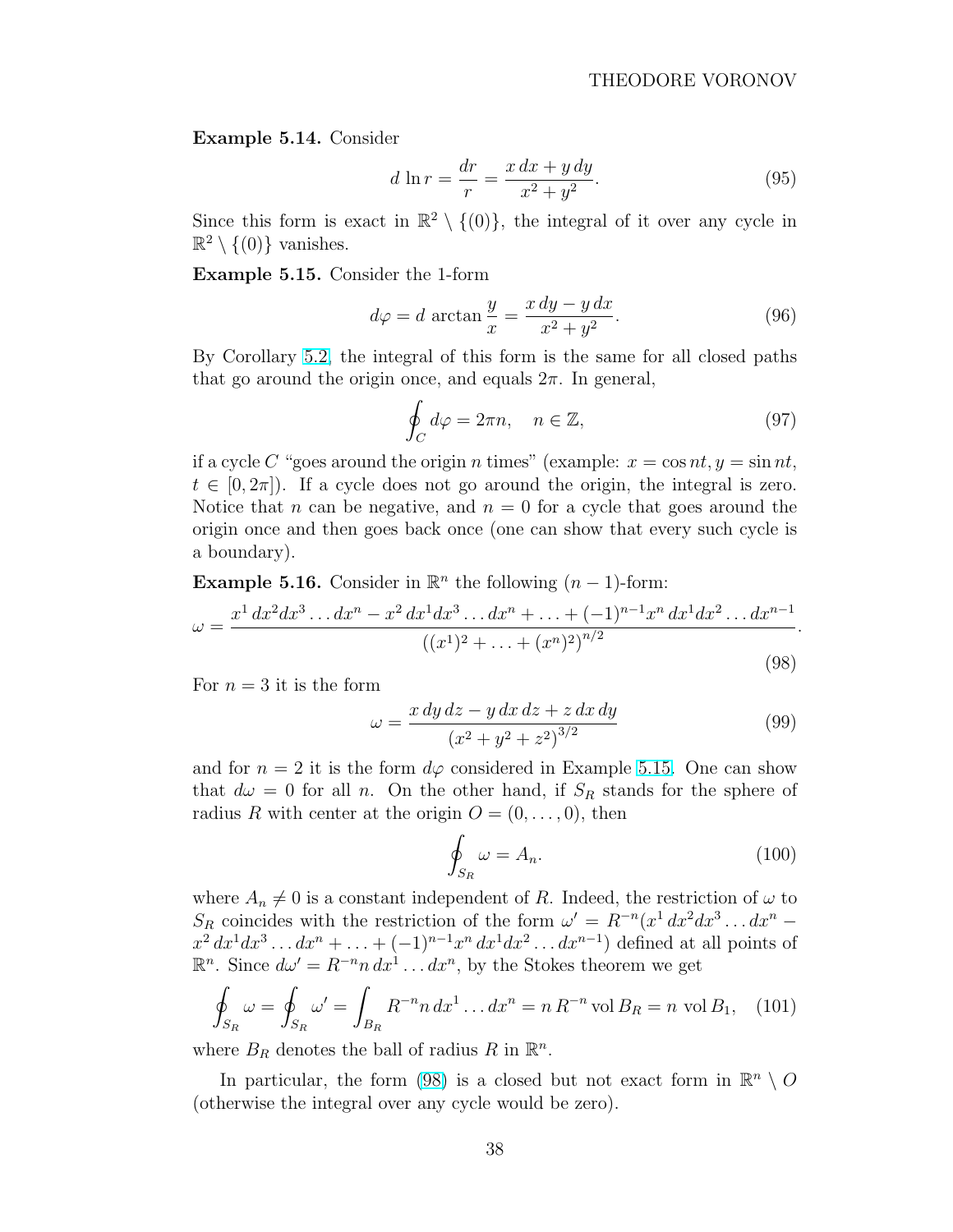<span id="page-37-0"></span>Example 5.14. Consider

$$
d \ln r = \frac{dr}{r} = \frac{x \, dx + y \, dy}{x^2 + y^2}.
$$
\n(95)

Since this form is exact in  $\mathbb{R}^2 \setminus \{ (0) \}$ , the integral of it over any cycle in  $\mathbb{R}^2 \setminus \{ (0) \}$  vanishes.

Example 5.15. Consider the 1-form

$$
d\varphi = d \arctan \frac{y}{x} = \frac{x \, dy - y \, dx}{x^2 + y^2}.
$$
 (96)

By Corollary [5.2,](#page-36-0) the integral of this form is the same for all closed paths that go around the origin once, and equals  $2\pi$ . In general,

$$
\oint_C d\varphi = 2\pi n, \quad n \in \mathbb{Z},\tag{97}
$$

if a cycle C "goes around the origin n times" (example:  $x = \cos nt$ ,  $y = \sin nt$ ,  $t \in [0, 2\pi]$ . If a cycle does not go around the origin, the integral is zero. Notice that n can be negative, and  $n = 0$  for a cycle that goes around the origin once and then goes back once (one can show that every such cycle is a boundary).

**Example 5.16.** Consider in  $\mathbb{R}^n$  the following  $(n-1)$ -form:

$$
\omega = \frac{x^1 dx^2 dx^3 \dots dx^n - x^2 dx^1 dx^3 \dots dx^n + \dots + (-1)^{n-1} x^n dx^1 dx^2 \dots dx^{n-1}}{((x^1)^2 + \dots + (x^n)^2)^{n/2}}.
$$
\n(98)

For  $n=3$  it is the form

$$
\omega = \frac{x \, dy \, dz - y \, dx \, dz + z \, dx \, dy}{(x^2 + y^2 + z^2)^{3/2}} \tag{99}
$$

and for  $n = 2$  it is the form  $d\varphi$  considered in Example 5.15. One can show that  $d\omega = 0$  for all n. On the other hand, if  $S_R$  stands for the sphere of radius R with center at the origin  $O = (0, \ldots, 0)$ , then

$$
\oint_{S_R} \omega = A_n. \tag{100}
$$

where  $A_n \neq 0$  is a constant independent of R. Indeed, the restriction of  $\omega$  to  $S_R$  coincides with the restriction of the form  $\omega' = R^{-n}(x^1 dx^2 dx^3 \dots dx^n$  $x^2 dx^1 dx^3 \dots dx^n + \dots + (-1)^{n-1} x^n dx^1 dx^2 \dots dx^{n-1}$  defined at all points of  $\mathbb{R}^n$ . Since  $d\omega' = R^{-n} n \, dx^1 \dots dx^n$ , by the Stokes theorem we get  $\overline{a}$ 

$$
\oint_{S_R} \omega = \oint_{S_R} \omega' = \int_{B_R} R^{-n} n \, dx^1 \dots dx^n = n \, R^{-n} \text{ vol } B_R = n \text{ vol } B_1,\tag{101}
$$

where  $B_R$  denotes the ball of radius R in  $\mathbb{R}^n$ .

In particular, the form (98) is a closed but not exact form in  $\mathbb{R}^n \setminus O$ (otherwise the integral over any cycle would be zero).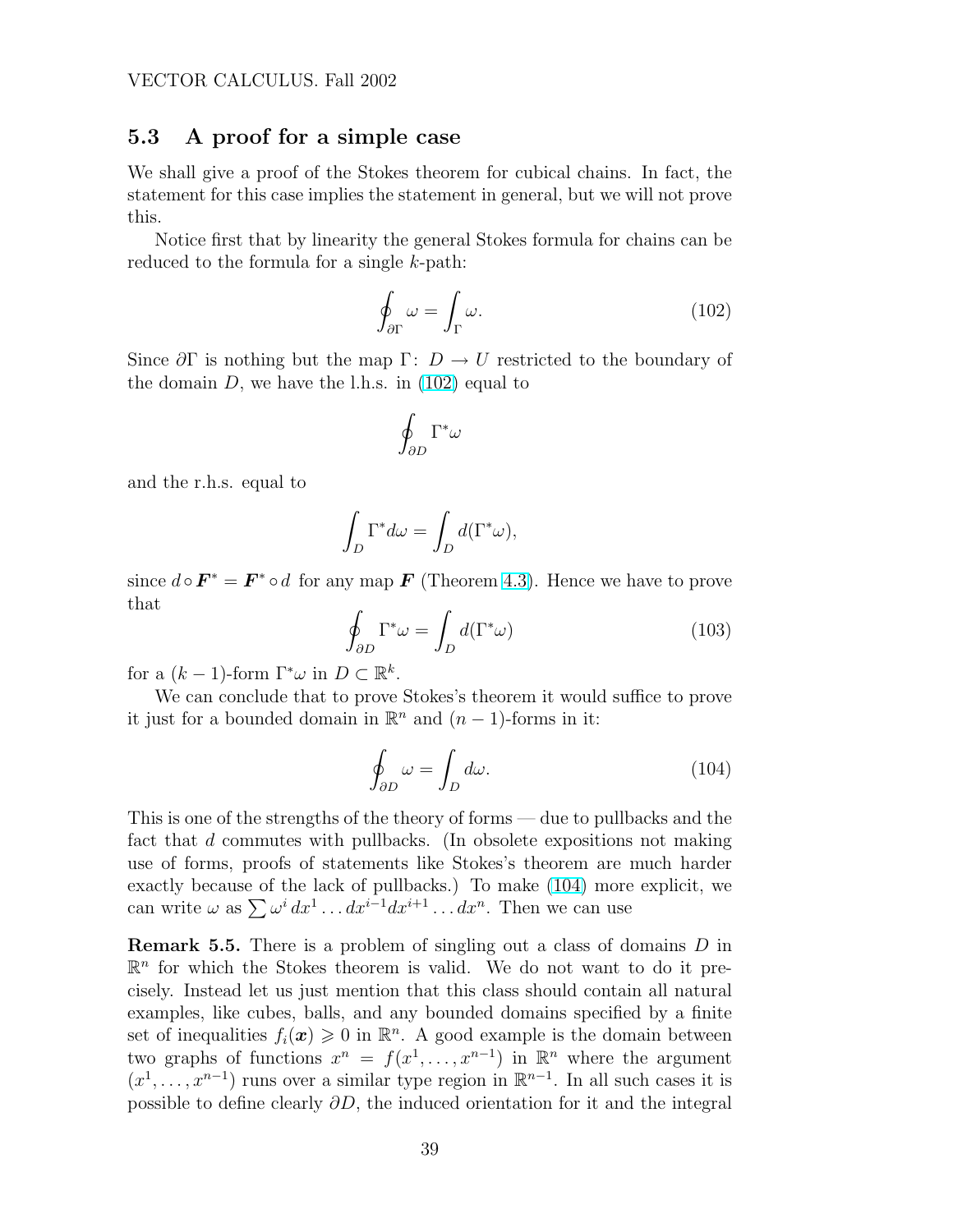## <span id="page-38-0"></span>5.3 A proof for a simple case

We shall give a proof of the Stokes theorem for cubical chains. In fact, the statement for this case implies the statement in general, but we will not prove this.

Notice first that by linearity the general Stokes formula for chains can be reduced to the formula for a single  $k$ -path:

$$
\oint_{\partial \Gamma} \omega = \int_{\Gamma} \omega. \tag{102}
$$

Since  $\partial\Gamma$  is nothing but the map  $\Gamma: D \to U$  restricted to the boundary of the domain  $D$ , we have the l.h.s. in  $(102)$  equal to

$$
\oint_{\partial D}\Gamma^*\omega
$$

and the r.h.s. equal to

$$
\int_D \Gamma^* d\omega = \int_D d(\Gamma^* \omega),
$$

since  $d \circ \mathbf{F}^* = \mathbf{F}^* \circ d$  for any map  $\mathbf{F}$  (Theorem [4.3\)](#page-27-0). Hence we have to prove that

$$
\oint_{\partial D} \Gamma^* \omega = \int_D d(\Gamma^* \omega) \tag{103}
$$

for a  $(k-1)$ -form  $\Gamma^*\omega$  in  $D \subset \mathbb{R}^k$ .

We can conclude that to prove Stokes's theorem it would suffice to prove it just for a bounded domain in  $\mathbb{R}^n$  and  $(n-1)$ -forms in it:

$$
\oint_{\partial D} \omega = \int_{D} d\omega. \tag{104}
$$

This is one of the strengths of the theory of forms — due to pullbacks and the fact that d commutes with pullbacks. (In obsolete expositions not making use of forms, proofs of statements like Stokes's theorem are much harder exactly because of the lack of pullbacks.) To make (104) more explicit, we exactly because of the fack of purplacks.) To make (104) more<br>can write  $\omega$  as  $\sum \omega^i dx^1 \dots dx^{i-1} dx^{i+1} \dots dx^n$ . Then we can use

**Remark 5.5.** There is a problem of singling out a class of domains D in  $\mathbb{R}^n$  for which the Stokes theorem is valid. We do not want to do it precisely. Instead let us just mention that this class should contain all natural examples, like cubes, balls, and any bounded domains specified by a finite set of inequalities  $f_i(\boldsymbol{x}) \geq 0$  in  $\mathbb{R}^n$ . A good example is the domain between two graphs of functions  $x^n = f(x^1, \ldots, x^{n-1})$  in  $\mathbb{R}^n$  where the argument  $(x^1, \ldots, x^{n-1})$  runs over a similar type region in  $\mathbb{R}^{n-1}$ . In all such cases it is possible to define clearly ∂D, the induced orientation for it and the integral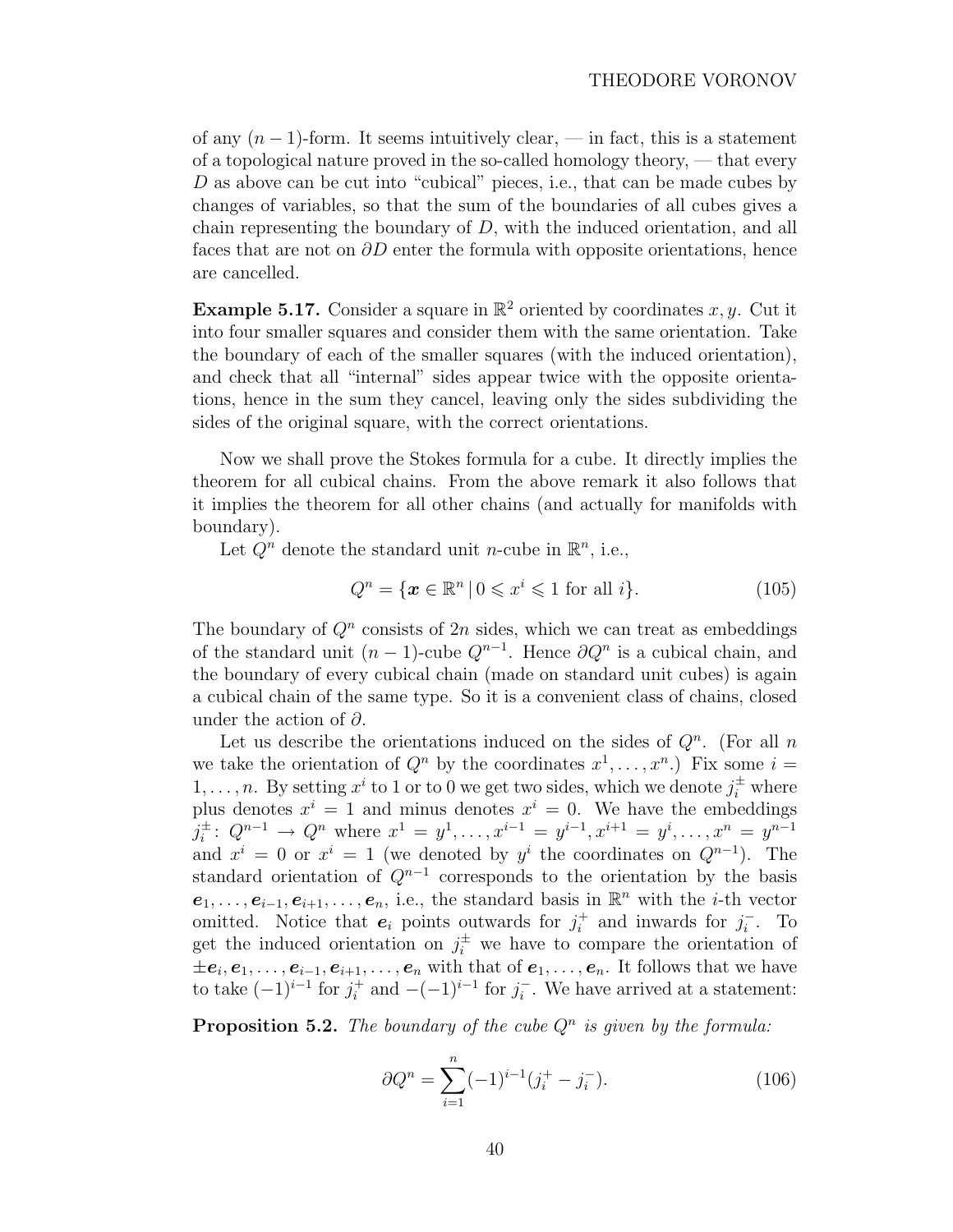of any  $(n-1)$ -form. It seems intuitively clear, — in fact, this is a statement of a topological nature proved in the so-called homology theory, — that every D as above can be cut into "cubical" pieces, i.e., that can be made cubes by changes of variables, so that the sum of the boundaries of all cubes gives a chain representing the boundary of  $D$ , with the induced orientation, and all faces that are not on  $\partial D$  enter the formula with opposite orientations, hence are cancelled.

**Example 5.17.** Consider a square in  $\mathbb{R}^2$  oriented by coordinates x, y. Cut it into four smaller squares and consider them with the same orientation. Take the boundary of each of the smaller squares (with the induced orientation), and check that all "internal" sides appear twice with the opposite orientations, hence in the sum they cancel, leaving only the sides subdividing the sides of the original square, with the correct orientations.

Now we shall prove the Stokes formula for a cube. It directly implies the theorem for all cubical chains. From the above remark it also follows that it implies the theorem for all other chains (and actually for manifolds with boundary).

Let  $Q^n$  denote the standard unit *n*-cube in  $\mathbb{R}^n$ , i.e.,

$$
Q^n = \{ \mathbf{x} \in \mathbb{R}^n \mid 0 \leqslant x^i \leqslant 1 \text{ for all } i \}. \tag{105}
$$

The boundary of  $Q<sup>n</sup>$  consists of  $2n$  sides, which we can treat as embeddings of the standard unit  $(n-1)$ -cube  $Q^{n-1}$ . Hence  $\partial Q^n$  is a cubical chain, and the boundary of every cubical chain (made on standard unit cubes) is again a cubical chain of the same type. So it is a convenient class of chains, closed under the action of  $\partial$ .

Let us describe the orientations induced on the sides of  $Q<sup>n</sup>$ . (For all n we take the orientation of  $Q^n$  by the coordinates  $x^1, \ldots, x^n$ . Fix some  $i =$  $1, \ldots, n$ . By setting  $x^i$  to 1 or to 0 we get two sides, which we denote  $j_i^{\pm}$  where plus denotes  $x^i = 1$  and minus denotes  $x^i = 0$ . We have the embeddings  $j_i^{\pm}$  $\frac{1}{i}$ :  $Q^{n-1}$  →  $Q^n$  where  $x^1 = y^1, \ldots, x^{i-1} = y^{i-1}, x^{i+1} = y^i, \ldots, x^n = y^{n-1}$ and  $x^i = 0$  or  $x^i = 1$  (we denoted by  $y^i$  the coordinates on  $Q^{n-1}$ ). The standard orientation of  $Q^{n-1}$  corresponds to the orientation by the basis  $e_1, \ldots, e_{i-1}, e_{i+1}, \ldots, e_n$ , i.e., the standard basis in  $\mathbb{R}^n$  with the *i*-th vector omitted. Notice that  $e_i$  points outwards for  $j_i^+$  $i$ <sup>+</sup> and inwards for  $j_i^ \overline{i}$ . To get the induced orientation on  $j_i^{\pm}$  we have to compare the orientation of  $\pm e_i, e_1, \ldots, e_{i-1}, e_{i+1}, \ldots, e_n$  with that of  $e_1, \ldots, e_n$ . It follows that we have to take  $(-1)^{i-1}$  for  $j_i^+$  $i^+$  and  $-(-1)^{i-1}$  for  $j_i^ \overline{i}$ . We have arrived at a statement:

**Proposition 5.2.** The boundary of the cube  $Q^n$  is given by the formula:

$$
\partial Q^n = \sum_{i=1}^n (-1)^{i-1} (j_i^+ - j_i^-). \tag{106}
$$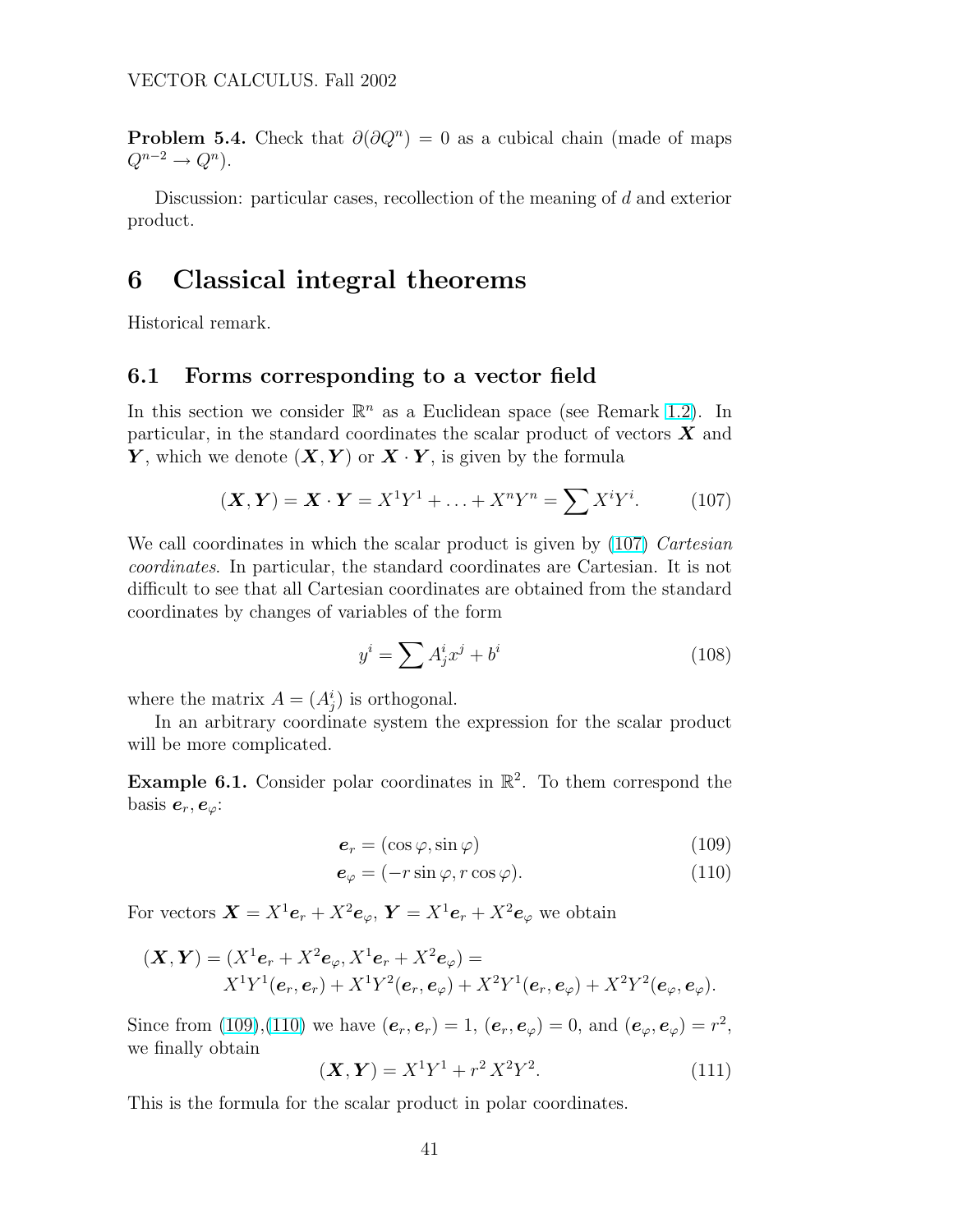<span id="page-40-0"></span>**Problem 5.4.** Check that  $\partial(\partial Q^n) = 0$  as a cubical chain (made of maps  $Q^{n-2} \to Q^n$ ).

Discussion: particular cases, recollection of the meaning of d and exterior product.

# 6 Classical integral theorems

Historical remark.

## 6.1 Forms corresponding to a vector field

In this section we consider  $\mathbb{R}^n$  as a Euclidean space (see Remark [1.2\)](#page-4-0). In particular, in the standard coordinates the scalar product of vectors  $\boldsymbol{X}$  and Y, which we denote  $(X, Y)$  or  $X \cdot Y$ , is given by the formula

$$
(\boldsymbol{X}, \boldsymbol{Y}) = \boldsymbol{X} \cdot \boldsymbol{Y} = X^1 Y^1 + \ldots + X^n Y^n = \sum X^i Y^i.
$$
 (107)

We call coordinates in which the scalar product is given by (107) Cartesian coordinates. In particular, the standard coordinates are Cartesian. It is not difficult to see that all Cartesian coordinates are obtained from the standard coordinates by changes of variables of the form

$$
y^i = \sum A^i_j x^j + b^i \tag{108}
$$

where the matrix  $A = (A_j^i)$  is orthogonal.

In an arbitrary coordinate system the expression for the scalar product will be more complicated.

**Example 6.1.** Consider polar coordinates in  $\mathbb{R}^2$ . To them correspond the basis  $e_r, e_\varphi$ :

$$
\mathbf{e}_r = (\cos \varphi, \sin \varphi) \tag{109}
$$

$$
\mathbf{e}_{\varphi} = (-r\sin\varphi, r\cos\varphi). \tag{110}
$$

For vectors  $\mathbf{X} = X^1 \mathbf{e}_r + X^2 \mathbf{e}_{\varphi}, \mathbf{Y} = X^1 \mathbf{e}_r + X^2 \mathbf{e}_{\varphi}$  we obtain

$$
(\mathbf{X}, \mathbf{Y}) = (X^{1}e_{r} + X^{2}e_{\varphi}, X^{1}e_{r} + X^{2}e_{\varphi}) =
$$
  

$$
X^{1}Y^{1}(e_{r}, e_{r}) + X^{1}Y^{2}(e_{r}, e_{\varphi}) + X^{2}Y^{1}(e_{r}, e_{\varphi}) + X^{2}Y^{2}(e_{\varphi}, e_{\varphi}).
$$

Since from (109),(110) we have  $(e_r, e_r) = 1$ ,  $(e_r, e_{\varphi}) = 0$ , and  $(e_{\varphi}, e_{\varphi}) = r^2$ , we finally obtain

$$
(\mathbf{X}, \mathbf{Y}) = X^1 Y^1 + r^2 X^2 Y^2.
$$
 (111)

This is the formula for the scalar product in polar coordinates.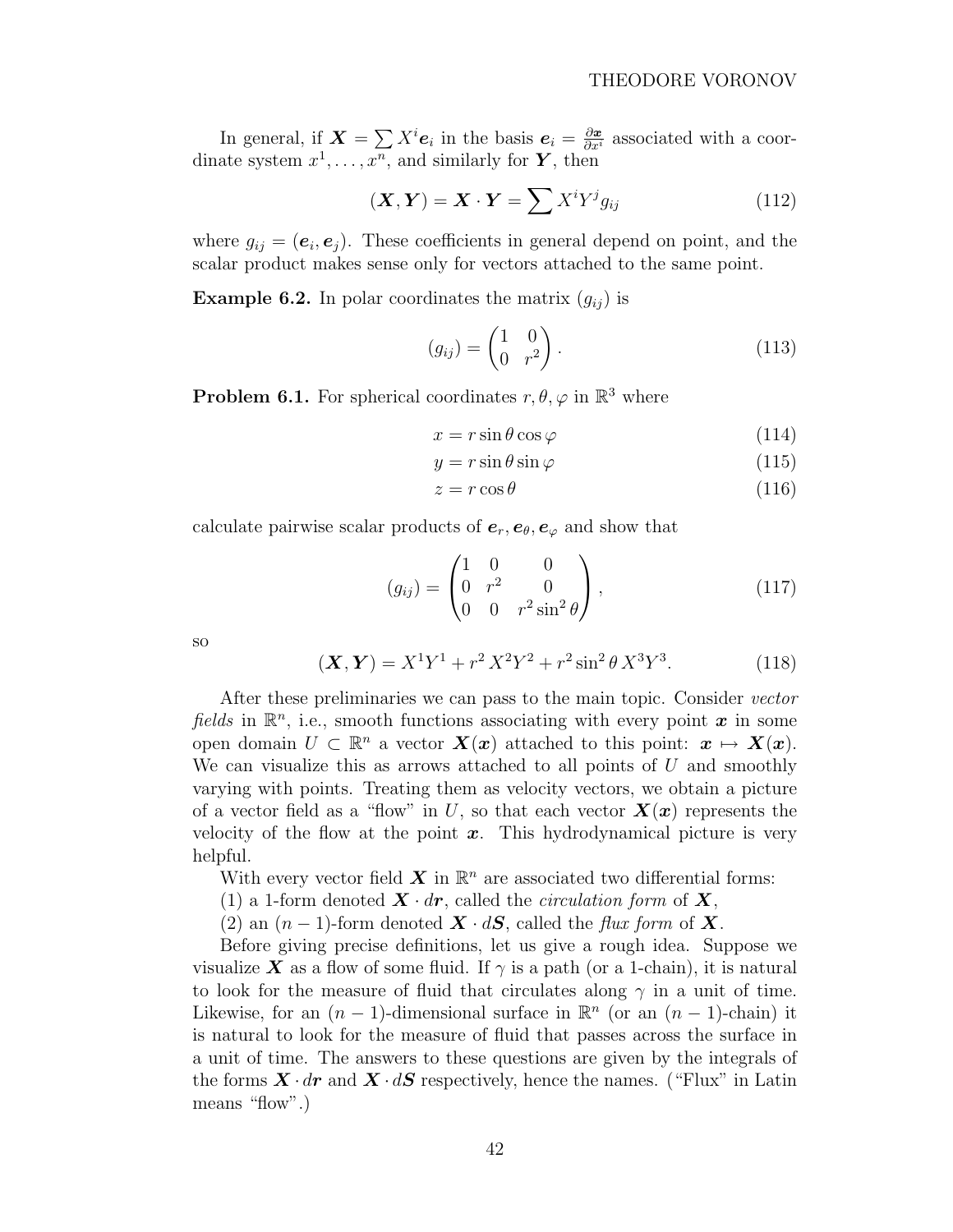In general, if  $\mathbf{X} = \sum X^i \mathbf{e}_i$  in the basis  $\mathbf{e}_i = \frac{\partial \mathbf{x}}{\partial x^i}$  associated with a coordinate system  $x^1, \ldots, x^n$ , and similarly for **Y**, then

$$
(\boldsymbol{X}, \boldsymbol{Y}) = \boldsymbol{X} \cdot \boldsymbol{Y} = \sum X^i Y^j g_{ij}
$$
 (112)

where  $g_{ij} = (e_i, e_j)$ . These coefficients in general depend on point, and the scalar product makes sense only for vectors attached to the same point.

**Example 6.2.** In polar coordinates the matrix  $(g_{ij})$  is

$$
(g_{ij}) = \begin{pmatrix} 1 & 0 \\ 0 & r^2 \end{pmatrix}.
$$
 (113)

**Problem 6.1.** For spherical coordinates  $r, \theta, \varphi$  in  $\mathbb{R}^3$  where

$$
x = r\sin\theta\cos\varphi\tag{114}
$$

$$
y = r\sin\theta\sin\varphi\tag{115}
$$

$$
z = r \cos \theta \tag{116}
$$

calculate pairwise scalar products of  $e_r, e_\theta, e_\varphi$  and show that

$$
(g_{ij}) = \begin{pmatrix} 1 & 0 & 0 \\ 0 & r^2 & 0 \\ 0 & 0 & r^2 \sin^2 \theta \end{pmatrix},
$$
 (117)

so

$$
(\mathbf{X}, \mathbf{Y}) = X^{1}Y^{1} + r^{2}X^{2}Y^{2} + r^{2}\sin^{2}\theta X^{3}Y^{3}.
$$
 (118)

After these preliminaries we can pass to the main topic. Consider vector fields in  $\mathbb{R}^n$ , i.e., smooth functions associating with every point x in some open domain  $U \subset \mathbb{R}^n$  a vector  $\mathbf{X}(x)$  attached to this point:  $x \mapsto \mathbf{X}(x)$ . We can visualize this as arrows attached to all points of  $U$  and smoothly varying with points. Treating them as velocity vectors, we obtain a picture of a vector field as a "flow" in U, so that each vector  $\mathbf{X}(\mathbf{x})$  represents the velocity of the flow at the point  $\boldsymbol{x}$ . This hydrodynamical picture is very helpful.

With every vector field  $\boldsymbol{X}$  in  $\mathbb{R}^n$  are associated two differential forms:

(1) a 1-form denoted  $\mathbf{X} \cdot d\mathbf{r}$ , called the *circulation form* of  $\mathbf{X}$ ,

(2) an  $(n-1)$ -form denoted  $\mathbf{X} \cdot d\mathbf{S}$ , called the flux form of  $\mathbf{X}$ .

Before giving precise definitions, let us give a rough idea. Suppose we visualize X as a flow of some fluid. If  $\gamma$  is a path (or a 1-chain), it is natural to look for the measure of fluid that circulates along  $\gamma$  in a unit of time. Likewise, for an  $(n-1)$ -dimensional surface in  $\mathbb{R}^n$  (or an  $(n-1)$ -chain) it is natural to look for the measure of fluid that passes across the surface in a unit of time. The answers to these questions are given by the integrals of the forms  $\mathbf{X} \cdot d\mathbf{r}$  and  $\mathbf{X} \cdot d\mathbf{S}$  respectively, hence the names. ("Flux" in Latin means "flow".)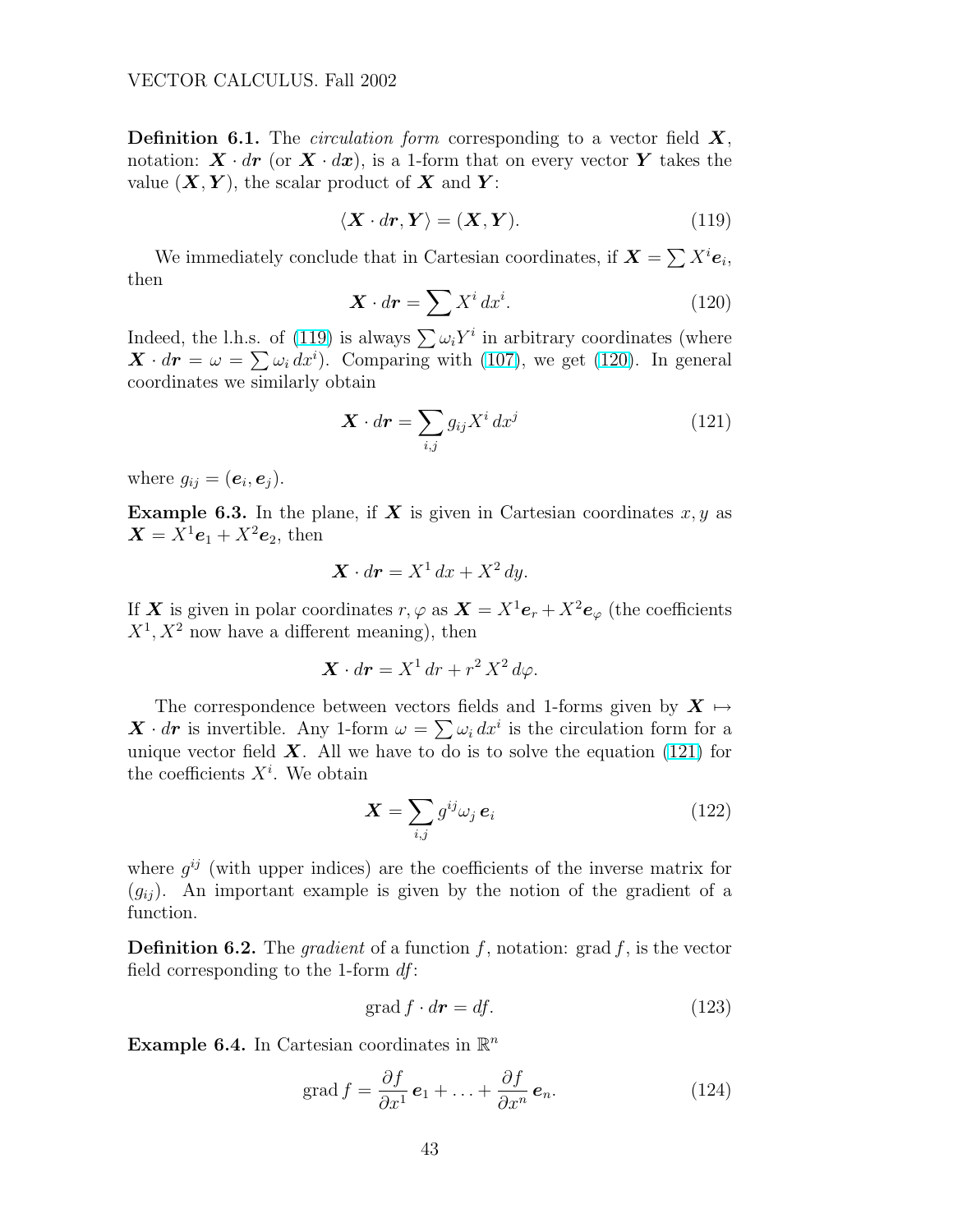**Definition 6.1.** The *circulation form* corresponding to a vector field  $X$ , notation:  $\mathbf{X} \cdot d\mathbf{r}$  (or  $\mathbf{X} \cdot d\mathbf{x}$ ), is a 1-form that on every vector Y takes the value  $(X, Y)$ , the scalar product of X and Y:

$$
\langle \mathbf{X} \cdot d\mathbf{r}, \mathbf{Y} \rangle = (\mathbf{X}, \mathbf{Y}). \tag{119}
$$

We immediately conclude that in Cartesian coordinates, if  $\mathbf{X} = \sum X^i \mathbf{e}_i$ , then

$$
\mathbf{X} \cdot d\mathbf{r} = \sum X^i dx^i. \tag{120}
$$

Indeed, the l.h.s. of (119) is always  $\sum \omega_i Y^i$  in arbitrary coordinates (where maeed, the i.n.s. of (119) is always  $\sum \omega_i r^2$  in arbitrary coordinates (where  $\mathbf{X} \cdot d\mathbf{r} = \omega = \sum \omega_i dx^i$ ). Comparing with [\(107\)](#page-40-0), we get (120). In general coordinates we similarly obtain

$$
\mathbf{X} \cdot d\mathbf{r} = \sum_{i,j} g_{ij} X^i dx^j \tag{121}
$$

where  $g_{ij} = (e_i, e_j)$ .

**Example 6.3.** In the plane, if  $X$  is given in Cartesian coordinates  $x, y$  as  $\mathbf{X} = X^1 \mathbf{e}_1 + X^2 \mathbf{e}_2$ , then

$$
\mathbf{X} \cdot d\mathbf{r} = X^1 dx + X^2 dy.
$$

If X is given in polar coordinates  $r, \varphi$  as  $\mathbf{X} = X^1 \mathbf{e}_r + X^2 \mathbf{e}_{\varphi}$  (the coefficients  $X^1, X^2$  now have a different meaning), then

$$
\mathbf{X} \cdot d\mathbf{r} = X^1 dr + r^2 X^2 d\varphi.
$$

The correspondence between vectors fields and 1-forms given by  $X \mapsto$ The correspondence between vectors helds and 1-forms given by  $\mathbf{X} \mapsto \mathbf{X} \cdot d\mathbf{r}$  is invertible. Any 1-form  $\omega = \sum \omega_i dx^i$  is the circulation form for a unique vector field  $\boldsymbol{X}$ . All we have to do is to solve the equation (121) for the coefficients  $X^i$ . We obtain

$$
\mathbf{X} = \sum_{i,j} g^{ij} \omega_j \,\mathbf{e}_i \tag{122}
$$

where  $g^{ij}$  (with upper indices) are the coefficients of the inverse matrix for  $(g_{ij})$ . An important example is given by the notion of the gradient of a function.

**Definition 6.2.** The *gradient* of a function f, notation: grad f, is the vector field corresponding to the 1-form  $df$ :

$$
\operatorname{grad} f \cdot d\mathbf{r} = df. \tag{123}
$$

Example 6.4. In Cartesian coordinates in  $\mathbb{R}^n$ 

grad 
$$
f = \frac{\partial f}{\partial x^1} \mathbf{e}_1 + \dots + \frac{\partial f}{\partial x^n} \mathbf{e}_n.
$$
 (124)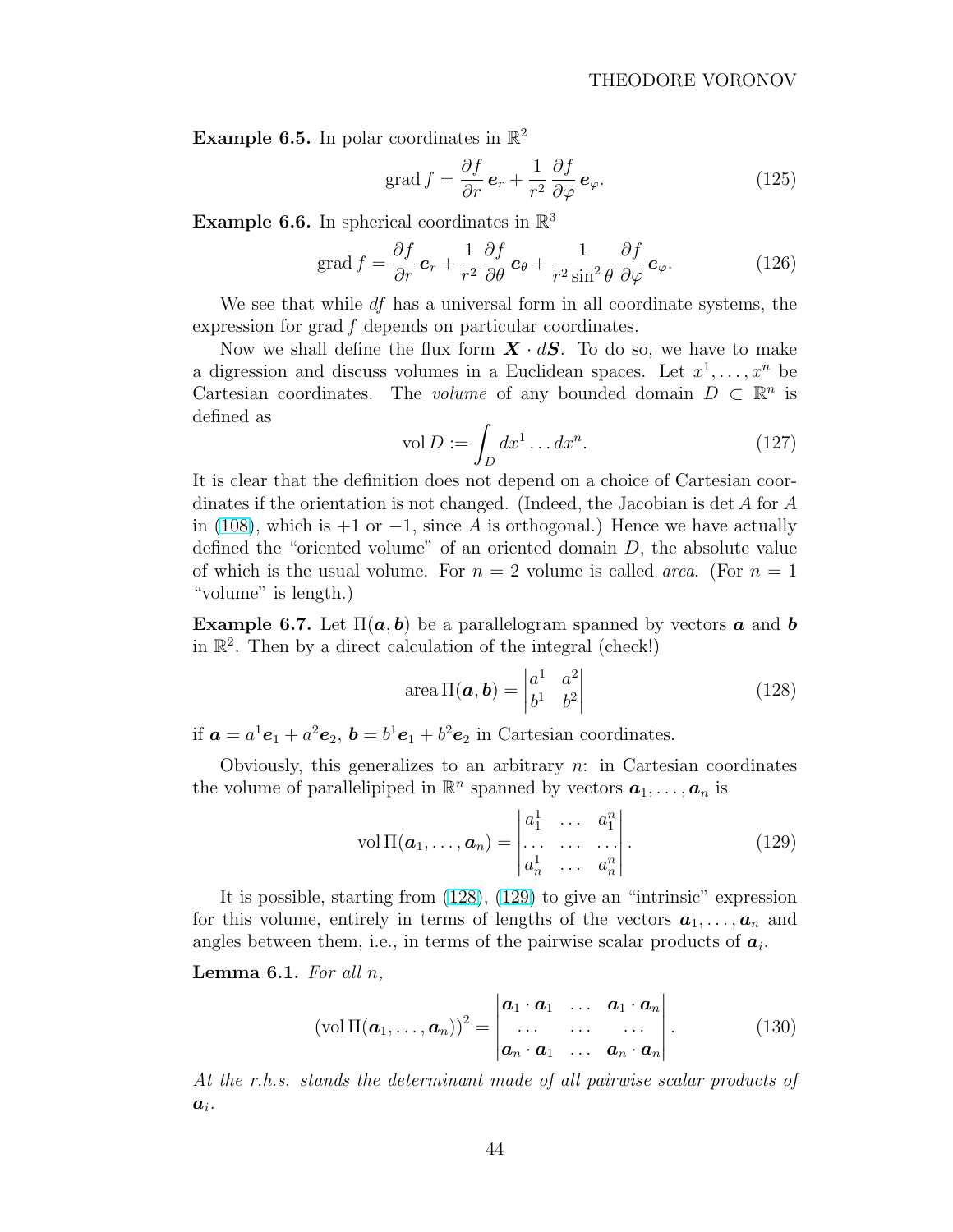<span id="page-43-0"></span>**Example 6.5.** In polar coordinates in  $\mathbb{R}^2$ 

$$
\operatorname{grad} f = \frac{\partial f}{\partial r} \, \mathbf{e}_r + \frac{1}{r^2} \frac{\partial f}{\partial \varphi} \, \mathbf{e}_\varphi. \tag{125}
$$

**Example 6.6.** In spherical coordinates in  $\mathbb{R}^3$ 

grad 
$$
f = \frac{\partial f}{\partial r} \mathbf{e}_r + \frac{1}{r^2} \frac{\partial f}{\partial \theta} \mathbf{e}_{\theta} + \frac{1}{r^2 \sin^2 \theta} \frac{\partial f}{\partial \varphi} \mathbf{e}_{\varphi}.
$$
 (126)

We see that while  $df$  has a universal form in all coordinate systems, the expression for grad f depends on particular coordinates.

Now we shall define the flux form  $\boldsymbol{X} \cdot d\boldsymbol{S}$ . To do so, we have to make a digression and discuss volumes in a Euclidean spaces. Let  $x^1, \ldots, x^n$  be Cartesian coordinates. The volume of any bounded domain  $D \subset \mathbb{R}^n$  is defined as

$$
\text{vol}\,D := \int_D dx^1 \dots dx^n. \tag{127}
$$

It is clear that the definition does not depend on a choice of Cartesian coordinates if the orientation is not changed. (Indeed, the Jacobian is det  $A$  for  $A$ in [\(108\)](#page-40-0), which is  $+1$  or  $-1$ , since A is orthogonal.) Hence we have actually defined the "oriented volume" of an oriented domain  $D$ , the absolute value of which is the usual volume. For  $n = 2$  volume is called *area*. (For  $n = 1$ "volume" is length.)

**Example 6.7.** Let  $\Pi(a, b)$  be a parallelogram spanned by vectors **a** and **b** in  $\mathbb{R}^2$ . Then by a direct calculation of the integral (check!)

area 
$$
\Pi(\boldsymbol{a}, \boldsymbol{b}) = \begin{vmatrix} a^1 & a^2 \\ b^1 & b^2 \end{vmatrix}
$$
 (128)

if  $\mathbf{a} = a^1 \mathbf{e}_1 + a^2 \mathbf{e}_2$ ,  $\mathbf{b} = b^1 \mathbf{e}_1 + b^2 \mathbf{e}_2$  in Cartesian coordinates.

Obviously, this generalizes to an arbitrary  $n:$  in Cartesian coordinates the volume of parallelipiped in  $\mathbb{R}^n$  spanned by vectors  $a_1, \ldots, a_n$  is

$$
\text{vol}\,\Pi(\boldsymbol{a}_1,\ldots,\boldsymbol{a}_n)=\begin{vmatrix} a_1^1 & \ldots & a_1^n \\ \ldots & \ldots & \ldots \\ a_n^1 & \ldots & a_n^n \end{vmatrix}.\tag{129}
$$

It is possible, starting from (128), (129) to give an "intrinsic" expression for this volume, entirely in terms of lengths of the vectors  $a_1, \ldots, a_n$  and angles between them, i.e., in terms of the pairwise scalar products of  $a_i$ .

#### **Lemma 6.1.** For all  $n$ ,

$$
(\text{vol }\Pi(\boldsymbol{a}_1,\ldots,\boldsymbol{a}_n))^2 = \begin{vmatrix} \boldsymbol{a}_1 \cdot \boldsymbol{a}_1 & \ldots & \boldsymbol{a}_1 \cdot \boldsymbol{a}_n \\ \ldots & \ldots & \ldots \\ \boldsymbol{a}_n \cdot \boldsymbol{a}_1 & \ldots & \boldsymbol{a}_n \cdot \boldsymbol{a}_n \end{vmatrix} .
$$
 (130)

At the r.h.s. stands the determinant made of all pairwise scalar products of  $a_i$ .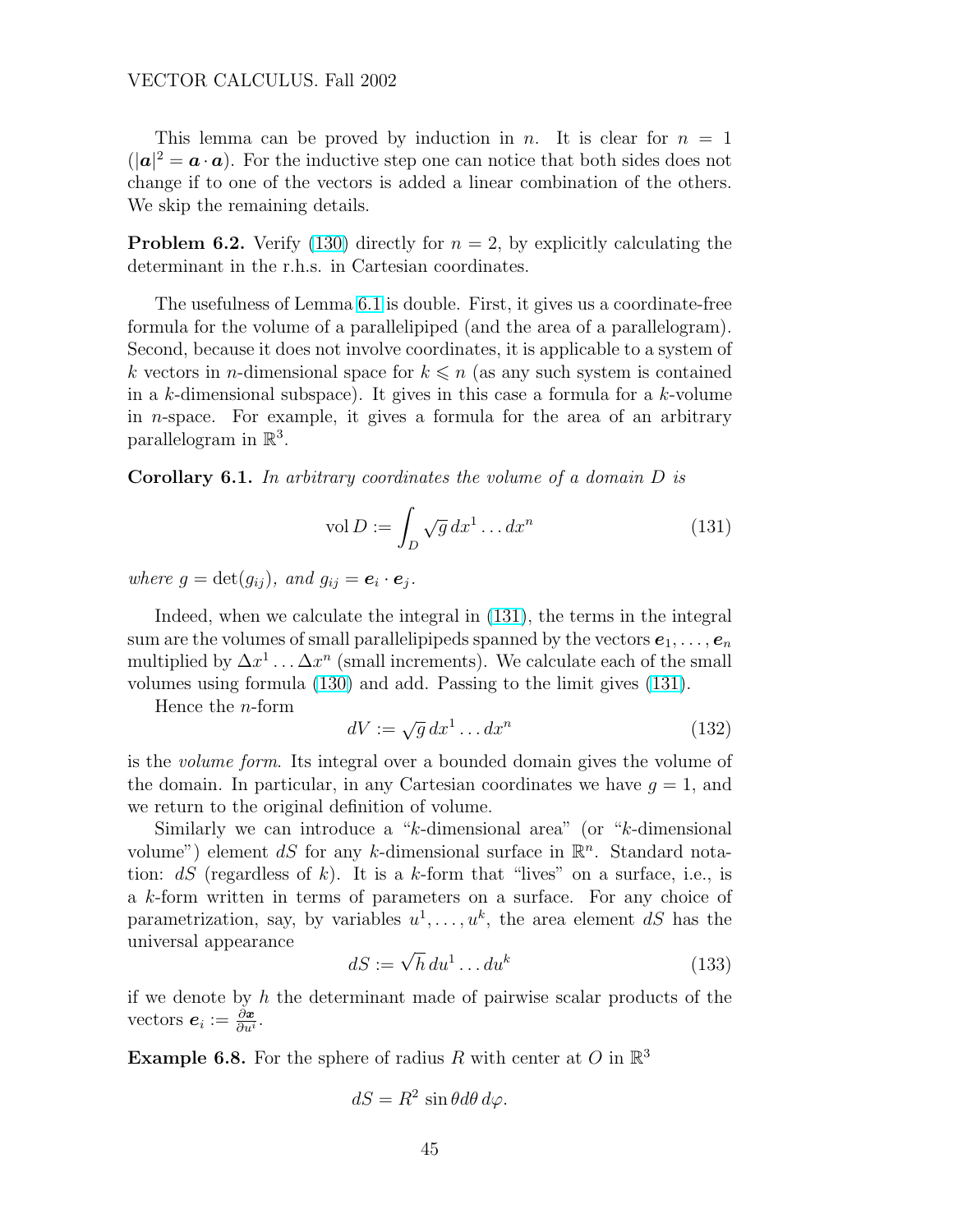This lemma can be proved by induction in n. It is clear for  $n = 1$  $(|a|^2 = a \cdot a)$ . For the inductive step one can notice that both sides does not change if to one of the vectors is added a linear combination of the others. We skip the remaining details.

**Problem 6.2.** Verify [\(130\)](#page-43-0) directly for  $n = 2$ , by explicitly calculating the determinant in the r.h.s. in Cartesian coordinates.

The usefulness of Lemma [6.1](#page-43-0) is double. First, it gives us a coordinate-free formula for the volume of a parallelipiped (and the area of a parallelogram). Second, because it does not involve coordinates, it is applicable to a system of k vectors in *n*-dimensional space for  $k \leq n$  (as any such system is contained in a k-dimensional subspace). It gives in this case a formula for a  $k$ -volume in n-space. For example, it gives a formula for the area of an arbitrary parallelogram in  $\mathbb{R}^3$ .

Corollary 6.1. In arbitrary coordinates the volume of a domain D is

$$
\text{vol } D := \int_D \sqrt{g} \, dx^1 \dots dx^n \tag{131}
$$

where  $g = \det(g_{ij})$ , and  $g_{ij} = e_i \cdot e_j$ .

Indeed, when we calculate the integral in (131), the terms in the integral sum are the volumes of small parallelipipeds spanned by the vectors  $e_1, \ldots, e_n$ multiplied by  $\Delta x^1 \dots \Delta x^n$  (small increments). We calculate each of the small volumes using formula [\(130\)](#page-43-0) and add. Passing to the limit gives (131).

Hence the n-form

$$
dV := \sqrt{g} \, dx^1 \dots dx^n \tag{132}
$$

is the volume form. Its integral over a bounded domain gives the volume of the domain. In particular, in any Cartesian coordinates we have  $g = 1$ , and we return to the original definition of volume.

Similarly we can introduce a "k-dimensional area" (or "k-dimensional volume") element dS for any k-dimensional surface in  $\mathbb{R}^n$ . Standard notation:  $dS$  (regardless of k). It is a k-form that "lives" on a surface, i.e., is a k-form written in terms of parameters on a surface. For any choice of parametrization, say, by variables  $u^1, \ldots, u^k$ , the area element dS has the universal appearance

$$
dS := \sqrt{h} \, du^1 \dots du^k \tag{133}
$$

if we denote by  $h$  the determinant made of pairwise scalar products of the vectors  $e_i := \frac{\partial x}{\partial u^i}$ .

**Example 6.8.** For the sphere of radius R with center at O in  $\mathbb{R}^3$ 

$$
dS = R^2 \sin\theta d\theta d\varphi.
$$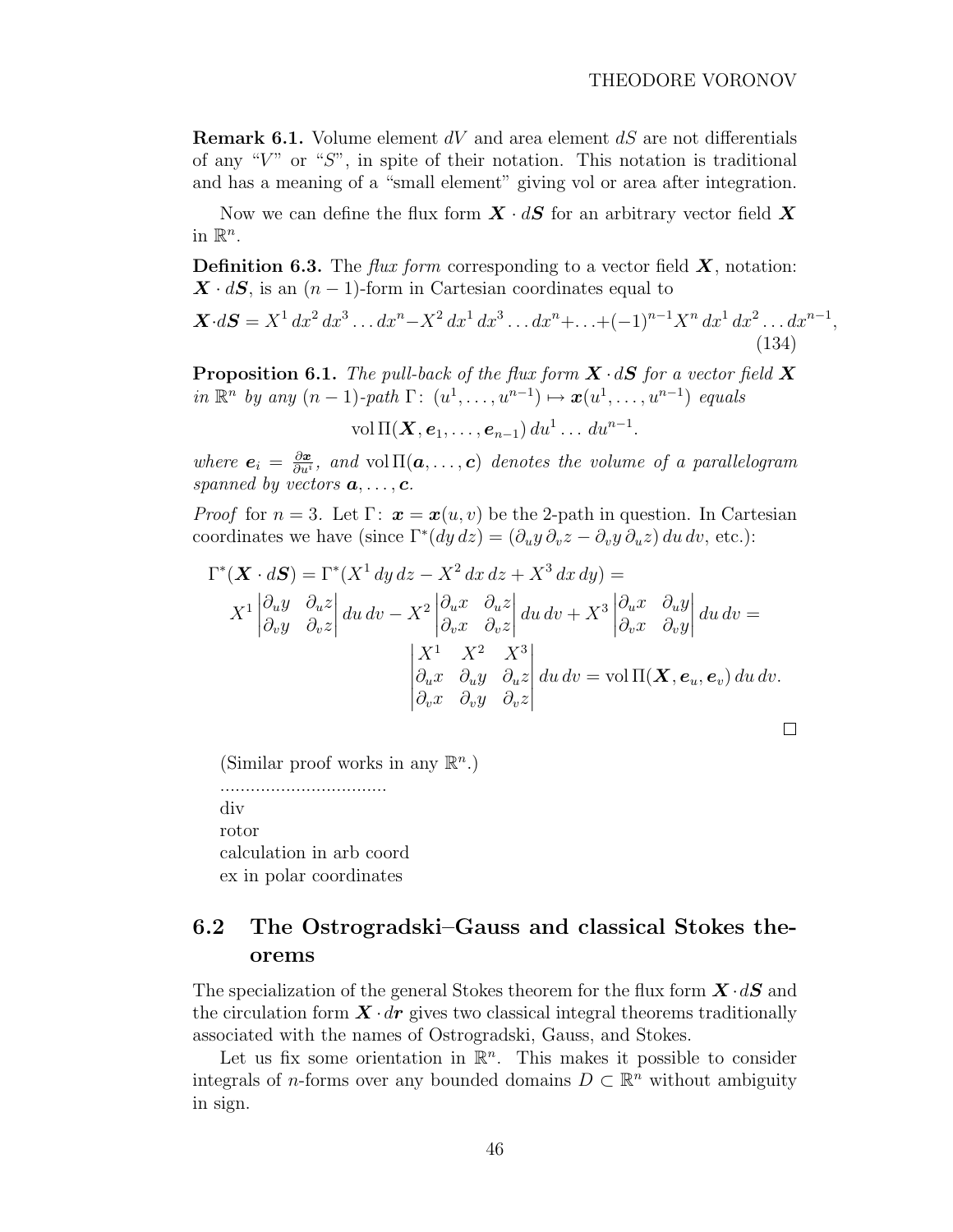<span id="page-45-0"></span>**Remark 6.1.** Volume element  $dV$  and area element  $dS$  are not differentials of any " $V$ " or " $S$ ", in spite of their notation. This notation is traditional and has a meaning of a "small element" giving vol or area after integration.

Now we can define the flux form  $\mathbf{X} \cdot d\mathbf{S}$  for an arbitrary vector field  $\mathbf{X}$ in  $\mathbb{R}^n$ .

**Definition 6.3.** The *flux form* corresponding to a vector field  $\boldsymbol{X}$ , notation:  $\mathbf{X} \cdot d\mathbf{S}$ , is an  $(n-1)$ -form in Cartesian coordinates equal to

$$
\mathbf{X} \cdot d\mathbf{S} = X^1 dx^2 dx^3 \dots dx^n - X^2 dx^1 dx^3 \dots dx^n + \dots + (-1)^{n-1} X^n dx^1 dx^2 \dots dx^{n-1},
$$
\n(134)

**Proposition 6.1.** The pull-back of the flux form  $X \cdot dS$  for a vector field X in  $\mathbb{R}^n$  by any  $(n-1)$ -path  $\Gamma: (u^1, \ldots, u^{n-1}) \mapsto \mathbf{x}(u^1, \ldots, u^{n-1})$  equals

vol  $\Pi(\boldsymbol{X},\boldsymbol{e}_1,\ldots,\boldsymbol{e}_{n-1})\,du^1\ldots\,du^{n-1}.$ 

where  $e_i = \frac{\partial x}{\partial u^i}$  $\frac{\partial \boldsymbol{x}}{\partial u^i}$ , and vol  $\Pi(\boldsymbol{a}, \dots, \boldsymbol{c})$  denotes the volume of a parallelogram spanned by vectors  $a, \ldots, c$ .

*Proof* for  $n = 3$ . Let  $\Gamma: \mathbf{x} = \mathbf{x}(u, v)$  be the 2-path in question. In Cartesian coordinates we have (since  $\Gamma^*(dy\,dz) = (\partial_u y \partial_v z - \partial_v y \partial_u z) du\,dv$ , etc.):

$$
\Gamma^*(\mathbf{X} \cdot d\mathbf{S}) = \Gamma^*(X^1 dy dz - X^2 dx dz + X^3 dx dy) =
$$
\n
$$
X^1 \begin{vmatrix} \partial_u y & \partial_u z \\ \partial_v y & \partial_v z \end{vmatrix} du dv - X^2 \begin{vmatrix} \partial_u x & \partial_u z \\ \partial_v x & \partial_v z \end{vmatrix} du dv + X^3 \begin{vmatrix} \partial_u x & \partial_u y \\ \partial_v x & \partial_v y \end{vmatrix} du dv =
$$
\n
$$
\begin{vmatrix} X^1 & X^2 & X^3 \\ \partial_u x & \partial_u y & \partial_u z \\ \partial_v x & \partial_v y & \partial_v z \end{vmatrix} du dv = \text{vol } \Pi(\mathbf{X}, \mathbf{e}_u, \mathbf{e}_v) du dv.
$$

(Similar proof works in any  $\mathbb{R}^n$ .)

................................. div rotor calculation in arb coord ex in polar coordinates

# 6.2 The Ostrogradski–Gauss and classical Stokes theorems

The specialization of the general Stokes theorem for the flux form  $\mathbf{X} \cdot d\mathbf{S}$  and the circulation form  $\mathbf{X} \cdot d\mathbf{r}$  gives two classical integral theorems traditionally associated with the names of Ostrogradski, Gauss, and Stokes.

Let us fix some orientation in  $\mathbb{R}^n$ . This makes it possible to consider integrals of *n*-forms over any bounded domains  $D \subset \mathbb{R}^n$  without ambiguity in sign.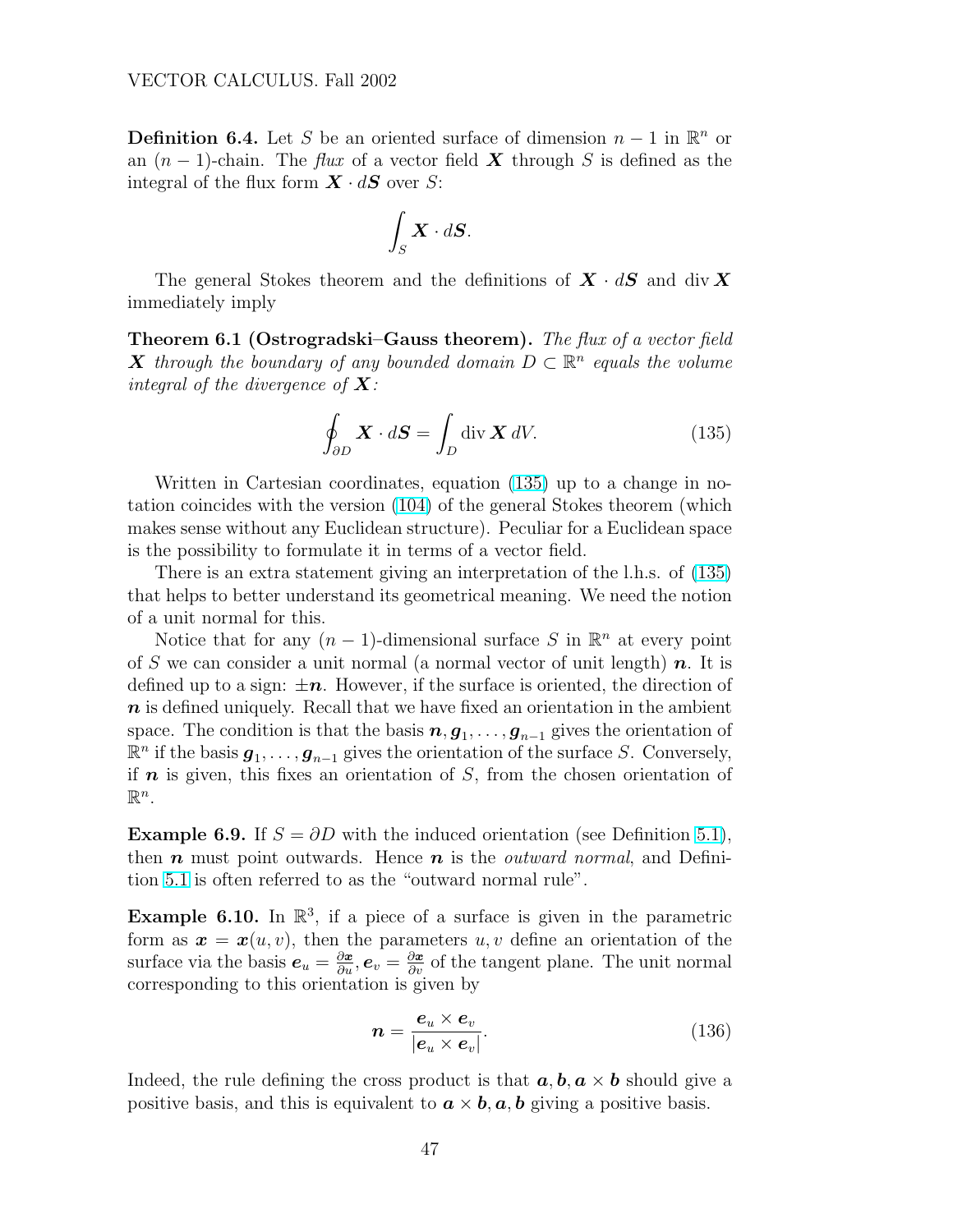**Definition 6.4.** Let S be an oriented surface of dimension  $n-1$  in  $\mathbb{R}^n$  or an  $(n-1)$ -chain. The *flux* of a vector field **X** through S is defined as the integral of the flux form  $\mathbf{X} \cdot d\mathbf{S}$  over S:

$$
\int_S \boldsymbol{X} \cdot d\boldsymbol{S}.
$$

The general Stokes theorem and the definitions of  $X \cdot dS$  and div X immediately imply

**Theorem 6.1 (Ostrogradski–Gauss theorem).** The flux of a vector field **X** through the boundary of any bounded domain  $D \subset \mathbb{R}^n$  equals the volume integral of the divergence of  $X$ :

$$
\oint_{\partial D} \mathbf{X} \cdot d\mathbf{S} = \int_{D} \operatorname{div} \mathbf{X} \, dV. \tag{135}
$$

Written in Cartesian coordinates, equation (135) up to a change in notation coincides with the version [\(104\)](#page-38-0) of the general Stokes theorem (which makes sense without any Euclidean structure). Peculiar for a Euclidean space is the possibility to formulate it in terms of a vector field.

There is an extra statement giving an interpretation of the l.h.s. of (135) that helps to better understand its geometrical meaning. We need the notion of a unit normal for this.

Notice that for any  $(n-1)$ -dimensional surface S in  $\mathbb{R}^n$  at every point of S we can consider a unit normal (a normal vector of unit length)  $n$ . It is defined up to a sign:  $\pm n$ . However, if the surface is oriented, the direction of  $n$  is defined uniquely. Recall that we have fixed an orientation in the ambient space. The condition is that the basis  $n, g_1, \ldots, g_{n-1}$  gives the orientation of  $\mathbb{R}^n$  if the basis  $g_1, \ldots, g_{n-1}$  gives the orientation of the surface S. Conversely, if  $\boldsymbol{n}$  is given, this fixes an orientation of S, from the chosen orientation of  $\mathbb{R}^n$ .

**Example 6.9.** If  $S = \partial D$  with the induced orientation (see Definition [5.1\)](#page-35-0), then  $n$  must point outwards. Hence  $n$  is the *outward normal*, and Definition [5.1](#page-35-0) is often referred to as the "outward normal rule".

**Example 6.10.** In  $\mathbb{R}^3$ , if a piece of a surface is given in the parametric form as  $\mathbf{x} = \mathbf{x}(u, v)$ , then the parameters  $u, v$  define an orientation of the surface via the basis  $e_u = \frac{\partial x}{\partial u}, e_v = \frac{\partial x}{\partial v}$  of the tangent plane. The unit normal corresponding to this orientation is given by

$$
n = \frac{e_u \times e_v}{|e_u \times e_v|}.
$$
 (136)

Indeed, the rule defining the cross product is that  $a, b, a \times b$  should give a positive basis, and this is equivalent to  $\boldsymbol{a} \times \boldsymbol{b}$ ,  $\boldsymbol{a}$ ,  $\boldsymbol{b}$  giving a positive basis.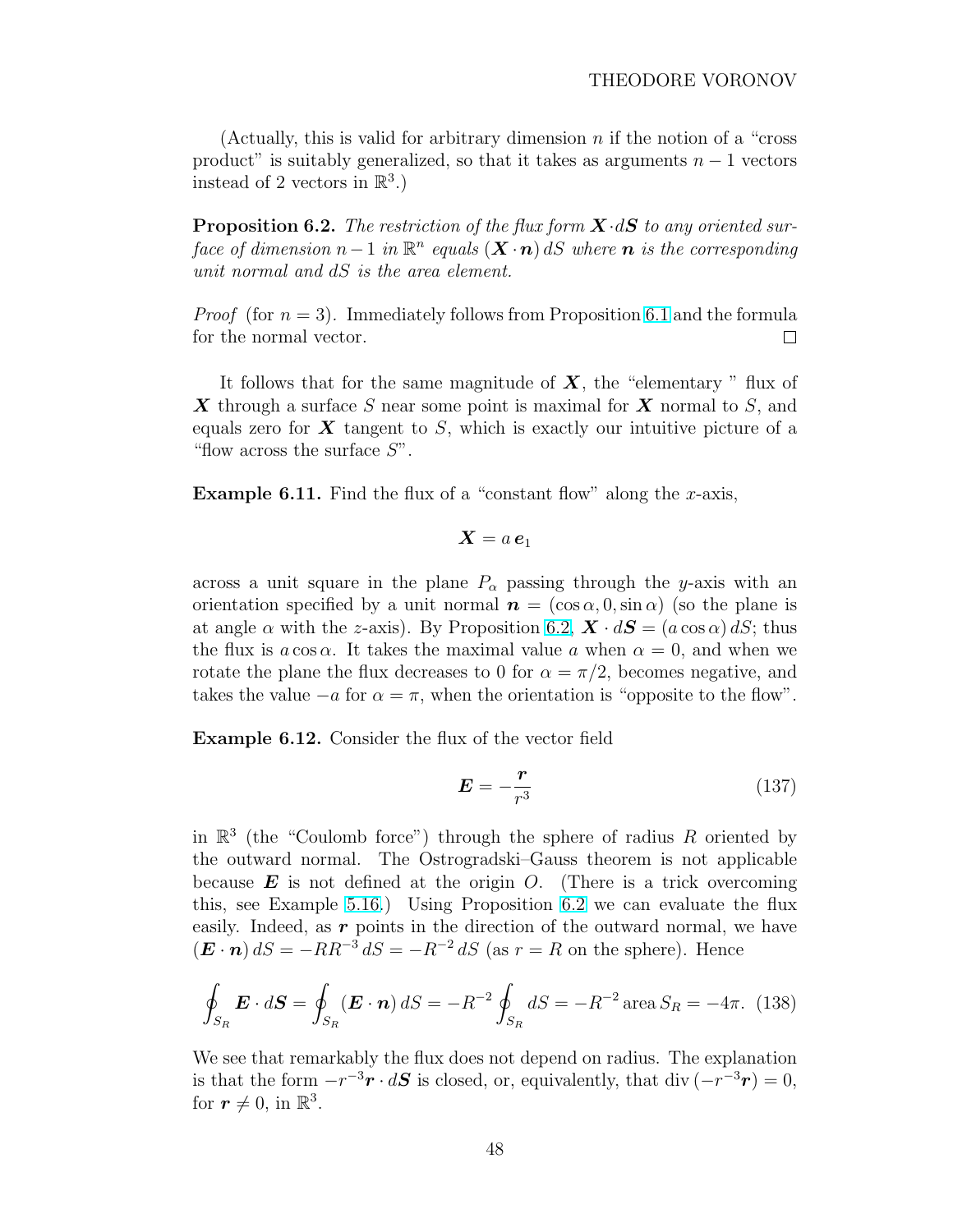(Actually, this is valid for arbitrary dimension  $n$  if the notion of a "cross" product" is suitably generalized, so that it takes as arguments  $n - 1$  vectors instead of 2 vectors in  $\mathbb{R}^3$ .)

**Proposition 6.2.** The restriction of the flux form  $\mathbf{X} \cdot d\mathbf{S}$  to any oriented surface of dimension  $n-1$  in  $\mathbb{R}^n$  equals  $(X \cdot n)$  dS where  $n$  is the corresponding unit normal and dS is the area element.

*Proof* (for  $n = 3$ ). Immediately follows from Proposition [6.1](#page-45-0) and the formula for the normal vector.  $\Box$ 

It follows that for the same magnitude of  $X$ , the "elementary " flux of X through a surface S near some point is maximal for X normal to S, and equals zero for  $\boldsymbol{X}$  tangent to  $S$ , which is exactly our intuitive picture of a "flow across the surface  $S$ ".

**Example 6.11.** Find the flux of a "constant flow" along the x-axis,

$$
\bm{X}=a\,\bm{e}_1
$$

across a unit square in the plane  $P_{\alpha}$  passing through the y-axis with an orientation specified by a unit normal  $\mathbf{n} = (\cos \alpha, 0, \sin \alpha)$  (so the plane is at angle  $\alpha$  with the z-axis). By Proposition 6.2,  $\mathbf{X} \cdot d\mathbf{S} = (a \cos \alpha) dS$ ; thus the flux is  $a \cos \alpha$ . It takes the maximal value a when  $\alpha = 0$ , and when we rotate the plane the flux decreases to 0 for  $\alpha = \pi/2$ , becomes negative, and takes the value  $-a$  for  $\alpha = \pi$ , when the orientation is "opposite to the flow".

Example 6.12. Consider the flux of the vector field

$$
E = -\frac{r}{r^3} \tag{137}
$$

in  $\mathbb{R}^3$  (the "Coulomb force") through the sphere of radius R oriented by the outward normal. The Ostrogradski–Gauss theorem is not applicable because  $\boldsymbol{E}$  is not defined at the origin O. (There is a trick overcoming this, see Example [5.16.](#page-37-0)) Using Proposition 6.2 we can evaluate the flux easily. Indeed, as  $r$  points in the direction of the outward normal, we have  $(\mathbf{E} \cdot \mathbf{n}) dS = -RR^{-3} dS = -R^{-2} dS$  (as  $r = R$  on the sphere). Hence

$$
\oint_{S_R} \mathbf{E} \cdot d\mathbf{S} = \oint_{S_R} (\mathbf{E} \cdot \mathbf{n}) dS = -R^{-2} \oint_{S_R} dS = -R^{-2} \operatorname{area} S_R = -4\pi. \tag{138}
$$

We see that remarkably the flux does not depend on radius. The explanation is that the form  $-r^{-3}r \cdot dS$  is closed, or, equivalently, that div  $(-r^{-3}r) = 0$ , for  $r \neq 0$ , in  $\mathbb{R}^3$ .